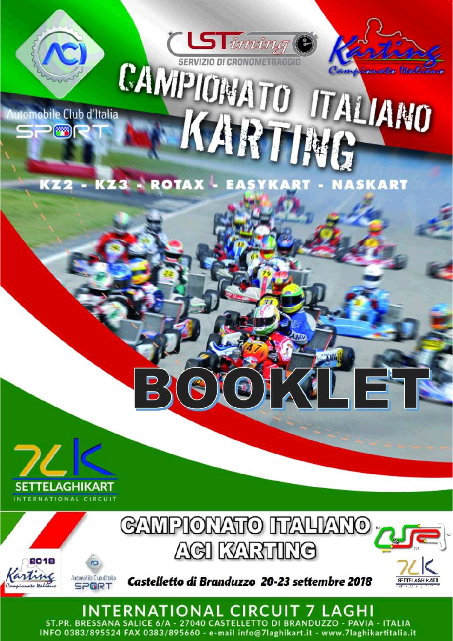

**Nutomobile Club d'Italia** 

 $\mathbb{Z}$ 

CAMPIONATO ITALIANO KARTING

 $\mathbf{L}$ 

KZ2 - KZ3 - ROTAX - EASYKART - NASKART

**CLSTiming** 





INTERNATIONAL CIRCUIT 7 LAGHI ST.PR. BRESSANA SALICE 6/A - 27040 CASTELLETTO DI BRANDUZZO - PAVIA - ITALIA INFO 0383/895524 FAX 0383/895660 - e-mail info@7laghikart.it - www.7laghikartitalia.it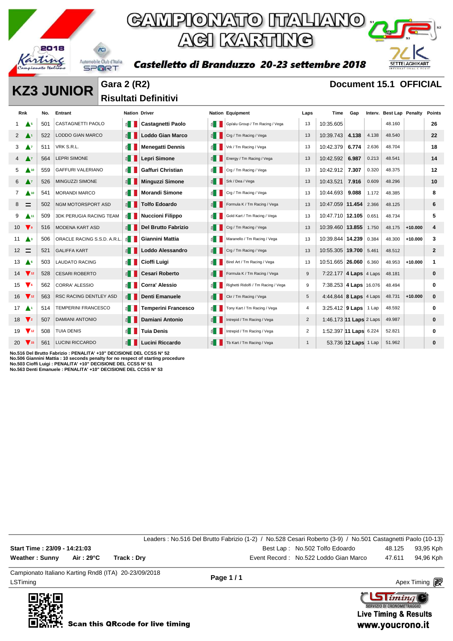

### GAMPIONATO ITALIANO ; ACI KARTING

Castelletto di Branduzzo 20-23 settembre 2018



**KZ3 JUNIOR** Gara 2 (R2) **Document 15.1 OFFICIAL** 

**Risultati Definitivi** 

| Rnk                |                                | No. | Entrant                        | <b>Nation Driver</b>  |                            |                       | <b>Nation Equipment</b>             | Laps           | Time                          | Gap                  |       | Interv. Best Lap Penalty |           | Points       |
|--------------------|--------------------------------|-----|--------------------------------|-----------------------|----------------------------|-----------------------|-------------------------------------|----------------|-------------------------------|----------------------|-------|--------------------------|-----------|--------------|
| $1 \triangle 5$    |                                | 501 | <b>CASTAGNETTI PAOLO</b>       | E I                   | Castagnetti Paolo          | £.                    | Gp/alu Group / Tm Racing / Vega     | 13             | 10:35.605                     |                      |       | 48.160                   |           | 26           |
| $2 \Delta$         |                                | 522 | <b>LODDO GIAN MARCO</b>        | $\leq$ $\blacksquare$ | <b>Loddo Gian Marco</b>    | $\leq$ $\blacksquare$ | Crg / Tm Racing / Vega              | 13             | 10:39.743                     | 4.138                | 4.138 | 48.540                   |           | 22           |
| 3                  | $\mathbf{A}$                   | 511 | VRK S.R.L.                     | $\leq$ 1              | <b>Menegatti Dennis</b>    | $\leq$                | Vrk / Tm Racing / Vega              | 13             | 10:42.379                     | 6.774                | 2.636 | 48.704                   |           | 18           |
|                    | $\mathbf{A}^{\intercal}$       | 564 | <b>LEPRI SIMONE</b>            | $\leq$ $\blacksquare$ | Lepri Simone               | E                     | Energy / Tm Racing / Vega           | 13             | 10:42.592                     | 6.987                | 0.213 | 48.541                   |           | 14           |
| 5                  | <b>A</b> 10                    | 559 | <b>GAFFURI VALERIANO</b>       | E I                   | Gaffuri Christian          | ≦∎ I                  | Crg / Tm Racing / Vega              | 13             | 10:42.912                     | 7.307                | 0.320 | 48.375                   |           | 12           |
| 6                  | $\mathbf{A}^{\intercal}$       | 526 | MINGUZZI SIMONE                | $\leq$ $\parallel$    | <b>Minguzzi Simone</b>     | $\leq$ $\blacksquare$ | Srk / Dea / Vega                    | 13             | 10:43.521                     | 7.916                | 0.609 | 48.296                   |           | 10           |
| $\overline{7}$     | $\triangle$ 10                 | 541 | <b>MORANDI MARCO</b>           | ≦ II                  | <b>Morandi Simone</b>      | 11                    | Crg / Tm Racing / Vega              | 13             | 10:44.693                     | 9.088                | 1.172 | 48.385                   |           | 8            |
| 8                  | $\equiv$                       | 502 | NGM MOTORSPORT ASD             | $\leq$ $\blacksquare$ | <b>Tolfo Edoardo</b>       | €                     | Formula K / Tm Racing / Vega        | 13             | 10:47.059 11.454              |                      | 2.366 | 48.125                   |           | 6            |
| 9                  | $\blacktriangle$ <sup>11</sup> | 509 | <b>3DK PERUGIA RACING TEAM</b> | $\leq$ 1              | <b>Nuccioni Filippo</b>    | ੬∎                    | Gold Kart / Tm Racing / Vega        | 13             | 10:47.710 12.105              |                      | 0.651 | 48.734                   |           | 5            |
| $10 \sqrt{9}$      |                                | 516 | <b>MODENA KART ASD</b>         | $\leq$ $\blacksquare$ | <b>Del Brutto Fabrizio</b> | EII                   | Crg / Tm Racing / Vega              | 13             | 10:39.460 13.855              |                      | 1.750 | 48.175                   | $+10.000$ | 4            |
| $11 \triangle 3$   |                                | 506 | ORACLE RACING S.S.D. A.R.L.    | ≦ II                  | Giannini Mattia            | E                     | Maranello / Tm Racing / Vega        | 13             | 10:39.844 14.239              |                      | 0.384 | 48.300                   | $+10.000$ | 3            |
| $12 \equiv$        |                                | 521 | <b>GALIFFA KART</b>            | $\leq$ $\blacksquare$ | <b>Loddo Alessandro</b>    | $\leq$ $\parallel$    | Crg / Tm Racing / Vega              | 13             | 10:55.305 19.700              |                      | 5.461 | 48.512                   |           | $\mathbf{2}$ |
| 13                 | $\triangle^6$                  | 503 | <b>LAUDATO RACING</b>          | $\leq$ 1              | Cioffi Luigi               | $\leq$                | Birel Art / Tm Racing / Vega        | 13             | 10:51.665   26.060            |                      | 6.360 | 48.953                   | $+10.000$ |              |
| $14 \sqrt{12}$     |                                | 528 | <b>CESARI ROBERTO</b>          | $\leq$ $\blacksquare$ | <b>Cesari Roberto</b>      | 图                     | Formula K / Tm Racing / Vega        | 9              | 7:22.177 4 Laps 4 Laps        |                      |       | 48.181                   |           | 0            |
| $15 \quad \bullet$ |                                | 562 | <b>CORRA' ALESSIO</b>          | $\leq$ 1              | <b>Corra' Alessio</b>      | 6.                    | Righetti Ridolfi / Tm Racing / Vega | 9              | 7:38.253 4 Laps 16.076        |                      |       | 48.494                   |           | 0            |
| $16 \sqrt{12}$     |                                | 563 | <b>RSC RACING DENTLEY ASD</b>  | $\leq$ $\blacksquare$ | <b>Denti Emanuele</b>      | 1 ≧                   | Ckr / Tm Racing / Vega              | 5              | 4:44.844 8 <b>Laps</b> 4 Laps |                      |       | 48.731                   | $+10.000$ | $\bf{0}$     |
| $17 \Delta$        |                                | 514 | <b>TEMPERINI FRANCESCO</b>     | $\leq$ 1              | <b>Temperini Francesco</b> | $\leq$ $\blacksquare$ | Tony Kart / Tm Racing / Vega        | 4              | 3:25.412   9 Laps   1 Lap     |                      |       | 48.592                   |           | 0            |
| $18 \sqrt{2}$      |                                | 507 | <b>DAMIANI ANTONIO</b>         | $\leq$ $\blacksquare$ | Damiani Antonio            | €∎                    | Intrepid / Tm Racing / Vega         | $\overline{2}$ | 1:46.173 11 Laps 2 Laps       |                      |       | 49.987                   |           | 0            |
| $19 \sqrt{12}$     |                                | 508 | <b>TUIA DENIS</b>              | ≦ II                  | <b>Tuia Denis</b>          | £.                    | Intrepid / Tm Racing / Vega         | 2              | 1:52.397 11 Laps 6.224        |                      |       | 52.821                   |           | 0            |
|                    | $20\sqrt{15}$                  | 561 | <b>LUCINI RICCARDO</b>         | 图                     | Lucini Riccardo            | ≦ I                   | Tb Kart / Tm Racing / Vega          | $\mathbf{1}$   |                               | 53.736 12 Laps 1 Lap |       | 51.962                   |           | 0            |

**No.516 Del Brutto Fabrizio : PENALITA' +10" DECISIONE DEL CCSS N° 52** No.506 Giannini Mattia : 10 seconds penalty for no respect of starting procedure<br>No.503 Cioffi Luigi : PENALITA' +10" DECISIONE DEL CCSS N° 51<br>No.563 Denti Emanuele : PENALITA' +10" DECISIONE DEL CCSS N° 53

|                                                      |            |             | Leaders: No.516 Del Brutto Fabrizio (1-2) / No.528 Cesari Roberto (3-9) / No.501 Castagnetti Paolo (10-13) |                                       |                  |
|------------------------------------------------------|------------|-------------|------------------------------------------------------------------------------------------------------------|---------------------------------------|------------------|
| Start Time: 23/09 - 14:21:03                         |            |             |                                                                                                            | Best Lap: No.502 Tolfo Edoardo        | 48.125 93,95 Kph |
| Weather: Sunny                                       | Air : 29°C | Track : Drv |                                                                                                            | Event Record: No.522 Loddo Gian Marco | 47.611 94.96 Kph |
| Campionato Italiano Karting Rnd8 (ITA) 20-23/09/2018 |            |             |                                                                                                            |                                       |                  |

LSTiming Apex Timing Apex Timing Apex Timing Apex Timing Apex Timing Apex Timing Apex Timing



**Page 1 / 1**

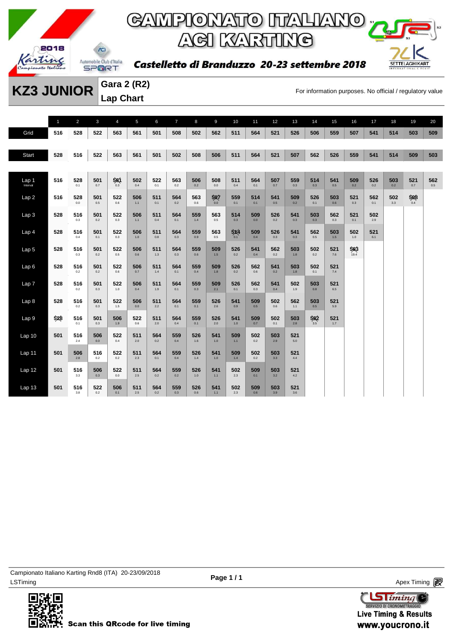

Castelletto di Branduzzo 20-23 settembre 2018



**KZ3 JUNIOR** Gara 2 (R2)<br>For information purposes. No official / regulatory value **Gara 2 (R2) Lap Chart** 

|                              | $\overline{1}$ | $\overline{2}$ | $\mathbf{3}$ | $\overline{4}$ | 5          | 6          | $\overline{7}$ | 8          | 9               | 10         | 11         | 12         | 13         | 14         | 15         | 16          | 17         | 18         | 19              | 20         |
|------------------------------|----------------|----------------|--------------|----------------|------------|------------|----------------|------------|-----------------|------------|------------|------------|------------|------------|------------|-------------|------------|------------|-----------------|------------|
| Grid                         | 516            | 528            | 522          | 563            | 561        | 501        | 508            | 502        | 562             | 511        | 564        | 521        | 526        | 506        | 559        | 507         | 541        | 514        | 503             | 509        |
|                              |                |                |              |                |            |            |                |            |                 |            |            |            |            |            |            |             |            |            |                 |            |
| <b>Start</b>                 | 528            | 516            | 522          | 563            | 561        | 501        | 502            | 508        | 506             | 511        | 564        | 521        | 507        | 562        | 526        | 559         | 541        | 514        | 509             | 503        |
|                              |                |                |              |                |            |            |                |            |                 |            |            |            |            |            |            |             |            |            |                 |            |
| Lap <sub>1</sub><br>Interval | 516            | 528<br>0.1     | 501<br>0.7   | 561<br>0.3     | 502<br>0.4 | 522<br>0.1 | 563<br>0.2     | 506<br>0.2 | 508<br>0.0      | 511<br>0.4 | 564<br>0.1 | 507<br>0.7 | 559<br>0.3 | 514<br>0.3 | 541<br>0.5 | 509<br>0.2  | 526<br>0.2 | 503<br>0.2 | 521<br>0.7      | 562<br>0.5 |
| Lap2                         | 516            | 528<br>0.0     | 501<br>0.5   | 522<br>0.6     | 506<br>1.1 | 511<br>0.1 | 564<br>0.2     | 563<br>0.6 | $\frac{1}{200}$ | 559<br>0.1 | 514<br>0.1 | 541<br>0.5 | 509<br>0.2 | 526<br>0.1 | 503<br>0.6 | 521<br>0.3  | 562<br>0.1 | 502<br>3.3 | $\frac{1}{200}$ |            |
| Lap 3                        | 528            | 516<br>0.3     | 501<br>0.2   | 522<br>0.3     | 506<br>1.1 | 511<br>0.4 | 564<br>0.1     | 559<br>1.4 | 563<br>0.5      | 514<br>0.3 | 509<br>0.0 | 526<br>0.2 | 541<br>0.3 | 503<br>0.3 | 562<br>0.3 | 521<br>0.1  | 502<br>2.9 |            |                 |            |
| Lap <sub>4</sub>             | 528            | 516<br>0.4     | 501<br>0.1   | 522<br>0.3     | 506<br>1.0 | 511<br>0.8 | 564<br>0.3     | 559<br>0.9 | 563<br>0.5      | 5x4<br>0.1 | 509<br>0.4 | 526<br>0.3 | 541<br>0.3 | 562<br>0.5 | 503<br>1.5 | 502<br>1.0  | 521<br>6.1 |            |                 |            |
| Lap <sub>5</sub>             | 528            | 516<br>0.3     | 501<br>0.2   | 522<br>0.5     | 506<br>0.6 | 511<br>1.3 | 564<br>0.3     | 559<br>0.6 | 509<br>1.5      | 526<br>0.2 | 541<br>0.4 | 562<br>0.2 | 503<br>1.8 | 502<br>0.2 | 521<br>7.6 | 563<br>19.4 |            |            |                 |            |
| Lap6                         | 528            | 516<br>0.2     | 501<br>0.2   | 522<br>0.6     | 506<br>0.7 | 511<br>1.4 | 564<br>0.1     | 559<br>0.4 | 509<br>1.8      | 526<br>0.2 | 562<br>0.6 | 541<br>0.2 | 503<br>1.8 | 502<br>0.1 | 521<br>7.4 |             |            |            |                 |            |
| Lap <sub>7</sub>             | 528            | 516<br>0.2     | 501<br>0.3   | 522<br>1.0     | 506<br>0.4 | 511<br>1.9 | 564<br>0.1     | 559<br>0.3 | 509<br>2.1      | 526<br>0.1 | 562<br>0.3 | 541<br>0.4 | 502<br>1.9 | 503<br>0.8 | 521<br>6.5 |             |            |            |                 |            |
| Lap 8                        | 528            | 516<br>0.2     | 501<br>0.3   | 522<br>1.5     | 506<br>0.0 | 511<br>2.2 | 564<br>0.1     | 559<br>0.1 | 526<br>2.6      | 541<br>0.9 | 509<br>0.5 | 502<br>0.6 | 562<br>1.1 | 503<br>0.5 | 521<br>5.9 |             |            |            |                 |            |
| Lap <sub>9</sub>             | 528            | 516<br>0.1     | 501<br>0.3   | 506<br>1.9     | 522<br>0.6 | 511<br>2.0 | 564<br>0.4     | 559<br>0.1 | 526<br>2.0      | 541<br>1.0 | 509<br>0.7 | 502<br>0.1 | 503<br>2.8 | 562<br>3.5 | 521<br>1.7 |             |            |            |                 |            |
| Lap <sub>10</sub>            | 501            | 516<br>2.4     | 506<br>0.0   | 522<br>0.4     | 511<br>2.0 | 564<br>0.2 | 559<br>0.4     | 526<br>1.6 | 541<br>1.0      | 509<br>1.1 | 502<br>0.2 | 503<br>2.9 | 521<br>5.0 |            |            |             |            |            |                 |            |
| Lap 11                       | 501            | 506<br>2.8     | 516<br>0.2   | 522<br>0.2     | 511<br>2.3 | 564<br>0.1 | 559<br>0.4     | 526<br>1.4 | 541<br>1.0      | 509<br>1.4 | 502<br>0.2 | 503<br>3.3 | 521<br>4.4 |            |            |             |            |            |                 |            |
| Lap <sub>12</sub>            | 501            | 516<br>3.3     | 506<br>0.3   | 522<br>0.0     | 511<br>2.5 | 564<br>0.2 | 559<br>0.2     | 526<br>1.0 | 541<br>$1.1$    | 502<br>2.3 | 509<br>0.1 | 503<br>3.2 | 521<br>4.2 |            |            |             |            |            |                 |            |
| Lap <sub>13</sub>            | 501            | 516<br>$3.8\,$ | 522<br>0.2   | 506<br>0.1     | 511<br>2.5 | 564<br>0.2 | 559<br>0.3     | 526<br>0.6 | 541<br>$1.1$    | 502<br>2.3 | 509<br>0.6 | 503<br>3.9 | 521<br>3.6 |            |            |             |            |            |                 |            |



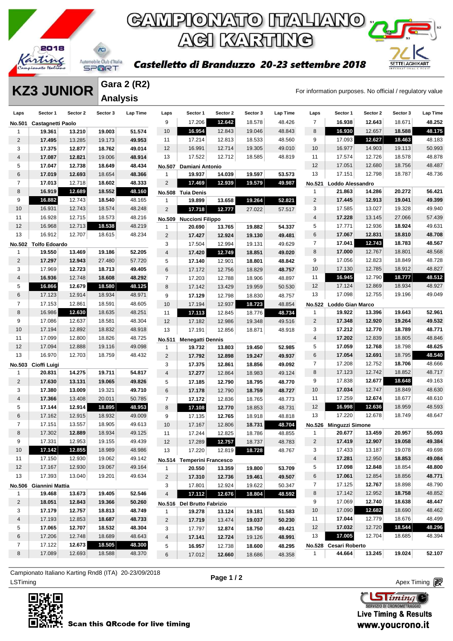

**SETTELAGHIKART** 

#### Castelletto di Branduzzo 20-23 settembre 2018

**KZ3 JUNIOR** Anglysia **MATA Anglysia Gara 2 (R2) Analysis** 

| Laps            | Sector 1                      | Sector 2 | Sector 3 | <b>Lap Time</b> | Laps                    | Sector 1                          | Sector 2 | Sector 3 | Lap Time | Laps           | Sector 1                         | Sector 2 | Sector 3 | <b>Lap Time</b> |
|-----------------|-------------------------------|----------|----------|-----------------|-------------------------|-----------------------------------|----------|----------|----------|----------------|----------------------------------|----------|----------|-----------------|
| <b>No.501</b>   | Castagnetti Paolo             |          |          |                 | 9                       | 17.206                            | 12.642   | 18.578   | 48.426   | $\overline{7}$ | 16.938                           | 12.643   | 18.671   | 48.252          |
| 1               | 19.361                        | 13.210   | 19.003   | 51.574          | 10                      | 16.954                            | 12.843   | 19.046   | 48.843   | 8              | 16.930                           | 12.657   | 18.588   | 48.175          |
| $\overline{2}$  | 17.495                        | 13.285   | 19.173   | 49.953          | 11                      | 17.214                            | 12.813   | 18.533   | 48.560   | 9              | 17.093                           | 12.627   | 18.463   | 48.183          |
| 3               | 17.375                        | 12.877   | 18.762   | 49.014          | 12                      | 16.991                            | 12.714   | 19.305   | 49.010   | 10             | 16.977                           | 14.903   | 19.113   | 50.993          |
| 4               | 17.087                        | 12.821   | 19.006   | 48.914          | 13                      | 17.522                            | 12.712   | 18.585   | 48.819   | 11             | 17.574                           | 12.726   | 18.578   | 48.878          |
| 5               | 17.047                        | 12.738   | 18.649   | 48.434          | <b>No.507</b>           | Damiani Antonio                   |          |          |          | 12             | 17.051                           | 12.680   | 18.756   | 48.487          |
| 6               | 17.019                        | 12.693   | 18.654   | 48.366          | $\mathbf{1}$            | 19.937                            | 14.039   | 19.597   | 53.573   | 13             | 17.151                           | 12.798   | 18.787   | 48.736          |
| $\overline{7}$  | 17.013                        | 12.718   | 18.602   | 48.333          | $\overline{\mathbf{c}}$ | 17.469                            | 12.939   | 19.579   | 49.987   | No.521         | Loddo Alessandro                 |          |          |                 |
| 8               | 16.919                        | 12.689   | 18.552   | 48.160          | <b>No.508</b>           | <b>Tuia Denis</b>                 |          |          |          | $\mathbf{1}$   | 21.863                           | 14.286   | 20.272   | 56.421          |
| 9               | 16.882                        | 12.743   | 18.540   | 48.165          | 1                       | 19.899                            | 13.658   | 19.264   | 52.821   | $\overline{2}$ | 17.445                           | 12.913   | 19.041   | 49.399          |
| 10              | 16.931                        | 12.743   | 18.574   | 48.248          | $\overline{2}$          | 17.718                            | 12.777   | 27.022   | 57.517   | 3              | 17.585                           | 13.027   | 19.328   | 49.940          |
| 11              | 16.928                        | 12.715   | 18.573   | 48.216          |                         | No.509 Nuccioni Filippo           |          |          |          | $\overline{4}$ | 17.228                           | 13.145   | 27.066   | 57.439          |
| 12              | 16.968                        | 12.713   | 18.538   | 48.219          | $\mathbf{1}$            | 20.690                            | 13.765   | 19.882   | 54.337   | 5              | 17.771                           | 12.936   | 18.924   | 49.631          |
| 13              | 16.912                        | 12.707   | 18.615   | 48.234          | $\overline{2}$          | 17.427                            | 12.924   | 19.130   | 49.481   | 6              | 17.067                           | 12.831   | 18.810   | 48.708          |
|                 | No.502 Tolfo Edoardo          |          |          |                 | 3                       | 17.504                            | 12.994   | 19.131   | 49.629   | $\overline{7}$ | 17.041                           | 12.743   | 18.783   | 48.567          |
| 1               | 19.550                        | 13.469   | 19.186   | 52.205          | $\overline{4}$          | 17.420                            | 12.749   | 18.851   | 49.020   | 8              | 17.000                           | 12.767   | 18.801   | 48.568          |
| $\overline{2}$  | 17.297                        | 12.943   | 27.480   | 57.720          | 5                       | 17.140                            | 12.901   | 18.801   | 48.842   | 9              | 17.056                           | 12.823   | 18.849   | 48.728          |
| 3               | 17.969                        | 12.723   | 18.713   | 49.405          | 6                       | 17.172                            | 12.756   | 18.829   | 48.757   | 10             | 17.130                           | 12.785   | 18.912   | 48.827          |
| $\overline{4}$  | 16.936                        | 12.748   | 18.608   | 48.292          | $\overline{7}$          | 17.203                            | 12.788   | 18.906   | 48.897   | 11             | 16.945                           | 12.790   | 18.777   | 48.512          |
| 5               | 16.866                        | 12.679   | 18.580   | 48.125          | 8                       | 17.142                            | 13.429   | 19.959   | 50.530   | 12             | 17.124                           | 12.869   | 18.934   | 48.927          |
| 6               | 17.123                        | 12.914   | 18.934   | 48.971          | 9                       | 17.129                            | 12.798   | 18.830   | 48.757   | 13             | 17.098                           | 12.755   | 19.196   | 49.049          |
| 7               | 17.153                        | 12.861   | 18.591   | 48.605          | 10                      | 17.194                            | 12.937   | 18.723   | 48.854   |                | No.522 Loddo Gian Marco          |          |          |                 |
| 8               | 16.986                        | 12.630   | 18.635   | 48.251          | 11                      | 17.113                            | 12.845   | 18.776   | 48.734   | 1              | 19.922                           | 13.396   | 19.643   | 52.961          |
| 9               | 17.086                        | 12.637   | 18.581   | 48.304          | 12                      | 17.182                            | 12.986   | 19.348   | 49.516   | $\overline{2}$ | 17.348                           | 12.920   | 19.264   | 49.532          |
| 10              | 17.194                        | 12.892   | 18.832   | 48.918          | 13                      | 17.191                            | 12.856   | 18.871   | 48.918   | 3              | 17.212                           | 12.770   | 18.789   | 48.771          |
| 11              | 17.099                        | 12.800   | 18.826   | 48.725          |                         |                                   |          |          |          | $\overline{4}$ | 17.202                           | 12.839   | 18.805   | 48.846          |
| 12              | 17.094                        | 12.888   | 19.116   | 49.098          | No.511<br>$\mathbf{1}$  | <b>Menegatti Dennis</b><br>19.732 | 13.803   | 19.450   | 52.985   | 5              | 17.059                           | 12.768   | 18.798   | 48.625          |
| 13              | 16.970                        | 12.703   | 18.759   | 48.432          | $\overline{2}$          | 17.792                            | 12.898   | 19.247   | 49.937   | 6              | 17.054                           | 12.691   | 18.795   | 48.540          |
|                 |                               |          |          |                 | 3                       | 17.375                            | 12.861   | 18.856   | 49.092   | $\overline{7}$ | 17.208                           | 12.752   | 18.706   | 48.666          |
| $\mathbf{1}$    | No.503 Cioffi Luigi<br>20.831 | 14.275   | 19.711   | 54.817          | $\overline{4}$          | 17.277                            | 12.864   | 18.983   | 49.124   | 8              | 17.123                           | 12.742   | 18.852   | 48.717          |
| $\overline{2}$  | 17.630                        | 13.131   | 19.065   | 49.826          | 5                       | 17.185                            | 12.790   | 18.795   | 48.770   | 9              | 17.838                           | 12.677   | 18.648   | 49.163          |
| 3               | 17.380                        | 13.009   | 19.321   | 49.710          | 6                       | 17.178                            | 12.790   | 18.759   | 48.727   | 10             | 17.034                           | 12.747   | 18.849   | 48.630          |
| $\overline{4}$  | 17.366                        | 13.408   | 20.011   | 50.785          | $\overline{7}$          | 17.172                            | 12.836   | 18.765   | 48.773   | 11             | 17.259                           | 12.674   | 18.677   | 48.610          |
| 5               | 17.144                        | 12.914   | 18.895   | 48.953          | 8                       | 17.108                            | 12.770   | 18.853   | 48.731   | 12             | 16.998                           | 12.636   | 18.959   | 48.593          |
| 6               | 17.162                        | 12.915   | 18.932   | 49.009          | 9                       | 17.135                            | 12.765   | 18.918   | 48.818   | 13             | 17.220                           | 12.678   | 18.749   | 48.647          |
| $\overline{7}$  | 17.151                        | 13.557   | 18.905   | 49.613          | 10                      | 17.167                            | 12.806   | 18.731   | 48.704   | <b>No.526</b>  |                                  |          |          |                 |
| 8               | 17.302                        | 12.889   | 18.934   | 49.125          | 11                      | 17.244                            | 12.825   | 18.786   | 48.855   | $\mathbf{1}$   | <b>Minguzzi Simone</b><br>20.677 | 13.459   | 20.957   | 55.093          |
| 9               | 17.331                        | 12.953   | 19.155   | 49.439          | 12                      | 17.289                            | 12.757   | 18.737   | 48.783   | $\overline{2}$ | 17.419                           | 12.907   | 19.058   | 49.384          |
| 10 <sup>°</sup> | 17.142                        | 12.855   | 18.989   | 48.986          |                         | 17.220                            | 12.819   | 18.728   | 48.767   | 3              | 17.433                           | 13.187   | 19.078   | 49.698          |
| 11              | 17.150                        | 12.930   | 19.062   | 49.142          | 13                      |                                   |          |          |          | 4              | 17.281                           | 12.950   | 18.853   | 49.084          |
| 12              | 17.167                        | 12.930   | 19.067   | 49.164          |                         | No.514 Temperini Francesco        |          |          |          | 5              | 17.098                           | 12.848   | 18.854   | 48.800          |
| 13              | 17.393                        | 13.040   | 19.201   | 49.634          | 1                       | 20.550                            | 13.359   | 19.800   | 53.709   | 6              | 17.061                           | 12.854   | 18.856   | 48.771          |
|                 |                               |          |          |                 | $\overline{c}$          | 17.310                            | 12.736   | 19.461   | 49.507   | 7              | 17.125                           | 12.767   | 18.898   | 48.790          |
|                 | No.506 Giannini Mattia        |          |          |                 | 3                       | 17.801                            | 12.924   | 19.622   | 50.347   |                | 17.142                           |          | 18.758   | 48.852          |
| 1               | 19.468                        | 13.673   | 19.405   | 52.546          | $\overline{4}$          | 17.112                            | 12.676   | 18.804   | 48.592   | 8              |                                  | 12.952   |          |                 |
| $\overline{2}$  | 18.051                        | 12.843   | 19.366   | 50.260          |                         | No.516 Del Brutto Fabrizio        |          |          |          | 9              | 17.069                           | 12.740   | 18.638   | 48.447          |
| 3               | 17.179                        | 12.757   | 18.813   | 48.749          | 1                       | 19.278                            | 13.124   | 19.181   | 51.583   | 10             | 17.090                           | 12.682   | 18.690   | 48.462          |
| 4               | 17.193                        | 12.853   | 18.687   | 48.733          | $\overline{2}$          | 17.719                            | 13.474   | 19.037   | 50.230   | 11             | 17.044                           | 12.779   | 18.676   | 48.499          |
| 5               | 17.065                        | 12.707   | 18.532   | 48.304          | 3                       | 17.797                            | 12.874   | 18.750   | 49.421   | 12             | 17.032                           | 12.720   | 18.544   | 48.296          |
| 6               | 17.206                        | 12.748   | 18.689   | 48.643          | 4                       | 17.141                            | 12.724   | 19.126   | 48.991   | 13             | 17.005                           | 12.704   | 18.685   | 48.394          |
| $\overline{7}$  | 17.122                        | 12.673   | 18.505   | 48.300          | 5                       | 16.957                            | 12.738   | 18.600   | 48.295   |                | No.528 Cesari Roberto            |          |          |                 |
| 8               | 17.089                        | 12.693   | 18.588   | 48.370          | 6                       | 17.012                            | 12.660   | 18.686   | 48.358   | $\mathbf{1}$   | 44.664                           | 13.245   | 19.024   | 52.107          |

ex Timing and the Company of the Company of the Company of the Company of the Company of the Apex Timing Apex Timing Campionato Italiano Karting Rnd8 (ITA) 20-23/09/2018



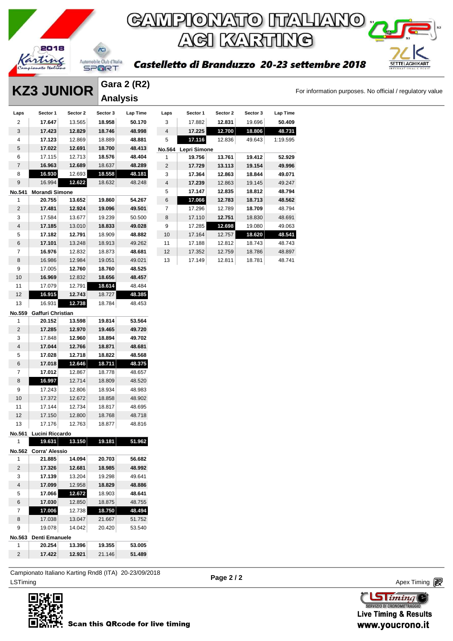

## **GAMPIONATO ITALIANO GI KARTING**

#### li Branduzzo 20-23 settembre 2018

For information purposes. No official / regulatory value

**SETTELAGHIKART** 

|                |                        |          |                          |             |                |                                         |          | KYAKA    |          |
|----------------|------------------------|----------|--------------------------|-------------|----------------|-----------------------------------------|----------|----------|----------|
|                | 2018                   |          |                          |             |                |                                         |          |          |          |
|                |                        |          | Automobile Club d'Italia |             |                |                                         |          |          |          |
|                |                        |          | SPORT                    |             |                | <b>Castelletto di Branduzzo 20-23 s</b> |          |          |          |
|                |                        |          |                          |             |                |                                         |          |          |          |
|                |                        |          |                          | Gara 2 (R2) |                |                                         |          |          |          |
|                | <b>KZ3 JUNIOR</b>      |          | <b>Analysis</b>          |             |                |                                         |          |          |          |
| Laps           | Sector 1               | Sector 2 | Sector 3                 | Lap Time    | Laps           | Sector 1                                | Sector 2 | Sector 3 | Lap Time |
| 2              | 17.647                 | 13.565   | 18.958                   | 50.170      | 3              | 17.882                                  | 12.831   | 19.696   | 50.409   |
| 3              | 17.423                 | 12.829   | 18.746                   | 48.998      | 4              | 17.225                                  | 12.700   | 18.806   | 48.731   |
| 4              | 17.123                 | 12.869   | 18.889                   | 48.881      | 5              | 17.116                                  | 12.836   | 49.643   | 1:19.595 |
| 5              | 17.022                 | 12.691   | 18.700                   | 48.413      | No.564         | Lepri Simone                            |          |          |          |
| 6              | 17.115                 | 12.713   | 18.576                   | 48.404      | 1              | 19.756                                  | 13.761   | 19.412   | 52.929   |
| $\overline{7}$ | 16.963                 | 12.689   | 18.637                   | 48.289      | $\overline{2}$ | 17.729                                  | 13.113   | 19.154   | 49.996   |
| 8              | 16.930                 | 12.693   | 18.558                   | 48.181      | 3              | 17.364                                  | 12.863   | 18.844   | 49.071   |
| 9              | 16.994                 | 12.622   | 18.632                   | 48.248      | 4              | 17.239                                  | 12.863   | 19.145   | 49.247   |
| No.541         | <b>Morandi Simone</b>  |          |                          |             | 5              | 17.147                                  | 12.835   | 18.812   | 48.794   |
| 1              | 20.755                 | 13.652   | 19.860                   | 54.267      | 6              | 17.066                                  | 12.783   | 18.713   | 48.562   |
| 2              | 17.481                 | 12.924   | 19.096                   | 49.501      | 7              | 17.296                                  | 12.789   | 18.709   | 48.794   |
| 3              | 17.584                 | 13.677   | 19.239                   | 50.500      | 8              | 17.110                                  | 12.751   | 18.830   | 48.691   |
| 4              | 17.185                 | 13.010   | 18.833                   | 49.028      | 9              | 17.285                                  | 12.698   | 19.080   | 49.063   |
| 5              | 17.182                 | 12.791   | 18.909                   | 48.882      | 10             | 17.164                                  | 12.757   | 18.620   | 48.541   |
| 6              | 17.101                 | 13.248   | 18.913                   | 49.262      | 11             | 17.188                                  | 12.812   | 18.743   | 48.743   |
| 7              | 16.976                 | 12.832   | 18.873                   | 48.681      | 12             | 17.352                                  | 12.759   | 18.786   | 48.897   |
| 8              | 16.986                 | 12.984   | 19.051                   | 49.021      | 13             | 17.149                                  | 12.811   | 18.781   | 48.741   |
| 9              | 17.005                 | 12.760   | 18.760                   | 48.525      |                |                                         |          |          |          |
| 10             | 16.969                 | 12.832   | 18.656                   | 48.457      |                |                                         |          |          |          |
| 11             | 17.079                 | 12.791   | 18.614                   | 48.484      |                |                                         |          |          |          |
| 12             | 16.915                 | 12.743   | 18.727                   | 48.385      |                |                                         |          |          |          |
| 13             | 16.931                 | 12.738   | 18.784                   | 48.453      |                |                                         |          |          |          |
| No.559         | Gaffuri Christian      |          |                          |             |                |                                         |          |          |          |
| 1              | 20.152                 | 13.598   | 19.814                   | 53.564      |                |                                         |          |          |          |
| 2              | 17.285                 | 12.970   | 19.465                   | 49.720      |                |                                         |          |          |          |
| 3              | 17.848                 | 12.960   | 18.894                   | 49.702      |                |                                         |          |          |          |
| $\overline{4}$ | 17.044                 | 12.766   | 18.871                   | 48.681      |                |                                         |          |          |          |
| 5              | 17.028                 | 12.718   | 18.822                   | 48.568      |                |                                         |          |          |          |
| 6              | 17.018                 | 12.646   | 18.711                   | 48.375      |                |                                         |          |          |          |
| 7              | 17.012                 | 12.867   | 18.778                   | 48.657      |                |                                         |          |          |          |
| 8              | 16.997                 | 12.714   | 18.809                   | 48.520      |                |                                         |          |          |          |
| 9              | 17.243                 | 12.806   | 18.934                   | 48.983      |                |                                         |          |          |          |
| 10             | 17.372                 | 12.672   | 18.858                   | 48.902      |                |                                         |          |          |          |
| 11             | 17.144                 | 12.734   | 18.817                   | 48.695      |                |                                         |          |          |          |
| 12             | 17.150                 | 12.800   | 18.768                   | 48.718      |                |                                         |          |          |          |
| 13             | 17.176                 | 12.763   | 18.877                   | 48.816      |                |                                         |          |          |          |
|                | No.561 Lucini Riccardo |          |                          |             |                |                                         |          |          |          |
| 1              | 19.631                 | 13.150   | 19.181                   | 51.962      |                |                                         |          |          |          |
| No.562         | Corra' Alessio         |          |                          |             |                |                                         |          |          |          |
| 1              | 21.885                 | 14.094   | 20.703                   | 56.682      |                |                                         |          |          |          |

| No.562         | Corra' Alessio |        |        |        |
|----------------|----------------|--------|--------|--------|
| 1              | 21.885         | 14.094 | 20.703 | 56.682 |
| 2              | 17.326         | 12.681 | 18.985 | 48.992 |
| 3              | 17.139         | 13.204 | 19.298 | 49.641 |
| 4              | 17.099         | 12.958 | 18.829 | 48.886 |
| 5              | 17.066         | 12.672 | 18.903 | 48.641 |
| 6              | 17.030         | 12.850 | 18.875 | 48.755 |
| 7              | 17.006         | 12.738 | 18.750 | 48.494 |
| 8              | 17.038         | 13.047 | 21.667 | 51.752 |
| 9              | 19.078         | 14.042 | 20.420 | 53.540 |
| No.563         | Denti Emanuele |        |        |        |
| 1              | 20.254         | 13.396 | 19.355 | 53.005 |
| $\overline{2}$ | 17.422         | 12.921 | 21.146 | 51.489 |

ex Timing and the Company of the Company of the Company of the Company of the Company of the Apex Timing (1990) and the Company of the Company of the Company of the Company of the Company of the Company of the Company of t Campionato Italiano Karting Rnd8 (ITA) 20-23/09/2018



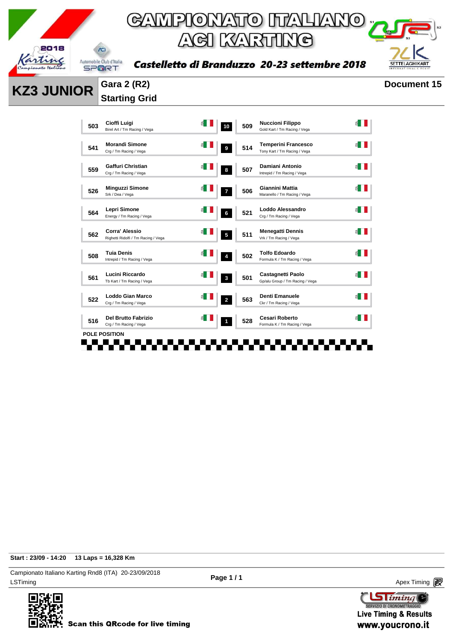



Castelletto di Branduzzo 20-23 settembre 2018

#### **KZ3 JUNIOR Gara 2 (R2) Document 15 Starting Grid**

| 503 | Cioffi Luigi<br>Birel Art / Tm Racing / Vega                 | 10             | 509 | <b>Nuccioni Filippo</b><br>Gold Kart / Tm Racing / Vega     |  |
|-----|--------------------------------------------------------------|----------------|-----|-------------------------------------------------------------|--|
| 541 | <b>Morandi Simone</b><br>Crg / Tm Racing / Vega              | 9              | 514 | <b>Temperini Francesco</b><br>Tony Kart / Tm Racing / Vega  |  |
| 559 | Gaffuri Christian<br>Crg / Tm Racing / Vega                  | 8              | 507 | Damiani Antonio<br>Intrepid / Tm Racing / Vega              |  |
| 526 | <b>Minguzzi Simone</b><br>Srk / Dea / Vega                   | 7              | 506 | Giannini Mattia<br>Maranello / Tm Racing / Vega             |  |
| 564 | Lepri Simone<br>Energy / Tm Racing / Vega                    | 6              | 521 | Loddo Alessandro<br>Crg / Tm Racing / Vega                  |  |
| 562 | <b>Corra' Alessio</b><br>Righetti Ridolfi / Tm Racing / Vega | 5              | 511 | <b>Menegatti Dennis</b><br>Vrk / Tm Racing / Vega           |  |
| 508 | <b>Tuia Denis</b><br>Intrepid / Tm Racing / Vega             | 4              | 502 | <b>Tolfo Edoardo</b><br>Formula K / Tm Racing / Vega        |  |
| 561 | Lucini Riccardo<br>Tb Kart / Tm Racing / Vega                | $\mathbf 3$    | 501 | <b>Castagnetti Paolo</b><br>Gp/alu Group / Tm Racing / Vega |  |
| 522 | Loddo Gian Marco<br>Crg / Tm Racing / Vega                   | $\overline{a}$ | 563 | Denti Emanuele<br>Ckr / Tm Racing / Vega                    |  |
| 516 | Del Brutto Fabrizio<br>Crg / Tm Racing / Vega                | 1              | 528 | <b>Cesari Roberto</b><br>Formula K / Tm Racing / Vega       |  |
|     | <b>POLE POSITION</b>                                         |                |     |                                                             |  |
|     |                                                              |                |     |                                                             |  |

**Start : 23/09 - 14:20 13 Laps = 16,328 Km**

LSTiming Apex Timing Apex Timing Apex Timing Apex Timing Apex Timing Apex Timing Apex Timing Campionato Italiano Karting Rnd8 (ITA) 20-23/09/2018



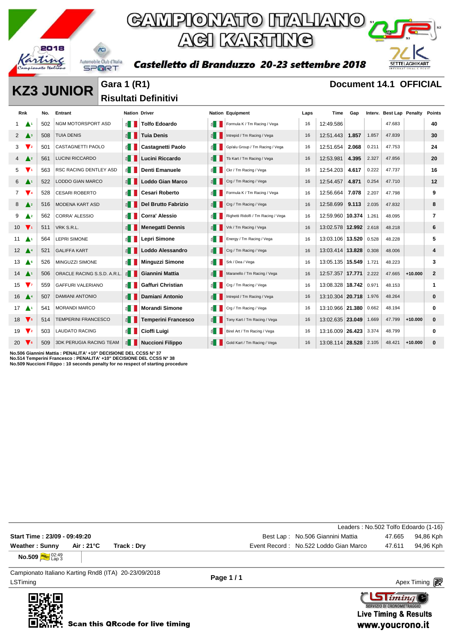

### GAMPIONATO ITALIANO ACI KARTING

Castelletto di Branduzzo 20-23 settembre 2018



**KZ3 JUNIOR** Gara 1 (R1) **Document 14.1 OFFICIAL** 

**Risultati Definitivi** 

| <b>Rnk</b>                    |                          | No. | Entrant                        | <b>Nation Driver</b>           |                            |              | <b>Nation Equipment</b>             | Laps | Time                   | Gap   |       | Interv. Best Lap Penalty |           | <b>Points</b> |
|-------------------------------|--------------------------|-----|--------------------------------|--------------------------------|----------------------------|--------------|-------------------------------------|------|------------------------|-------|-------|--------------------------|-----------|---------------|
|                               |                          | 502 | NGM MOTORSPORT ASD             | $\leq$ $\blacksquare$          | <b>Tolfo Edoardo</b>       | £.           | Formula K / Tm Racing / Vega        | 16   | 12:49.586              |       |       | 47.683                   |           | 40            |
| $2^{\circ}$                   | $\triangle$ <sup>3</sup> | 508 | <b>TUIA DENIS</b>              | $\leq$ $\parallel$ $\parallel$ | <b>Tuia Denis</b>          | E            | Intrepid / Tm Racing / Vega         | 16   | 12:51.443              | 1.857 | 1.857 | 47.839                   |           | 30            |
| 3                             | V <sub>2</sub>           | 501 | <b>CASTAGNETTI PAOLO</b>       | ≦ II                           | <b>Castagnetti Paolo</b>   | ≦ II         | Gp/alu Group / Tm Racing / Vega     | 16   | 12:51.654              | 2.068 | 0.211 | 47.753                   |           | 24            |
| $4\sqrt{2}$                   |                          | 561 | <b>LUCINI RICCARDO</b>         | $\leq$ $\blacksquare$          | Lucini Riccardo            | 图            | Tb Kart / Tm Racing / Vega          | 16   | 12:53.981              | 4.395 | 2.327 | 47.856                   |           | 20            |
| 5                             | $\mathbf{V}$             | 563 | RSC RACING DENTLEY ASD         | $\leq$ $\blacksquare$          | Denti Emanuele             | 11 ≧         | Ckr / Tm Racing / Vega              | 16   | 12:54.203              | 4.617 | 0.222 | 47.737                   |           | 16            |
| 6                             | - A 1                    | 522 | <b>LODDO GIAN MARCO</b>        | $\leq$ $\parallel$             | <b>Loddo Gian Marco</b>    | ₿.           | Crg / Tm Racing / Vega              | 16   | 12:54.457              | 4.871 | 0.254 | 47.710                   |           | 12            |
| $7 \sqrt{4}$                  |                          | 528 | <b>CESARI ROBERTO</b>          | $\leq$ 1                       | <b>Cesari Roberto</b>      | 11           | Formula K / Tm Racing / Vega        | 16   | 12:56.664              | 7.078 | 2.207 | 47.798                   |           | 9             |
| 8                             | $\triangle$ 2            | 516 | <b>MODENA KART ASD</b>         | $\leq$ $\parallel$ $\parallel$ | <b>Del Brutto Fabrizio</b> | E            | Crg / Tm Racing / Vega              | 16   | 12:58.699              | 9.113 | 2.035 | 47.832                   |           | 8             |
| 9                             | $\triangle^2$            | 562 | <b>CORRA' ALESSIO</b>          | E II                           | <b>Corra' Alessio</b>      | $\mathbb{E}$ | Righetti Ridolfi / Tm Racing / Vega | 16   | 12:59.960 10.374       |       | 1.261 | 48.095                   |           | 7             |
| $10 \sqrt{1}$                 |                          | 511 | VRK S.R.L.                     | $\leq$ $\blacksquare$          | <b>Menegatti Dennis</b>    | ê I          | Vrk / Tm Racing / Vega              | 16   | 13:02.578 12.992 2.618 |       |       | 48.218                   |           | 6             |
| 11 $\triangle$                |                          | 564 | <b>LEPRI SIMONE</b>            | ≦ III                          | <b>Lepri Simone</b>        | 1≦ 1         | Energy / Tm Racing / Vega           | 16   | 13:03.106 13.520       |       | 0.528 | 48.228                   |           | 5             |
| $12 \triangle 4$              |                          | 521 | <b>GALIFFA KART</b>            | $\leq$ $\blacksquare$          | Loddo Alessandro           | l B          | Crg / Tm Racing / Vega              | 16   | 13:03.414 13.828       |       | 0.308 | 48,006                   |           | 4             |
| $13 \triangle$                |                          | 526 | MINGUZZI SIMONE                | $\leq$ $\blacksquare$          | <b>Minguzzi Simone</b>     | €∎           | Srk / Dea / Vega                    | 16   | 13:05.135 15.549       |       | 1.721 | 48.223                   |           | 3             |
| $14 \triangle 1$              |                          | 506 | ORACLE RACING S.S.D. A.R.L.    | $\leq$ $\blacksquare$          | Giannini Mattia            | ₹.           | Maranello / Tm Racing / Vega        | 16   | 12:57.357 17.771       |       | 2.222 | 47.665                   | $+10.000$ | $\mathbf{2}$  |
| 15                            | $\sqrt{7}$               | 559 | <b>GAFFURI VALERIANO</b>       | $\leq$ 1                       | Gaffuri Christian          | £.           | Crg / Tm Racing / Vega              | 16   | 13:08.328 18.742       |       | 0.971 | 48.153                   |           | 1             |
| $16$ $\triangle$ <sup>4</sup> |                          | 507 | <b>DAMIANI ANTONIO</b>         | $\leq$ $\parallel$             | <b>Damiani Antonio</b>     | 11           | Intrepid / Tm Racing / Vega         | 16   | 13:10.304 20.718       |       | 1.976 | 48.264                   |           | 0             |
| $17 \Delta_1$                 |                          | 541 | <b>MORANDI MARCO</b>           | $\leq$ $\blacksquare$          | <b>Morandi Simone</b>      | £.           | Crg / Tm Racing / Vega              | 16   | 13:10.966 21.380       |       | 0.662 | 48.194                   |           | 0             |
| 18 $\sqrt{5}$                 |                          | 514 | <b>TEMPERINI FRANCESCO</b>     | $\leq$ $\blacksquare$          | <b>Temperini Francesco</b> | $\epsilon$   | Tony Kart / Tm Racing / Vega        | 16   | 13:02.635 23.049       |       | 1.669 | 47.799                   | $+10.000$ | 0             |
| 19 $\nabla$ 2                 |                          | 503 | <b>LAUDATO RACING</b>          | $\leq$ $\blacksquare$          | Cioffi Luigi               | 6. ∣         | Birel Art / Tm Racing / Vega        | 16   | 13:16.009 26.423       |       | 3.374 | 48.799                   |           | 0             |
| 20 $\sqrt{6}$                 |                          | 509 | <b>3DK PERUGIA RACING TEAM</b> | $\leq$ $\blacksquare$          | <b>Nuccioni Filippo</b>    | 图            | Gold Kart / Tm Racing / Vega        | 16   | 13:08.114 28.528       |       | 2.105 | 48.421                   | $+10.000$ | 0             |

**No.506 Giannini Mattia : PENALITA' +10" DECISIONE DEL CCSS N° 37 No.514 Temperini Francesco : PENALITA' +10" DECISIONE DEL CCSS N° 38**

**No.509 Nuccioni Filippo : 10 seconds penalty for no respect of starting procedure**

|                                                                  |            |             | Leaders: No.502 Tolfo Edoardo (1-16)            |           |
|------------------------------------------------------------------|------------|-------------|-------------------------------------------------|-----------|
| Start Time: 23/09 - 09:49:20                                     |            |             | Best Lap: No.506 Giannini Mattia<br>47.665      | 94.86 Kph |
| <b>Weather: Sunny</b>                                            | Air : 21°C | Track : Drv | Event Record: No.522 Loddo Gian Marco<br>47.611 | 94,96 Kph |
| <b>No.509 <i><u><i>MVEST</i></u></i></b> $_{\text{Lap}}^{02:49}$ |            |             |                                                 |           |

LSTiming Apex Timing Apex Timing Apex Timing Apex Timing Apex Timing Apex Timing Apex Timing Campionato Italiano Karting Rnd8 (ITA) 20-23/09/2018

**Page 1 / 1**

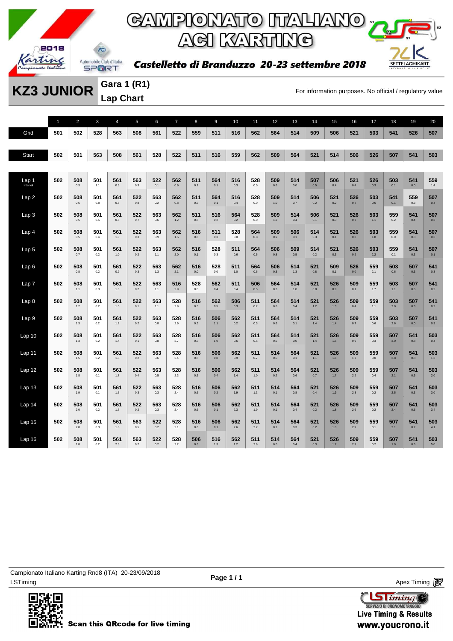

### **GAMPIONATO ITALIANO** y **ACI KARTING**

Castelletto di Branduzzo 20-23 settembre 2018



**KZ3 JUNIOR** Cara 1 (R1)<br>For information purposes. No official / regulatory value

**Gara 1 (R1) Lap Chart** 

|                   | $\mathbf{1}$ | $\overline{2}$ | 3          | $\overline{4}$ | 5              | 6          | $\overline{7}$ | 8          | 9            | 10             | 11             | 12             | 13         | 14           | 15           | 16         | 17             | 18         | 19             | 20             |
|-------------------|--------------|----------------|------------|----------------|----------------|------------|----------------|------------|--------------|----------------|----------------|----------------|------------|--------------|--------------|------------|----------------|------------|----------------|----------------|
| Grid              | 501          | 502            | 528        | 563            | 508            | 561        | 522            | 559        | 511          | 516            | 562            | 564            | 514        | 509          | 506          | 521        | 503            | 541        | 526            | 507            |
|                   |              |                |            |                |                |            |                |            |              |                |                |                |            |              |              |            |                |            |                |                |
| <b>Start</b>      | 502          | 501            | 563        | 508            | 561            | 528        | 522            | 511        | 516          | 559            | 562            | 509            | 564        | 521          | 514          | 506        | 526            | 507        | 541            | 503            |
|                   |              |                |            |                |                |            |                |            |              |                |                |                |            |              |              |            |                |            |                |                |
| Lap 1             | 502          | 508            | 501        | 561            | 563            | 522        | 562            | 511        | 564          | 516            | 528            | 509            | 514        | 507          | 506          | 521        | 526            | 503        | 541            | 559            |
| Interval          |              | $0.3\,$        | 1.1        | 0.3            | 0.3            | 0.1        | $0.9\,$        | 0.1        | 0.1          | $0.3\,$        | 0.0            | $0.6\,$        | 0.0        | $0.5\,$      | 0.4          | 0.4        | 0.3            | 0.1        | 0.0            | 1.4            |
| Lap2              | 502          | 508<br>$0.5\,$ | 501<br>0.8 | 561<br>$0.5\,$ | 522<br>$0.8\,$ | 563<br>0.2 | 562<br>$0.8\,$ | 511<br>0.3 | 564<br>0.1   | 516<br>$0.4\,$ | 528<br>$0.0\,$ | 509<br>$1.0\,$ | 514<br>0.7 | 506<br>0.2   | 521<br>0.2   | 526<br>0.7 | 503<br>0.6     | 541<br>0.1 | 559<br>$0.3\,$ | 507<br>0.4     |
| Lap <sub>3</sub>  | 502          | 508            | 501        | 561            | 522            | 563        | 562            | 511        | 516          | 564            | 528            | 509            | 514        | 506          | 521          | 526        | 503            | 559        | 541            | 507            |
|                   |              | 0.5            | 0.5        | 0.6            | 0.7            | 0.6        | 1.2            | 0.5        | 0.2          | 0.2            | 0.0            | 1.2            | 0.4        | 0.1          | 0.3          | 0.7        | 1.1            | 0.2        | 0.4            | 0.3            |
| Lap 4             | 502          | 508<br>0.5     | 501<br>0.4 | 561<br>1.0     | 522<br>0.3     | 563<br>0.9 | 562<br>1.5     | 516<br>0.6 | 511<br>0.3   | 528<br>0.0     | 564<br>0.8     | 509<br>0.9     | 506<br>0.1 | 514<br>0.3   | 521<br>0.1   | 526<br>0.3 | 503<br>1.8     | 559<br>0.0 | 541<br>0.3     | 507<br>0.3     |
|                   |              |                |            |                |                |            |                |            |              |                |                |                |            |              |              |            |                |            |                |                |
| Lap <sub>5</sub>  | 502          | 508<br>0.7     | 501<br>0.2 | 561<br>$1.0$   | 522<br>0.2     | 563<br>1.1 | 562<br>2.0     | 516<br>0.1 | 528<br>0.3   | 511<br>0.6     | 564<br>0.5     | 506<br>0.8     | 509<br>0.5 | 514<br>0.2   | 521<br>0.3   | 526<br>0.2 | 503<br>2.2     | 559<br>0.1 | 541<br>0.3     | 507<br>0.1     |
| Lap6              | 502          | 508            | 501        | 561            | 522            | 563        | 562            | 516        | 528          | 511            | 564            | 506            | 514        | 521          | 509          | 526        | 559            | 503        | 507            | 541            |
|                   |              | 0.8            | 0.2        | 0.9            | 0.3            | 1.3        | 2.1            | 0.0        | 0.0          | 1.0            | 0.6            | 0.3            | 1.3        | 0.8          | 0.1          | 0.0        | 2.1            | 0.6        | 0.3            | 0.3            |
| Lap 7             | 502          | 508<br>1.1     | 501<br>0.3 | 561<br>1.0     | 522<br>0.2     | 563<br>1.1 | 516<br>2.9     | 528<br>0.0 | 562<br>0.4   | 511<br>0.4     | 506<br>0.5     | 564<br>0.3     | 514<br>1.0 | 521<br>0.8   | 526<br>0.9   | 509<br>0.1 | 559<br>1.7     | 503<br>1.1 | 507<br>0.6     | 541<br>0.2     |
| Lap <sub>8</sub>  | 502          | 508            | 501        | 561            | 522            | 563        | 528            | 516        | 562          | 506            | 511            | 564            | 514        | 521          | 526          | 509        | 559            | 503        | 507            | 541            |
|                   |              | $1.2\,$        | 0.2        | $1.0\,$        | 0.1            | 1.1        | 2.9            | 0.3        | $0.5\,$      | 0.3            | 0.2            | 0.6            | 0.4        | $1.2$        | 1.3          | 0.4        | $1.1$          | 2.0        | 0.3            | 0.2            |
| Lap <sub>9</sub>  | 502          | 508<br>$1.3$   | 501<br>0.2 | 561<br>$1.2$   | 522<br>0.2     | 563<br>0.8 | 528<br>2.9     | 516<br>0.3 | 506<br>$1.1$ | 562<br>0.2     | 511<br>0.3     | 564<br>0.6     | 514<br>0.1 | 521<br>1.4   | 526<br>1.4   | 509<br>0.7 | 559<br>0.6     | 503<br>2.6 | 507<br>0.0     | 541<br>0.3     |
| Lap <sub>10</sub> | 502          | 508            | 501        | 561            | 522            | 563        | 528            | 516        | 506          | 562            | 511            | 564            | 514        | 521          | 526          | 509        | 559            | 507        | 541            | 503            |
|                   |              | $1.3$          | 0.2        | 1.4            | 0.1            | 0.8        | 2.7            | 0.3        | 1.0          | 0.6            | 0.5            | 0.6            | 0.0        | 1.4          | 1.5          | 0.9        | 0.3            | 3.0        | 0.8            | 0.4            |
| Lap 11            | 502          | 508<br>1.5     | 501<br>0.2 | 561<br>1.8     | 522<br>0.2     | 563<br>0.6 | 528<br>2.4     | 516<br>0.5 | 506<br>0.8   | 562<br>0.9     | 511<br>0.7     | 514<br>0.6     | 564<br>0.1 | 521<br>$1.1$ | 526<br>1.6   | 509<br>1.7 | 559<br>$0.0\,$ | 507<br>2.8 | 541<br>0.8     | 503<br>1.3     |
|                   |              |                |            |                |                |            |                |            |              |                |                |                |            |              |              |            |                |            |                |                |
| Lap 12            | 502          | 508<br>$1.8$   | 501<br>0.1 | 561<br>1.7     | 522<br>0.4     | 563<br>0.5 | 528<br>2.3     | 516<br>0.5 | 506<br>0.4   | 562<br>$1.4$   | 511<br>1.0     | 514<br>0.2     | 564<br>0.6 | 521<br>0.7   | 526<br>1.7   | 509<br>2.2 | 559<br>0.4     | 507<br>2.1 | 541<br>0.6     | 503<br>2.0     |
| Lap 13            | 502          | 508            | 501        | 561            | 522            | 563        | 528            | 516        | 506          | 562            | 511            | 514            | 564        | 521          | 526          | 509        | 559            | 507        | 541            | 503            |
|                   |              | 1.9            | 0.1        | 1.6            | 0.3            | 0.3        | 2.4            | 0.6        | 0.2          | 1.9            | 1.3            | 0.1            | 0.8        | 0.4          | 1.9          | 2.3        | 0.2            | 2.5        | 0.3            | 3.0            |
| Lap <sub>14</sub> | 502          | 508<br>2.0     | 501<br>0.2 | 561<br>1.7     | 522<br>0.2     | 563<br>0.3 | 528<br>2.4     | 516<br>0.6 | 506<br>0.1   | 562<br>2.3     | 511<br>1.9     | 514<br>0.1     | 564<br>0.4 | 521<br>0.2   | 526<br>1.8   | 509<br>2.6 | 559<br>0.2     | 507<br>2.4 | 541<br>0.5     | 503<br>3.4     |
| Lap <sub>15</sub> | 502          | 508            | 501        | 561            | 563            | 522        | 528            | 516        | 506          | 562            | 511            | 514            | 564        | 521          | 526          | 509        | 559            | 507        | 541            | 503            |
|                   |              | 2.0            | 0.3        | $1.8$          | 0.5            | 0.2        | 2.1            | 0.6        | 0.1          | 2.6            | 2.2            | 0.1            | 0.3        | 0.2          | 1.8          | 2.9        | 0.1            | 2.1        | 0.7            | 4.1            |
| Lap 16            | 502          | 508<br>1.8     | 501<br>0.2 | 561<br>2.3     | 563<br>0.2     | 522<br>0.2 | 528<br>2.2     | 506<br>0.6 | 516<br>1.3   | 562<br>$1.2$   | 511<br>2.6     | 514<br>0.0     | 564<br>0.4 | 521<br>0.3   | 526<br>$1.7$ | 509<br>2.9 | 559<br>0.2     | 507<br>1.9 | 541<br>0.6     | 503<br>$5.0\,$ |
|                   |              |                |            |                |                |            |                |            |              |                |                |                |            |              |              |            |                |            |                |                |

LSTiming Apex Timing Apex Timing Apex Timing Apex Timing Apex Timing Apex Timing Apex Timing Campionato Italiano Karting Rnd8 (ITA) 20-23/09/2018



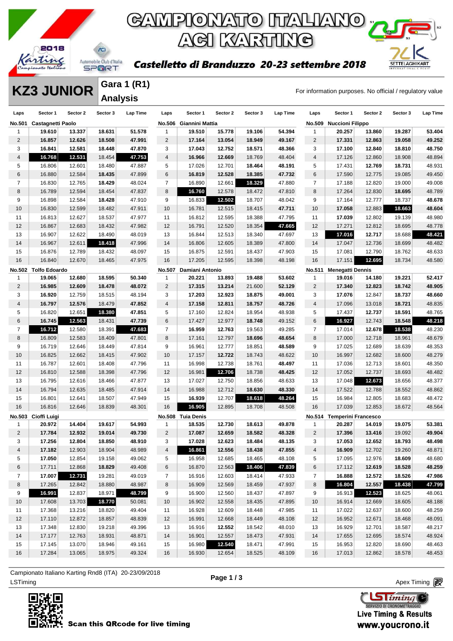

**Gara 1 (R1) Analysis** 

# GAMPIONATO ITALIANO <sub>12</sub> ACI KARTING

#### Castelletto di Branduzzo 20-23 settembre 2018

**KZ3 JUNIOR** Salter I (KT) Example the control of the control of For information purposes. No official / regulatory value

SETTELAGHIKART

**Laps Sector 1 Sector 2 Sector 3 Lap Time No.501 Castagnetti Paolo 19.610 13.337 18.631 51.578 16.857 12.626 18.508 47.991 16.841 12.581 18.448 47.870 16.768 12.531** 18.454 **47.753** 16.806 12.601 18.480 47.887 16.880 12.584 **18.435** 47.899 16.830 12.765 **18.429** 48.024 16.789 12.594 18.454 47.837 16.898 12.584 **18.428** 47.910 16.830 12.599 18.482 47.911 16.813 12.627 18.537 47.977 16.867 12.683 18.432 47.982 16.907 12.622 18.490 48.019 16.967 12.611 **18.418** 47.996 16.876 12.789 18.432 48.097 16.840 12.670 18.465 47.975 **No.502 Tolfo Edoardo 19.065 12.680 18.595 50.340 16.985 12.609 18.478 48.072 16.920** 12.759 18.515 48.194 **16.797 12.576** 18.479 **47.852** 16.820 12.651 **18.380 47.851 16.745 12.563** 18.431 **47.739 16.712** 12.580 18.391 **47.683** 16.809 12.583 18.409 47.801 16.719 12.646 18.449 47.814 16.825 12.662 18.415 47.902 16.787 12.601 18.408 47.796 16.810 12.588 18.398 47.796 16.795 12.616 18.466 47.877 16.794 12.635 18.485 47.914 16.801 12.641 18.507 47.949 16.816 12.646 18.839 48.301 **No.503 Cioffi Luigi 20.972 14.404 19.617 54.993 17.784 12.932 19.014 49.730 17.256 12.804 18.850 48.910 17.182** 12.903 18.904 48.989 **17.050** 12.854 19.158 49.062 17.711 12.868 **18.829** 49.408 **17.007 12.731** 19.281 49.019 17.265 12.842 18.880 48.987 **16.991** 12.837 18.971 **48.799** 17.608 13.703 **18.770** 50.081 17.368 13.216 18.820 49.404 17.110 12.872 18.857 48.839 17.348 12.830 19.218 49.396 17.177 12.763 18.931 48.871 17.145 13.070 18.946 49.161 17.284 13.065 18.975 49.324 **Laps Sector 1 Sector 2 Sector 3 Lap Time No.506 Giannini Mattia 19.510 15.778 19.106 54.394 17.164 13.054 18.949 49.167 17.043 12.752 18.571 48.366 16.966 12.669** 18.769 48.404 17.026 12.701 **18.464 48.191 16.819 12.528 18.385 47.732** 16.890 12.661 **18.329** 47.880 **16.760** 12.578 18.472 47.810 16.833 **12.502** 18.707 48.042 16.781 12.515 18.415 **47.711** 16.812 12.595 18.388 47.795 16.791 12.520 18.354 **47.665** 16.844 12.513 18.340 47.697 16.806 12.605 18.389 47.800 16.875 12.591 18.437 47.903 17.205 12.595 18.398 48.198 **No.507 Damiani Antonio 20.221 13.893 19.488 53.602 17.315 13.214** 21.600 **52.129 17.203 12.923 18.875 49.001 17.158 12.811 18.757 48.726** 17.160 12.824 18.954 48.938 17.427 12.977 **18.748** 49.152 **16.959 12.763** 19.563 49.285 17.161 12.797 **18.696 48.654** 16.961 12.777 18.851 **48.589** 17.157 **12.722** 18.743 48.622 16.998 12.738 18.761 **48.497** 16.981 **12.706** 18.738 **48.425** 17.027 12.750 18.856 48.633 16.988 12.712 **18.630 48.330 16.939** 12.707 **18.618 48.264 16.905** 12.895 18.708 48.508 **No.508 Tuia Denis 18.535 12.730 18.613 49.878 17.087 12.659 18.582 48.328 17.028 12.623 18.484 48.135 16.861 12.556 18.438 47.855** 16.958 12.685 18.465 48.108 16.870 12.563 **18.406 47.839** 16.916 12.603 18.414 47.933 16.909 12.569 18.459 47.937 16.900 12.560 18.437 47.897 16.902 12.558 18.435 47.895 16.928 12.609 18.448 47.985 16.991 12.668 18.449 48.108 16.916 **12.552** 18.542 48.010 16.901 12.557 18.473 47.931 16.980 **12.540** 18.471 47.991 16.930 12.654 18.525 48.109 **Laps Sector 1 Sector 2 Sector 3 Lap Time No.509 Nuccioni Filippo 20.257 13.860 19.287 53.404 17.331 12.863 19.058 49.252 17.100 12.840 18.810 48.750** 17.126 12.860 18.908 48.894 17.431 **12.769 18.731** 48.931 17.590 12.775 19.085 49.450 17.188 12.820 19.000 49.008 17.264 12.830 **18.695** 48.789 17.164 12.777 18.737 **48.678 17.058** 12.883 **18.663 48.604 17.039** 12.802 19.139 48.980 17.271 12.812 18.695 48.778 **17.016 12.717** 18.688 **48.421** 17.047 12.736 18.699 48.482 17.081 12.790 18.762 48.633 17.151 **12.695** 18.734 48.580 **No.511 Menegatti Dennis 19.016 14.180 19.221 52.417 17.340 12.823 18.742 48.905 17.076** 12.847 **18.737 48.660** 17.096 13.018 **18.721** 48.835 17.437 **12.737 18.591** 48.765 **16.927** 12.743 **18.548 48.218** 17.014 **12.678 18.538** 48.230 17.000 12.718 18.961 48.679 17.025 12.689 18.639 48.353 16.997 12.682 18.600 48.279 17.036 12.713 18.601 48.350 17.052 12.737 18.693 48.482 17.048 **12.673** 18.656 48.377 17.522 12.788 18.552 48.862 16.984 12.805 18.683 48.472 17.039 12.853 18.672 48.564 **No.514 Temperini Francesco 20.287 14.019 19.075 53.381 17.396 13.416** 19.092 **49.904 17.053 12.652 18.793 48.498 16.909** 12.702 19.260 48.871 17.095 12.976 **18.609** 48.680 17.112 **12.619 18.528 48.259 16.888 12.572 18.526 47.986 16.804 12.557 18.438 47.799** 16.913 **12.523** 18.625 48.061 16.914 12.669 18.605 48.188 17.022 12.637 18.600 48.259 16.952 12.671 18.468 48.091 16.929 12.701 18.587 48.217 17.655 12.695 18.574 48.924 16.953 12.820 18.690 48.463 17.013 12.862 18.578 48.453

ex Timing Apex Timing Apex Timing Apex Timing Apex Timing Apex Timing Apex Timing Apex Timing Apex Timing Apex Timing Campionato Italiano Karting Rnd8 (ITA) 20-23/09/2018



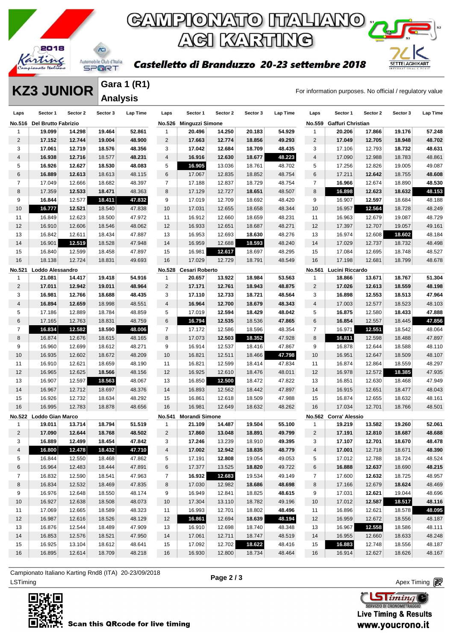

**Gara 1 (R1) Analysis** 

## GAMPIONATO ITALIANO <sub>"</sub> **ACI KARTING**

#### Castelletto di Branduzzo 20-23 settembre 2018

**KZ3 JUNIOR** Cara 1 (R1)<br>For information purposes. No official / regulatory value

**SETTELAGHIKART** 

| Laps                    | Sector 1                | Sector 2 | Sector 3 | Lap Time | Laps           | Sector 1               | Sector 2 | Sector 3 | Lap Time | Laps           | Sector 1              | Sector 2 | Sector 3 | Lap Time |
|-------------------------|-------------------------|----------|----------|----------|----------------|------------------------|----------|----------|----------|----------------|-----------------------|----------|----------|----------|
| <b>No.516</b>           | Del Brutto Fabrizio     |          |          |          |                | No.526 Minguzzi Simone |          |          |          | <b>No.559</b>  | Gaffuri Christian     |          |          |          |
| -1                      | 19.099                  | 14.298   | 19.464   | 52.861   | 1              | 20.496                 | 14.250   | 20.183   | 54.929   | 1              | 20.206                | 17.866   | 19.176   | 57.248   |
| $\overline{2}$          | 17.152                  | 12.744   | 19.004   | 48.900   | $\overline{2}$ | 17.663                 | 12.774   | 18.856   | 49.293   | 2              | 17.049                | 12.705   | 18.948   | 48.702   |
| 3                       | 17.061                  | 12.719   | 18.576   | 48.356   | 3              | 17.042                 | 12.684   | 18.709   | 48.435   | 3              | 17.106                | 12.793   | 18.732   | 48.631   |
| $\overline{\mathbf{4}}$ | 16.938                  | 12.716   | 18.577   | 48.231   | $\overline{4}$ | 16.916                 | 12.630   | 18.677   | 48.223   | $\overline{4}$ | 17.090                | 12.988   | 18.783   | 48.861   |
| 5                       | 16.926                  | 12.627   | 18.530   | 48.083   | 5              | 16.905                 | 13.036   | 18.761   | 48.702   | 5              | 17.256                | 12.826   | 19.005   | 49.087   |
| 6                       | 16.889                  | 12.613   | 18.613   | 48.115   | 6              | 17.067                 | 12.835   | 18.852   | 48.754   | 6              | 17.211                | 12.642   | 18.755   | 48.608   |
| $\overline{7}$          | 17.049                  | 12.666   | 18.682   | 48.397   | $\overline{7}$ | 17.188                 | 12.837   | 18.729   | 48.754   | $\overline{7}$ | 16.966                | 12.674   | 18.890   | 48.530   |
| 8                       | 17.359                  | 12.533   | 18.471   | 48.363   | 8              | 17.129                 | 12.727   | 18.651   | 48.507   | 8              | 16.898                | 12.623   | 18.632   | 48.153   |
| 9                       | 16.844                  | 12.577   | 18.411   | 47.832   | 9              | 17.019                 | 12.709   | 18.692   | 48.420   | 9              | 16.907                | 12.597   | 18.684   | 48.188   |
| 10                      | 16.777                  | 12.521   | 18.540   | 47.838   | 10             | 17.031                 | 12.655   | 18.658   | 48.344   | 10             | 16.957                | 12.564   | 18.728   | 48.249   |
| 11                      | 16.849                  | 12.623   | 18.500   | 47.972   | 11             | 16.912                 | 12.660   | 18.659   | 48.231   | 11             | 16.963                | 12.679   | 19.087   | 48.729   |
| 12                      | 16.910                  | 12.606   | 18.546   | 48.062   | 12             | 16.933                 | 12.651   | 18.687   | 48.271   | 12             | 17.397                | 12.707   | 19.057   | 49.161   |
| 13                      | 16.842                  | 12.611   | 18.434   | 47.887   | 13             | 16.953                 | 12.693   | 18.630   | 48.276   | 13             | 16.974                | 12.608   | 18.602   | 48.184   |
| 14                      | 16.901                  | 12.519   | 18.528   | 47.948   | 14             | 16.959                 | 12.688   | 18.593   | 48.240   | 14             | 17.029                | 12.737   | 18.732   | 48.498   |
| 15                      | 16.840                  | 12.599   | 18.458   | 47.897   | 15             | 16.981                 | 12.617   | 18.697   | 48.295   | 15             | 17.084                | 12.695   | 18.748   | 48.527   |
| 16                      | 18.138                  | 12.724   | 18.831   | 49.693   | 16             | 17.029                 | 12.729   | 18.791   | 48.549   | 16             | 17.198                | 12.681   | 18.799   | 48.678   |
| No.521                  | Loddo Alessandro        |          |          |          | No.528         | <b>Cesari Roberto</b>  |          |          |          | No.561         | Lucini Riccardo       |          |          |          |
| $\mathbf{1}$            | 21.081                  | 14.417   | 19.418   | 54.916   | 1              | 20.657                 | 13.922   | 18.984   | 53.563   | 1              | 18.866                | 13.671   | 18.767   | 51.304   |
| $\overline{2}$          | 17.011                  | 12.942   | 19.011   | 48.964   | $\overline{2}$ | 17.171                 | 12.761   | 18.943   | 48.875   | $\overline{2}$ | 17.026                | 12.613   | 18.559   | 48.198   |
| 3                       | 16.981                  | 12.766   | 18.688   | 48.435   | 3              | 17.110                 | 12.733   | 18.721   | 48.564   | 3              | 16.898                | 12.553   | 18.513   | 47.964   |
| $\overline{\mathbf{4}}$ | 16.894                  | 12.659   | 18.998   | 48.551   | $\overline{4}$ | 16.964                 | 12.700   | 18.679   | 48.343   | $\overline{4}$ | 17.003                | 12.577   | 18.523   | 48.103   |
| 5                       | 17.186                  | 12.889   | 18.784   | 48.859   | 5              | 17.019                 | 12.594   | 18.429   | 48.042   | 5              | 16.875                | 12.580   | 18.433   | 47.888   |
| 6                       | 17.165                  | 12.763   | 18.831   | 48.759   | 6              | 16.794                 | 12.535   | 18.536   | 47.865   | 6              | 16.854                | 12.557   | 18.445   | 47.856   |
| 7                       | 16.834                  | 12.582   | 18.590   | 48.006   | 7              | 17.172                 | 12.586   | 18.596   | 48.354   | $\overline{7}$ | 16.971                | 12.551   | 18.542   | 48.064   |
| 8                       | 16.874                  | 12.676   | 18.615   | 48.165   | 8              | 17.073                 | 12.503   | 18.352   | 47.928   | 8              | 16.811                | 12.598   | 18.488   | 47.897   |
| 9                       | 16.960                  | 12.699   | 18.612   | 48.271   | 9              | 16.914                 | 12.537   | 18.416   | 47.867   | 9              | 16.878                | 12.644   | 18.588   | 48.110   |
| 10                      | 16.935                  | 12.602   | 18.672   | 48.209   | 10             | 16.821                 | 12.511   | 18.466   | 47.798   | 10             | 16.951                | 12.647   | 18.509   | 48.107   |
| 11                      | 16.910                  | 12.621   | 18.659   | 48.190   | 11             | 16.821                 | 12.599   | 18.414   | 47.834   | 11             | 16.874                | 12.864   | 18.559   | 48.297   |
| 12                      | 16.965                  | 12.625   | 18.566   | 48.156   | 12             | 16.925                 | 12.610   | 18.476   | 48.011   | 12             | 16.978                | 12.572   | 18.385   | 47.935   |
| 13                      | 16.907                  | 12.597   | 18.563   | 48.067   | 13             | 16.850                 | 12.500   | 18.472   | 47.822   | 13             | 16.851                | 12.630   | 18.468   | 47.949   |
| 14                      | 16.967                  | 12.712   | 18.697   | 48.376   | 14             | 16.893                 | 12.562   | 18.442   | 47.897   | 14             | 16.915                | 12.651   | 18.477   | 48.043   |
| 15                      | 16.926                  | 12.732   | 18.634   | 48.292   | 15             | 16.861                 | 12.618   | 18.509   | 47.988   | 15             | 16.874                | 12.655   | 18.632   | 48.161   |
| 16                      | 16.995                  | 12.783   | 18.878   | 48.656   | 16             | 16.981                 | 12.649   | 18.632   | 48.262   | 16             | 17.034                | 12.701   | 18.766   | 48.501   |
| <b>No.522</b>           | <b>Loddo Gian Marco</b> |          |          |          | <b>No.541</b>  | <b>Morandi Simone</b>  |          |          |          |                | No.562 Corra' Alessio |          |          |          |
| $\mathbf{1}$            | 19.011                  | 13.714   | 18.794   | 51.519   | $\mathbf{1}$   | 21.109                 | 14.487   | 19.504   | 55.100   | $\mathbf{1}$   | 19.219                | 13.582   | 19.260   | 52.061   |
| 2                       | 17.090                  | 12.644   | 18.768   | 48.502   | $\overline{2}$ | 17.860                 | 13.048   | 18.891   | 49.799   | $\overline{2}$ | 17.191                | 12.810   | 18.687   | 48.688   |
| 3                       | 16.889                  | 12.499   | 18.454   | 47.842   | 3              | 17.246                 | 13.239   | 18.910   | 49.395   | 3              | 17.107                | 12.701   | 18.670   | 48.478   |
|                         | 16.800                  | 12.478   | 18.432   | 47.710   | $\overline{4}$ | 17.002                 | 12.942   | 18.835   | 48.779   | $\overline{4}$ | 17.001                | 12.718   | 18.671   | 48.390   |
| 5                       | 16.844                  | 12.550   | 18.468   | 47.862   | 5              | 17.191                 | 12.808   | 19.054   | 49.053   | 5              | 17.012                | 12.788   | 18.724   | 48.524   |
| 6                       | 16.964                  | 12.483   | 18.444   | 47.891   | 6              | 17.377                 | 13.525   | 18.820   | 49.722   | 6              | 16.888                | 12.637   | 18.690   | 48.215   |
| $\overline{7}$          | 16.832                  | 12.590   | 18.541   | 47.963   | $\overline{7}$ | 16.932                 | 12.683   | 19.534   | 49.149   | 7              | 17.600                | 12.632   | 18.725   | 48.957   |
| 8                       | 16.834                  | 12.532   | 18.469   | 47.835   | 8              | 17.030                 | 12.982   | 18.686   | 48.698   | 8              | 17.166                | 12.679   | 18.624   | 48.469   |
| 9                       | 16.976                  | 12.648   | 18.550   | 48.174   | 9              | 16.949                 | 12.841   | 18.825   | 48.615   | 9              | 17.031                | 12.621   | 19.044   | 48.696   |
| 10                      | 16.927                  | 12.638   | 18.508   | 48.073   | 10             | 17.304                 | 13.110   | 18.782   | 49.196   | 10             | 17.012                | 12.587   | 18.517   | 48.116   |
| 11                      | 17.069                  | 12.665   | 18.589   | 48.323   | 11             | 16.993                 | 12.701   | 18.802   | 48.496   | 11             | 16.896                | 12.621   | 18.578   | 48.095   |
| 12                      | 16.987                  | 12.616   | 18.526   | 48.129   | 12             | 16.861                 | 12.694   | 18.639   | 48.194   | 12             | 16.959                | 12.672   | 18.556   | 48.187   |
| 13                      | 16.876                  | 12.544   | 18.489   | 47.909   | 13             | 16.910                 | 12.698   | 18.740   | 48.348   | 13             | 16.967                | 12.558   | 18.586   | 48.111   |
| 14                      | 16.853                  | 12.576   | 18.521   | 47.950   | 14             | 17.061                 | 12.711   | 18.747   | 48.519   | 14             | 16.955                | 12.660   | 18.633   | 48.248   |
| 15                      | 16.925                  | 13.104   | 18.612   | 48.641   | 15             | 17.092                 | 12.702   | 18.622   | 48.416   | 15             | 16.883                | 12.748   | 18.556   | 48.187   |
| 16                      | 16.895                  | 12.614   | 18.709   | 48.218   | 16             | 16.930                 | 12.800   | 18.734   | 48.464   | 16             | 16.914                | 12.627   | 18.626   | 48.167   |

ex Timing Apex Timing Apex Timing Apex Timing Apex Timing Apex Timing Apex Timing Campionato Italiano Karting Rnd8 (ITA) 20-23/09/2018



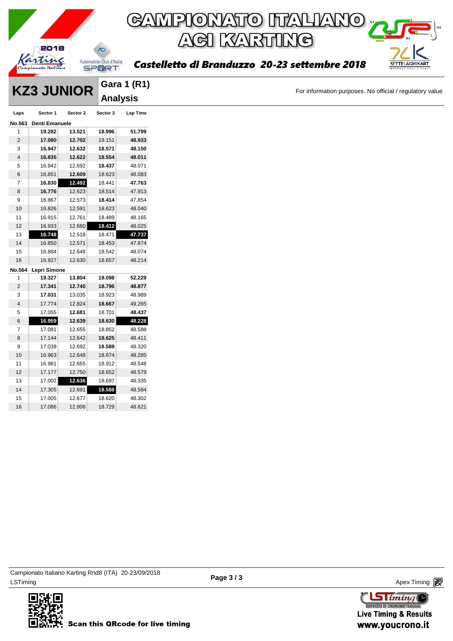

**Gara 1 (R1)**

**KRICOR** Gara 1 (R1)<br>
For information purposes. No official / regulatory value

|                |                     |          | <b>Analysis</b> |                 |
|----------------|---------------------|----------|-----------------|-----------------|
| Laps           | Sector 1            | Sector 2 | Sector 3        | <b>Lap Time</b> |
| No.563         | Denti Emanuele      |          |                 |                 |
| $\mathbf{1}$   | 19.282              | 13.521   | 18.996          | 51.799          |
| $\mathbf 2$    | 17.080              | 12.702   | 19.151          | 48.933          |
| 3              | 16.947              | 12.632   | 18.571          | 48.150          |
| $\overline{4}$ | 16.835              | 12.622   | 18.554          | 48.011          |
| 5              | 16.942              | 12.692   | 18.437          | 48.071          |
| 6              | 16.851              | 12.609   | 18.623          | 48.083          |
| $\overline{7}$ | 16.830              | 12.492   | 18.441          | 47.763          |
| 8              | 16.776              | 12.623   | 18.514          | 47.913          |
| 9              | 16.867              | 12.573   | 18.414          | 47.854          |
| $10$           | 16.826              | 12.591   | 18.623          | 48.040          |
| 11             | 16.915              | 12.761   | 18.489          | 48.165          |
| 12             | 16.933              | 12.680   | 18.412          | 48.025          |
| $13$           | 16.748              | 12.518   | 18.471          | 47.737          |
| 14             | 16.850              | 12.571   | 18.453          | 47.874          |
| 15             | 16.884              | 12.648   | 18.542          | 48.074          |
| 16             | 16.927              | 12.630   | 18.657          | 48.214          |
| No.564         | <b>Lepri Simone</b> |          |                 |                 |
| 1              | 19.327              | 13.804   | 19.098          | 52.229          |
| $\mathbf 2$    | 17.341              | 12.740   | 18.796          | 48.877          |
| 3              | 17.031              | 13.035   | 18.923          | 48.989          |
| $\overline{4}$ | 17.774              | 12.824   | 18.667          | 49.265          |
| 5              | 17.055              | 12.681   | 18.701          | 48.437          |
| 6              | 16.959              | 12.639   | 18.630          | 48.228          |
| 7              | 17.081              | 12.655   | 18.852          | 48.588          |
| 8              | 17.144              | 12.642   | 18.625          | 48.411          |
| 9              | 17.039              | 12.692   | 18.589          | 48.320          |
| $10$           | 16.963              | 12.648   | 18.674          | 48.285          |
| 11             | 16.981              | 12.655   | 18.912          | 48.548          |
| 12             | 17.177              | 12.750   | 18.652          | 48.579          |
| 13             | 17.002              | 12.636   | 18.697          | 48.335          |
| 14             | 17.305              | 12.691   | 18.588          | 48.584          |
| 15             | 17.005              | 12.677   | 18.620          | 48.302          |
| 16             | 17.086              | 12.806   | 18.729          | 48.621          |
|                |                     |          |                 |                 |



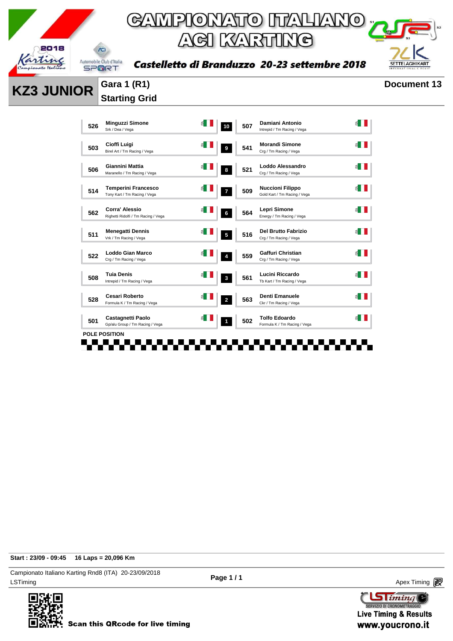

Castelletto di Branduzzo 20-23 settembre 2018



| <b>KZ3 JUNIOR</b> |     | <b>Gara 1 (R1)</b>                                           |                       |                         |     |                                                         |                       | <b>Document 13</b> |
|-------------------|-----|--------------------------------------------------------------|-----------------------|-------------------------|-----|---------------------------------------------------------|-----------------------|--------------------|
|                   |     | <b>Starting Grid</b>                                         |                       |                         |     |                                                         |                       |                    |
|                   | 526 | <b>Minguzzi Simone</b><br>Srk / Dea / Vega                   | ≝ ∐                   | 10                      | 507 | Damiani Antonio<br>Intrepid / Tm Racing / Vega          | $\leq$ $\blacksquare$ |                    |
|                   | 503 | Cioffi Luigi<br>Birel Art / Tm Racing / Vega                 | $\leq$ $\blacksquare$ | $\pmb{9}$               | 541 | <b>Morandi Simone</b><br>Crg / Tm Racing / Vega         | ₫H                    |                    |
|                   | 506 | Giannini Mattia<br>Maranello / Tm Racing / Vega              |                       | ${\bf 8}$               | 521 | Loddo Alessandro<br>Crg / Tm Racing / Vega              | $\leq$ 1              |                    |
|                   | 514 | <b>Temperini Francesco</b><br>Tony Kart / Tm Racing / Vega   | ≦ II                  | $\overline{7}$          | 509 | <b>Nuccioni Filippo</b><br>Gold Kart / Tm Racing / Vega | ≦ II                  |                    |
|                   | 562 | <b>Corra' Alessio</b><br>Righetti Ridolfi / Tm Racing / Vega |                       | ${\bf 6}$               | 564 | Lepri Simone<br>Energy / Tm Racing / Vega               | ≝ I                   |                    |
|                   | 511 | <b>Menegatti Dennis</b><br>Vrk / Tm Racing / Vega            |                       | $\overline{\mathbf{5}}$ | 516 | <b>Del Brutto Fabrizio</b><br>Crg / Tm Racing / Vega    | ≦ II                  |                    |
|                   | 522 | <b>Loddo Gian Marco</b><br>Crg / Tm Racing / Vega            |                       | $\pmb{4}$               | 559 | Gaffuri Christian<br>Crg / Tm Racing / Vega             | $\leq$ $\blacksquare$ |                    |
|                   | 508 | <b>Tuia Denis</b><br>Intrepid / Tm Racing / Vega             |                       | $\mathbf 3$             | 561 | Lucini Riccardo<br>Tb Kart / Tm Racing / Vega           | ≝ ∐                   |                    |
|                   | 528 | Cesari Roberto<br>Formula K / Tm Racing / Vega               |                       | $\boldsymbol{2}$        | 563 | Denti Emanuele<br>Ckr / Tm Racing / Vega                | $\leq$ $\blacksquare$ |                    |
|                   | 501 | <b>Castagnetti Paolo</b><br>Gp/alu Group / Tm Racing / Vega  |                       | $\mathbf{1}$            | 502 | <b>Tolfo Edoardo</b><br>Formula K / Tm Racing / Vega    | $\leq$ $\blacksquare$ |                    |
|                   |     | <b>POLE POSITION</b>                                         |                       |                         |     |                                                         |                       |                    |

**Start : 23/09 - 09:45 16 Laps = 20,096 Km**

LSTiming Apex Timing Apex Timing Apex Timing Apex Timing Apex Timing Apex Timing Apex Timing Campionato Italiano Karting Rnd8 (ITA) 20-23/09/2018



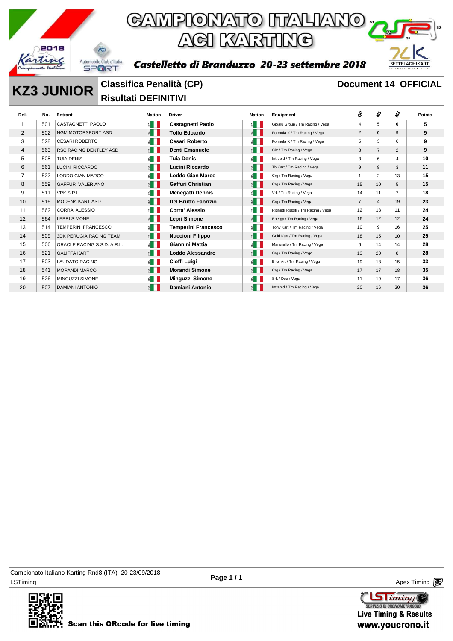



Castelletto di Branduzzo 20-23 settembre 2018

## **KZ3 JUNIOR** Classifica Penalità (CP) **Document 14 OFFICIAL**

**Risultati DEFINITIVI** 

| Rnk            | No. | Entrant                        | <b>Nation</b>         | <b>Driver</b>              | <b>Nation</b>         | Equipment                           | ô              | r.             | $\boldsymbol{\hat{z}}$ | <b>Points</b> |
|----------------|-----|--------------------------------|-----------------------|----------------------------|-----------------------|-------------------------------------|----------------|----------------|------------------------|---------------|
|                | 501 | <b>CASTAGNETTI PAOLO</b>       | $\leq$ $\Box$         | <b>Castagnetti Paolo</b>   | $\leq$ $\parallel$    | Gp/alu Group / Tm Racing / Vega     | 4              | 5              | 0                      | 5             |
| $\overline{2}$ | 502 | NGM MOTORSPORT ASD             | $\leq$ $\blacksquare$ | <b>Tolfo Edoardo</b>       | E                     | Formula K / Tm Racing / Vega        | $\overline{2}$ | $\mathbf{0}$   | 9                      | 9             |
| 3              | 528 | <b>CESARI ROBERTO</b>          | $\leq$                | <b>Cesari Roberto</b>      | $\leq$ $\parallel$    | Formula K / Tm Racing / Vega        | 5              | 3              | 6                      | 9             |
| 4              | 563 | <b>RSC RACING DENTLEY ASD</b>  | $\leq$ $\blacksquare$ | Denti Emanuele             | E                     | Ckr / Tm Racing / Vega              | 8              | $\overline{7}$ | $\overline{2}$         | 9             |
| 5              | 508 | <b>TUIA DENIS</b>              | $\leq$ $\blacksquare$ | <b>Tuia Denis</b>          | $\leq$ $\blacksquare$ | Intrepid / Tm Racing / Vega         | 3              | 6              | $\overline{4}$         | 10            |
| 6              | 561 | <b>LUCINI RICCARDO</b>         | $\leq$ $\blacksquare$ | Lucini Riccardo            | E                     | Tb Kart / Tm Racing / Vega          | 9              | 8              | 3                      | 11            |
| $\overline{7}$ | 522 | <b>LODDO GIAN MARCO</b>        | $\leq$ $\Box$         | <b>Loddo Gian Marco</b>    | $\leq$ $\blacksquare$ | Crg / Tm Racing / Vega              |                | 2              | 13                     | 15            |
| 8              | 559 | <b>GAFFURI VALERIANO</b>       | $\leq$ $\blacksquare$ | <b>Gaffuri Christian</b>   | E                     | Crg / Tm Racing / Vega              | 15             | 10             | 5                      | 15            |
| 9              | 511 | VRK S.R.L.                     | $\leq$ $\blacksquare$ | Menegatti Dennis           | $\leq$ $\parallel$    | Vrk / Tm Racing / Vega              | 14             | 11             | $\overline{7}$         | 18            |
| 10             | 516 | <b>MODENA KART ASD</b>         | $\leq$ $\blacksquare$ | <b>Del Brutto Fabrizio</b> | $\leq$ $\blacksquare$ | Crg / Tm Racing / Vega              | $\overline{7}$ | $\overline{4}$ | 19                     | 23            |
| 11             | 562 | <b>CORRA' ALESSIO</b>          | $\leq$ $\blacksquare$ | Corra' Alessio             | $\leq$ $\blacksquare$ | Righetti Ridolfi / Tm Racing / Vega | 12             | 13             | 11                     | 24            |
| 12             | 564 | <b>LEPRI SIMONE</b>            | $\leq$ $\blacksquare$ | Lepri Simone               | E                     | Energy / Tm Racing / Vega           | 16             | 12             | 12                     | 24            |
| 13             | 514 | <b>TEMPERINI FRANCESCO</b>     | $\leq$ $\Box$         | Temperini Francesco        | E                     | Tony Kart / Tm Racing / Vega        | 10             | 9              | 16                     | 25            |
| 14             | 509 | <b>3DK PERUGIA RACING TEAM</b> | $\leq$ $\blacksquare$ | <b>Nuccioni Filippo</b>    | E                     | Gold Kart / Tm Racing / Vega        | 18             | 15             | 10                     | 25            |
| 15             | 506 | ORACLE RACING S.S.D. A.R.L.    | $\leq$ $\Box$         | Giannini Mattia            | $\leq$ $\parallel$    | Maranello / Tm Racing / Vega        | 6              | 14             | 14                     | 28            |
| 16             | 521 | <b>GALIFFA KART</b>            | $\leq$ $\blacksquare$ | Loddo Alessandro           | E                     | Crg / Tm Racing / Vega              | 13             | 20             | 8                      | 28            |
| 17             | 503 | <b>LAUDATO RACING</b>          | $\leq$ $\blacksquare$ | Cioffi Luigi               | $\leq$ $\blacksquare$ | Birel Art / Tm Racing / Vega        | 19             | 18             | 15                     | 33            |
| 18             | 541 | <b>MORANDI MARCO</b>           | $\leq$ $\blacksquare$ | <b>Morandi Simone</b>      | $\leq$ $\parallel$    | Crg / Tm Racing / Vega              | 17             | 17             | 18                     | 35            |
| 19             | 526 | MINGUZZI SIMONE                | $\leq$                | Minguzzi Simone            | 겸.                    | Srk / Dea / Vega                    | 11             | 19             | 17                     | 36            |
| 20             | 507 | <b>DAMIANI ANTONIO</b>         | $\leq$ $\Box$         | Damiani Antonio            | 죕                     | Intrepid / Tm Racing / Vega         | 20             | 16             | 20                     | 36            |

LSTiming Apex Timing Apex Timing Apex Timing Apex Timing Apex Timing Apex Timing Apex Timing Campionato Italiano Karting Rnd8 (ITA) 20-23/09/2018



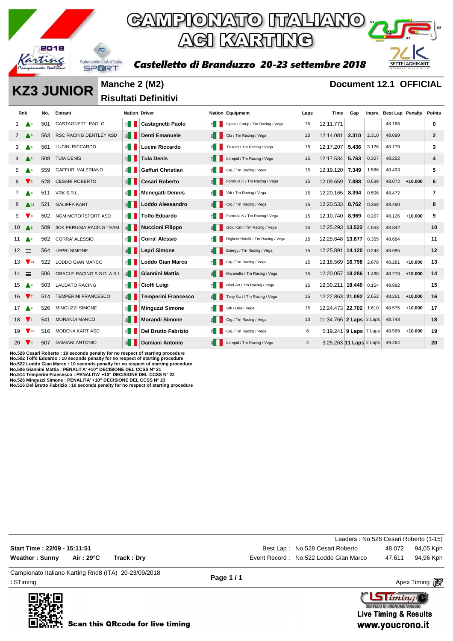

### GAMPIONATO ITALIANO ; AGI KARTING





**KZ3 JUNIOR** Manche 2 (M2) **Document 12.1 OFFICIAL** 

**Risultati Definitivi** 

| <b>Rnk</b>                    |                           | No. | Entrant                        | <b>Nation Driver</b>       |                            |                       | <b>Nation Equipment</b>             | Laps           | Time                       | Gap   |       | Interv. Best Lap Penalty |           | <b>Points</b> |
|-------------------------------|---------------------------|-----|--------------------------------|----------------------------|----------------------------|-----------------------|-------------------------------------|----------------|----------------------------|-------|-------|--------------------------|-----------|---------------|
|                               | $\mathbf{A}^4$            | 501 | CASTAGNETTI PAOLO              | $\leq$ $\parallel$         | <b>Castagnetti Paolo</b>   | 旨┃ ┃                  | Gp/alu Group / Tm Racing / Vega     | 15             | 12:11.771                  |       |       | 48.166                   |           | 0             |
| $2 \triangle 5$               |                           | 563 | <b>RSC RACING DENTLEY ASD</b>  | $\leq$ $\blacksquare$      | <b>Denti Emanuele</b>      | $\leq$ $\blacksquare$ | Ckr / Tm Racing / Vega              | 15             | 12:14.081                  | 2.310 | 2.310 | 48.099                   |           | $\mathbf{2}$  |
| 3                             | $\triangle$ <sup>5</sup>  | 561 | LUCINI RICCARDO                | ≝ ।                        | Lucini Riccardo            | 图                     | Tb Kart / Tm Racing / Vega          | 15             | 12:17.207                  | 5.436 | 3.126 | 48.179                   |           | 3             |
| $4 \triangle^2$               |                           | 508 | <b>TUIA DENIS</b>              | $\leq$ $\vert$ $\vert$     | <b>Tuia Denis</b>          | 1 ∃                   | Intrepid / Tm Racing / Vega         | 15             | 12:17.534                  | 5.763 | 0.327 | 48.252                   |           | 4             |
| 5                             | $\triangle$ <sup>5</sup>  | 559 | <b>GAFFURI VALERIANO</b>       | 11 13                      | Gaffuri Christian          | E                     | Crg / Tm Racing / Vega              | 15             | 12:19.120                  | 7.349 | 1.586 | 48.403                   |           | 5             |
| 6                             | $\mathbf{V}$ <sub>3</sub> | 528 | <b>CESARI ROBERTO</b>          | EII                        | <b>Cesari Roberto</b>      | ≦ Ⅰ                   | Formula K / Tm Racing / Vega        | 15             | 12:09.659                  | 7.888 | 0.539 | 48.072                   | $+10.000$ | 6             |
| $7 \triangle 4$               |                           | 511 | VRK S.R.L.                     | 6∎                         | <b>Menegatti Dennis</b>    | ≦ II                  | Vrk / Tm Racing / Vega              | 15             | 12:20.165                  | 8.394 | 0.506 | 48.472                   |           | 7             |
| 8                             | $\triangle$ 12            | 521 | <b>GALIFFA KART</b>            | $\leq$ $\blacksquare$      | Loddo Alessandro           | $\leq$ $\parallel$    | Crg / Tm Racing / Vega              | 15             | 12:20.533                  | 8.762 | 0.368 | 48.480                   |           | 8             |
| 9                             | $\mathbf{V}$              | 502 | NGM MOTORSPORT ASD             | $\epsilon$ iii             | <b>Tolfo Edoardo</b>       | E                     | Formula K / Tm Racing / Vega        | 15             | 12:10.740                  | 8.969 | 0.207 | 48.126                   | $+10.000$ | 9             |
| $10$ $\triangle$ <sup>5</sup> |                           | 509 | <b>3DK PERUGIA RACING TEAM</b> | ≝ III                      | <b>Nuccioni Filippo</b>    | $\leq$ 1              | Gold Kart / Tm Racing / Vega        | 15             | 12:25.293 13.522           |       | 4.553 | 48.842                   |           | 10            |
| 11                            | $\triangle^2$             | 562 | <b>CORRA' ALESSIO</b>          | ≝ II                       | <b>Corra' Alessio</b>      | £.                    | Righetti Ridolfi / Tm Racing / Vega | 15             | 12:25.648 13.877           |       | 0.355 | 48.684                   |           | 11            |
| $12 \equiv$                   |                           | 564 | <b>LEPRI SIMONE</b>            | $\leq$ $\parallel$         | Lepri Simone               | ≦                     | Energy / Tm Racing / Vega           | 15             | 12:25.891 14.120           |       | 0.243 | 48.685                   |           | 12            |
| 13                            | $\sqrt{11}$               | 522 | <b>LODDO GIAN MARCO</b>        | £Π                         | <b>Loddo Gian Marco</b>    | ≦∎                    | Crg / Tm Racing / Vega              | 15             | 12:18.569 16.798           |       | 2.678 | 48.281                   | $+10.000$ | 13            |
| $14 \equiv$                   |                           | 506 | ORACLE RACING S.S.D. A.R.L.    | $\leq$ $\blacksquare$      | Giannini Mattia            | $\leq$                | Maranello / Tm Racing / Vega        | 15             | 12:20.057 18.286           |       | 1.488 | 48.278                   | $+10.000$ | 14            |
| $15$ $\triangle$ <sup>3</sup> |                           | 503 | <b>LAUDATO RACING</b>          | l B                        | Cioffi Luigi               | ≦ II                  | Birel Art / Tm Racing / Vega        | 15             | 12:30.211   18.440         |       | 0.154 | 48.882                   |           | 15            |
| 16 $\nabla$                   |                           | 514 | <b>TEMPERINI FRANCESCO</b>     | $\leq$ $\vert \cdot \vert$ | <b>Temperini Francesco</b> | 1 1                   | Tony Kart / Tm Racing / Vega        | 15             | 12:22.863 21.092           |       | 2.652 | 48.261                   | $+10.000$ | 16            |
| 17 $\triangle$ <sup>2</sup>   |                           | 526 | MINGUZZI SIMONE                | ≝ I                        | <b>Minguzzi Simone</b>     | $\leq$ $\blacksquare$ | Srk / Dea / Vega                    | 15             | 12:24.473 22.702           |       | 1.610 | 48.575                   | $+10.000$ | 17            |
| $18$ $\blacktriangledown$     |                           | 541 | <b>MORANDI MARCO</b>           | $\leq$ $\blacksquare$      | <b>Morandi Simone</b>      | ≦ I                   | Crg / Tm Racing / Vega              | 13             | 11:34.765 2 Laps 2 Laps    |       |       | 48.743                   |           | 18            |
| $19$ $\sqrt{15}$              |                           | 516 | <b>MODENA KART ASD</b>         |                            | <b>Del Brutto Fabrizio</b> | $\mathbf{E}$          | Crg / Tm Racing / Vega              | 6              | 5:19.241   9 Laps   7 Laps |       |       | 48.569                   | $+10.000$ | 19            |
| 20 $\sqrt{4}$                 |                           | 507 | <b>DAMIANI ANTONIO</b>         | ≝ ∣                        | Damiani Antonio            |                       | Intrepid / Tm Racing / Vega         | $\overline{4}$ | 3:25.263 11 Laps 2 Laps    |       |       | 49.264                   |           | 20            |

No.528 Cesari Roberto : 10 seconds penalty for no respect of starting procedure<br>No.502 Tolfo Edoardo : 10 seconds penalty for no respect of starting procedure<br>No.522 Loddo Gian Marco : 10 seconds penalty for no respect of

**No.526 Minguzzi Simone : PENALITA' +10" DECISIONE DEL CCSS N° 23 No.516 Del Brutto Fabrizio : 10 seconds penalty for no respect of starting procedure**

|                                                      |            |             |   | Leaders: No.528 Cesari Roberto (1-15) |        |           |
|------------------------------------------------------|------------|-------------|---|---------------------------------------|--------|-----------|
| Start Time : 22/09 - 15:11:51                        |            |             |   | Best Lap: No.528 Cesari Roberto       | 48.072 | 94,05 Kph |
| Weather : Sunny                                      | Air : 29°C | Track : Drv |   | Event Record: No.522 Loddo Gian Marco | 47.611 | 94.96 Kph |
| Campionato Italiano Karting Rnd8 (ITA) 20-23/09/2018 |            |             | . |                                       |        |           |

LSTiming Apex Timing Apex Timing Apex Timing Apex Timing Apex Timing Apex Timing Apex Timing



**Page 1 / 1**

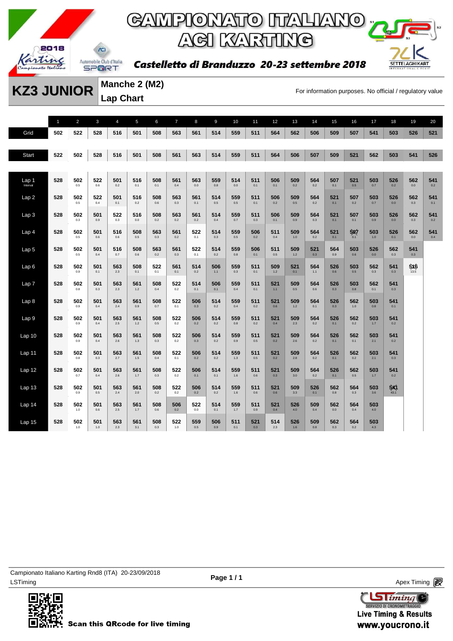

Castelletto di Branduzzo 20-23 settembre 2018



**Manche 2 (M2) Lap Chart** 

**KZ3 JUNIOR** Matricine 2 (MIZ)<br>For information purposes. No official / regulatory value

1 2 3 4 5 6 7 8 9 10 11 12 13 14 15 16 17 18 19 20 Grid **502 522 528 516 501 508 563 561 514 559 511 564 562 506 509 507 541 503 526 521** Start 522 502 528 516 501 508 561 563 514 559 511 564 506 507 509 521 562 503 541 526 Lap 1 Interval **528 502** 0.5 **522** 0.6 **501** 0.2 **516** 0.1 **508** 0.1 **561** 0.4 **563** 0.0 **559** 0.8 **514 511** 0.1 **506** 0.1 **509** 0.2 **564 507** 0.1 **521 503** 0.7 **526** 0.2 **562 541** 0.2 Lap 2 **528 502** 0.5 **522** 0.4 **501** 0.1 **516** 0.2 **508** 0.6 **563** 0.3 **561** 0.1 **514** 0.5 **559** 0.5 **511** 0.1 **506 509** 0.5 **564 521 507** 0.2 **503** 0.7 **526** 0.0 **562** 0.3 **541** 0.1 Lap 3 **528 502** 0.3 **501** 0.9 **522** 0.3 **516 508** 0.2 **563** 0.2 **561** 0.2 **514** 0.4 **559** 0.7 **511** 0.3 **506** 0.1 **509** 0.9 **564** 0.3 **521 507** 0.1 **503** 0.9 **526** 0.0 **562** 0.3 **541** 0.2 Lap 4 **528 502** 0.5 **501** 0.6 **516** 0.6 **508** 0.5 **563** 0.3 **561** 0.2 **522** 0.1 **514** 0.3 **559** 0.5 **506** 0.2 **511** 0.4 **509** 1.0 **564** 0.2 **521** 0.1 **507** 0.1 **503** 1.0 **526** 0.1 **562** 0.0 **541** 0.4 Lap 5 **528 502** 0.5 **501** 0.4 **516** 0.7 **508** 0.6 **563** 0.2 **561** 0.3 **522** 0.1 **514** 0.2 **559** 0.8 **506** 0.1 **511** 0.5 **509** 1.2 **521** 0.3 **564** 0.9 **503** 0.6 **526 562** 0.3 **541** 0.3 Lap 6 **528 502** 0.9 **501** 0.1 **563** 2.3 **508** 0.1 **522** 0.1 **561** 0.1 **514** 0.2 **506** 1.1 **559** 0.3 **511** 0.1 **509** 1.2 **521** 0.1 **564** 1.1 **526** 0.6 **503** 0.5 **562** 0.3 **541** 0.3 **5<sup>x</sup><sub>6</sub>** Lap 7 **528 502** 0.8 **501** 0.3 **563** 2.3 **561** 1.2 **508** 0.4 **522** 0.2 **514** 0.1 **506** 0.1 **559** 0.4 **511** 0.1 **521** 1.1 **509** 0.5 **564** 0.6 **526** 0.3 **503** 0.8 **562** 0.1 **541** 0.3 Lap 8 **528 502** 0.9 **501** 0.4 **563** 2.4 **561** 0.9 **508** 0.7 **522** 0.1 **506** 0.3 **514** 0.2 **559** 0.4 **511** 0.2 **521** 0.6 **509** 1.2 **564** 0.1 **526** 0.3 **562** 1.0 **503** 0.8 **541** 0.1 Lap 9 **528 502** 0.9 **501** 0.4 **563** 2.5 **561** 1.2 **508** 0.5 **522** 0.2 **506** 0.2 **514** 0.2 **559** 0.8 **511** 0.2 **521** 0.4 **509** 2.3 **564 526 562** 0.2 **503** 1.7 **541** 0.2 Lap 10 **528 502** 0.9 **501** 0.4 **563** 2.6 **561** 1.3 **508** 0.3 **522** 0.2 **506** 0.3 **514** 0.2 **559** 0.9 **511** 0.5 **521 509** 2.6 **564 526 562** 0.1 **503** 2.1 **541** 0.2 Lap 11 **528 502** 0.8 **501** 0.3 **563** 2.7 **561** 1.5 **508** 0.4 **522** 0.1 **506** 0.2 **514** 0.2 **559** 1.3 **511** 0.5 **521 509** 2.8 **564 526 562** 0.2 **503** 2.1 **541** 0.3 Lap 12 **528 502** 0.7 **501** 0.4 **563** 2.6 **561** 1.7 **508** 0.3 **522** 0.2 **506** 0.1 **514** 0.1 **559** 1.6 **511** 0.6 **521** 0.3 **509** 3.0 **564** 0.2 **526** 0.1 **562** 0.5 **503** 1.7 **541** 0.2 Lap 13 **528 502** 0.9 **501** 0.5 **563** 2.4 **561** 2.0 **508** 0.2 **522** 0.2 **506** 0.2 **514** 0.2 **559** 1.6 **511** 0.6 **521** 0.6 **509** 3.3 **526 562** 0.8 **564** 0.3 **503** 3.6 **541**<br>43.1 Lap 14 **528 502** 1.0 **501** 0.6 **563** 2.5 **561** 1.7 **508** 0.6 **506 522** 0.0 **514** 0.1 **559** 1.7 **511** 0.9 **521** 0.4 **526** 4.0 **509** 0.4 **562 564** 0.4 **503** 4.0 Lap 15 **528 502** 1.0 **501** 1.0 **563** 2.3 **561** 3.1 **508** 0.3 **522** 1.0 **559** 0.5 **506** 0.9 **511** 0.1 **521** 0.3 **514** 2.3 **526** 1.6 **509** 0.8 **562** 0.3 **564** 0.2 **503** 4.3



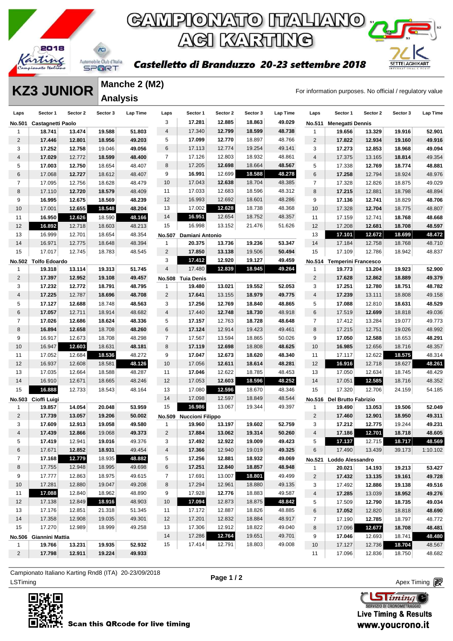

#### Castelletto di Branduzzo 20-23 settembre 2018



#### **KZ3 JUNIOR** Manche 2 (M2)<br>For information purposes. No official / regulatory value **Manche 2 (M2) Analysis**

| Laps           | Sector 1               | Sector 2 | Sector 3 | Lap Time | Laps           | Sector 1                | Sector 2 | Sector 3 | Lap Time | Laps           | Sector 1                   | Sector 2 | Sector 3 | Lap Time |
|----------------|------------------------|----------|----------|----------|----------------|-------------------------|----------|----------|----------|----------------|----------------------------|----------|----------|----------|
| No.501         | Castagnetti Paolo      |          |          |          | 3              | 17.281                  | 12.885   | 18.863   | 49.029   | No.511         | <b>Menegatti Dennis</b>    |          |          |          |
| 1              | 18.741                 | 13.474   | 19.588   | 51.803   | 4              | 17.340                  | 12.799   | 18.599   | 48.738   | 1              | 19.656                     | 13.329   | 19.916   | 52.901   |
| $\overline{2}$ | 17.446                 | 12.801   | 18.956   | 49.203   | 5              | 17.099                  | 12.770   | 18.897   | 48.766   | $\overline{c}$ | 17.822                     | 12.934   | 19.160   | 49.916   |
| 3              | 17.252                 | 12.758   | 19.046   | 49.056   | 6              | 17.113                  | 12.774   | 19.254   | 49.141   | 3              | 17.273                     | 12.853   | 18.968   | 49.094   |
| 4              | 17.029                 | 12.772   | 18.599   | 48.400   | $\overline{7}$ | 17.126                  | 12.803   | 18.932   | 48.861   | 4              | 17.375                     | 13.165   | 18.814   | 49.354   |
| 5              | 17.003                 | 12.750   | 18.654   | 48.407   | 8              | 17.205                  | 12.698   | 18.664   | 48.567   | 5              | 17.338                     | 12.769   | 18.774   | 48.881   |
| 6              | 17.068                 | 12.727   | 18.612   | 48.407   | 9              | 16.991                  | 12.699   | 18.588   | 48.278   | 6              | 17.258                     | 12.794   | 18.924   | 48.976   |
| 7              | 17.095                 | 12.756   | 18.628   | 48.479   | 10             | 17.043                  | 12.638   | 18.704   | 48.385   | $\overline{7}$ | 17.328                     | 12.826   | 18.875   | 49.029   |
| 8              | 17.110                 | 12.720   | 18.579   | 48.409   | 11             | 17.033                  | 12.683   | 18.596   | 48.312   | 8              | 17.215                     | 12.881   | 18.798   | 48.894   |
| 9              | 16.995                 | 12.675   | 18.569   | 48.239   | 12             | 16.993                  | 12.692   | 18.601   | 48.286   | 9              | 17.136                     | 12.741   | 18.829   | 48.706   |
| 10             | 17.001                 | 12.655   | 18.548   | 48.204   | 13             | 17.002                  | 12.628   | 18.738   | 48.368   | 10             | 17.328                     | 12.704   | 18.775   | 48.807   |
| 11             | 16.950                 | 12.626   | 18.590   | 48.166   | 14             | 16.951                  | 12.654   | 18.752   | 48.357   | 11             | 17.159                     | 12.741   | 18.768   | 48.668   |
| 12             | 16.892                 | 12.718   | 18.603   | 48.213   | 15             | 16.998                  | 13.152   | 21.476   | 51.626   | 12             | 17.208                     | 12.681   | 18.708   | 48.597   |
| 13             | 16.999                 | 12.701   | 18.654   | 48.354   | <b>No.507</b>  | Damiani Antonio         |          |          |          | 13             | 17.101                     | 12.672   | 18.699   | 48.472   |
| 14             | 16.971                 | 12.775   | 18.648   | 48.394   | $\mathbf{1}$   | 20.375                  | 13.736   | 19.236   | 53.347   | 14             | 17.184                     | 12.758   | 18.768   | 48.710   |
| 15             | 17.017                 | 12.745   | 18.783   | 48.545   | $\overline{2}$ | 17.850                  | 13.138   | 19.506   | 50.494   | 15             | 17.109                     | 12.786   | 18.942   | 48.837   |
|                | No.502 Tolfo Edoardo   |          |          |          | 3              | 17.412                  | 12.920   | 19.127   | 49.459   |                | No.514 Temperini Francesco |          |          |          |
| 1              | 19.318                 | 13.114   | 19.313   | 51.745   | 4              | 17.480                  | 12.839   | 18.945   | 49.264   | $\mathbf{1}$   | 19.773                     | 13.204   | 19.923   | 52.900   |
| $\overline{2}$ | 17.397                 | 12.952   | 19.108   | 49.457   |                | No.508 Tuia Denis       |          |          |          | $\overline{2}$ | 17.628                     | 12.862   | 18.889   | 49.379   |
| 3              | 17.232                 | 12.772   | 18.791   | 48.795   | $\mathbf{1}$   | 19.480                  | 13.021   | 19.552   | 52.053   | 3              | 17.251                     | 12.780   | 18.751   | 48.782   |
| $\overline{4}$ | 17.225                 | 12.787   | 18.696   | 48.708   | $\overline{2}$ | 17.641                  | 13.155   | 18.979   | 49.775   | 4              | 17.239                     | 13.111   | 18.808   | 49.158   |
| 5              | 17.127                 | 12.688   | 18.748   | 48.563   | 3              | 17.256                  | 12.769   | 18.840   | 48.865   | 5              | 17.088                     | 12.810   | 18.631   | 48.529   |
| 6              | 17.057                 | 12.711   | 18.914   | 48.682   | 4              | 17.440                  | 12.748   | 18.730   | 48.918   | 6              | 17.519                     | 12.699   | 18.818   | 49.036   |
| $\overline{7}$ | 17.026                 | 12.686   | 18.624   | 48.336   | 5              | 17.157                  | 12.763   | 18.728   | 48.648   | $\overline{7}$ | 17.412                     | 13.284   | 19.077   | 49.773   |
| 8              | 16.894                 | 12.658   | 18.708   | 48.260   | 6              | 17.124                  | 12.914   | 19.423   | 49.461   | 8              | 17.215                     | 12.751   | 19.026   | 48.992   |
| 9              | 16.917                 | 12.673   | 18.708   | 48.298   | $\overline{7}$ | 17.567                  | 13.594   | 18.865   | 50.026   | 9              | 17.050                     | 12.588   | 18.653   | 48.291   |
| 10             | 16.947                 | 12.603   | 18.631   | 48.181   | 8              | 17.119                  | 12.698   | 18.808   | 48.625   | 10             | 16.985                     | 12.656   | 18.716   | 48.357   |
| 11             | 17.052                 | 12.684   | 18.536   | 48.272   | 9              | 17.047                  | 12.673   | 18.620   | 48.340   | 11             | 17.117                     | 12.622   | 18.575   | 48.314   |
| 12             | 16.937                 | 12.608   | 18.581   | 48.126   | 10             | 17.056                  | 12.611   | 18.614   | 48.281   | 12             | 16.916                     | 12.718   | 18.627   | 48.261   |
| 13             | 17.035                 | 12.664   | 18.588   | 48.287   | 11             | 17.046                  | 12.622   | 18.785   | 48.453   | 13             | 17.050                     | 12.634   | 18.745   | 48.429   |
| 14             | 16.910                 | 12.671   | 18.665   | 48.246   | 12             | 17.053                  | 12.603   | 18.596   | 48.252   | 14             | 17.051                     | 12.585   | 18.716   | 48.352   |
| 15             | 16.888                 | 12.733   | 18.543   | 48.164   | 13             | 17.080                  | 12.596   | 18.670   | 48.346   | 15             | 17.320                     | 12.706   | 24.159   | 54.185   |
| <b>No.503</b>  | Cioffi Luigi           |          |          |          | 14             | 17.098                  | 12.597   | 18.849   | 48.544   | <b>No.516</b>  | Del Brutto Fabrizio        |          |          |          |
| 1              | 19.857                 | 14.054   | 20.048   | 53.959   | 15             | 16.986                  | 13.067   | 19.344   | 49.397   | 1              | 19.490                     | 13.053   | 19.506   | 52.049   |
| 2              | 17.739                 | 13.057   | 19.206   | 50.002   | No.509         | <b>Nuccioni Filippo</b> |          |          |          | 2              | 17.460                     | 12.901   | 18.950   | 49.311   |
| 3              | 17.609                 | 12.913   | 19.058   | 49.580   | $\mathbf{1}$   | 19.960                  | 13.197   | 19.602   | 52.759   | 3              | 17.212                     | 12.775   | 19.244   | 49.231   |
| 4              | 17.439                 | 12.866   | 19.068   | 49.373   | $\overline{2}$ | 17.884                  | 13.062   | 19.314   | 50.260   | 4              | 17.186                     | 12.701   | 18.718   | 48.605   |
| 5              | 17.419                 | 12.941   | 19.016   | 49.376   | 3              | 17.492                  | 12.922   | 19.009   | 49.423   | 5              | 17.137                     | 12.715   | 18.717   | 48.569   |
| 6              | 17.671                 | 12.852   | 18.931   | 49.454   | 4              | 17.366                  | 12.940   | 19.019   | 49.325   | 6              | 17.490                     | 13.439   | 39.173   | 1:10.102 |
| $\overline{7}$ | 17.168                 | 12.779   | 18.935   | 48.882   | 5              | 17.256                  | 12.881   | 18.932   | 49.069   | <b>No.521</b>  | Loddo Alessandro           |          |          |          |
| 8              | 17.755                 | 12.948   | 18.995   | 49.698   | 6              | 17.251                  | 12.840   | 18.857   | 48.948   | 1              | 20.021                     | 14.193   | 19.213   | 53.427   |
| 9              | 17.777                 | 12.863   | 18.975   | 49.615   | $\overline{7}$ | 17.691                  | 13.007   | 18.801   | 49.499   | $\overline{2}$ | 17.432                     | 13.135   | 19.161   | 49.728   |
| 10             | 17.281                 | 12.880   | 19.047   | 49.208   | 8              | 17.294                  | 12.961   | 18.880   | 49.135   | 3              | 17.492                     | 12.886   | 19.138   | 49.516   |
| 11             | 17.088                 | 12.840   | 18.962   | 48.890   | 9              | 17.928                  | 12.776   | 18.883   | 49.587   | $\overline{4}$ | 17.285                     | 13.039   | 18.952   | 49.276   |
| 12             | 17.138                 | 12.849   | 18.916   | 48.903   | 10             | 17.094                  | 12.873   | 18.875   | 48.842   | 5              | 17.509                     | 12.790   | 18.735   | 49.034   |
| 13             | 17.176                 | 12.851   | 21.318   | 51.345   | 11             | 17.172                  | 12.887   | 18.826   | 48.885   | 6              | 17.052                     | 12.820   | 18.818   | 48.690   |
| 14             | 17.358                 | 12.908   | 19.035   | 49.301   | 12             | 17.201                  | 12.832   | 18.884   | 48.917   | 7              | 17.190                     | 12.785   | 18.797   | 48.772   |
| 15             | 17.270                 | 12.989   | 18.999   | 49.258   | 13             | 17.306                  | 12.912   | 18.822   | 49.040   | 8              | 17.096                     | 12.677   | 18.708   | 48.481   |
|                | No.506 Giannini Mattia |          |          |          | 14             | 17.286                  | 12.764   | 19.651   | 49.701   | 9              | 17.046                     | 12.693   | 18.741   | 48.480   |
| 1              | 19.766                 | 13.231   | 19.935   | 52.932   | 15             | 17.414                  | 12.791   | 18.803   | 49.008   | 10             | 17.127                     | 12.736   | 18.704   | 48.567   |
| $\overline{2}$ | 17.798                 | 12.911   | 19.224   | 49.933   |                |                         |          |          |          | 11             | 17.096                     | 12.836   | 18.750   | 48.682   |

ex Timing and the Company of the Company of the Company of the Company of the Company of the Apex Timing Apex Timing Campionato Italiano Karting Rnd8 (ITA) 20-23/09/2018



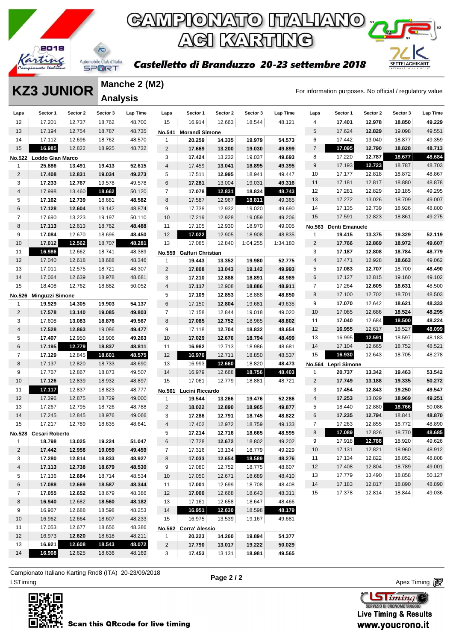

Castelletto di Branduzzo 20-23 settembre 2018



#### **KZ3 JUNIOR** Manche 2 (M2)<br>For information purposes. No official / regulatory value **Manche 2 (M2) Analysis**

| Laps           | Sector 1                | Sector 2 | Sector 3 | Lap Time | Laps           | Sector 1              | Sector 2 | Sector 3 | Lap Time | Laps                    | Sector 1            | Sector 2 | Sector 3 | Lap Time |
|----------------|-------------------------|----------|----------|----------|----------------|-----------------------|----------|----------|----------|-------------------------|---------------------|----------|----------|----------|
| 12             | 17.201                  | 12.737   | 18.762   | 48.700   | 15             | 16.914                | 12.663   | 18.544   | 48.121   | 4                       | 17.401              | 12.978   | 18.850   | 49.229   |
| 13             | 17.194                  | 12.754   | 18.787   | 48.735   | No.541         | <b>Morandi Simone</b> |          |          |          | 5                       | 17.624              | 12.829   | 19.098   | 49.551   |
| 14             | 17.112                  | 12.696   | 18.762   | 48.570   | 1              | 20.259                | 14.335   | 19.979   | 54.573   | 6                       | 17.442              | 13.040   | 18.877   | 49.359   |
| 15             | 16.985                  | 12.822   | 18.925   | 48.732   | $\overline{2}$ | 17.669                | 13.200   | 19.030   | 49.899   | $\overline{7}$          | 17.095              | 12.790   | 18.828   | 48.713   |
|                | No.522 Loddo Gian Marco |          |          |          | 3              | 17.424                | 13.232   | 19.037   | 49.693   | 8                       | 17.220              | 12.787   | 18.677   | 48.684   |
| 1              | 25.886                  | 13.491   | 19.413   | 52.615   | 4              | 17.459                | 13.041   | 18.895   | 49.395   | 9                       | 17.193              | 12.723   | 18.787   | 48.703   |
| $\overline{2}$ | 17.408                  | 12.831   | 19.034   | 49.273   | 5              | 17.511                | 12.995   | 18.941   | 49.447   | 10                      | 17.177              | 12.818   | 18.872   | 48.867   |
| 3              | 17.233                  | 12.767   | 19.578   | 49.578   | 6              | 17.281                | 13.004   | 19.031   | 49.316   | 11                      | 17.181              | 12.817   | 18.880   | 48.878   |
| $\overline{4}$ | 17.998                  | 13.460   | 18.662   | 50.120   | $\overline{7}$ | 17.078                | 12.831   | 18.834   | 48.743   | 12                      | 17.281              | 12.829   | 19.185   | 49.295   |
| 5              | 17.162                  | 12.739   | 18.681   | 48.582   | 8              | 17.587                | 12.967   | 18.811   | 49.365   | 13                      | 17.272              | 13.026   | 18.709   | 49.007   |
| 6              | 17.128                  | 12.604   | 19.142   | 48.874   | 9              | 17.738                | 12.932   | 19.020   | 49.690   | 14                      | 17.135              | 12.739   | 18.926   | 48.800   |
| $\overline{7}$ | 17.690                  | 13.223   | 19.197   | 50.110   | 10             | 17.219                | 12.928   | 19.059   | 49.206   | 15                      | 17.591              | 12.823   | 18.861   | 49.275   |
| 8              | 17.113                  | 12.613   | 18.762   | 48.488   | 11             | 17.105                | 12.930   | 18.970   | 49.005   | <b>No.563</b>           | Denti Emanuele      |          |          |          |
| 9              | 17.084                  | 12.670   | 18.696   | 48.450   | 12             | 17.022                | 12.905   | 18.908   | 48.835   | 1                       | 19.415              | 13.375   | 19.329   | 52.119   |
| 10             | 17.012                  | 12.562   | 18.707   | 48.281   | 13             | 17.085                | 12.840   | 1:04.255 | 1:34.180 | $\overline{c}$          | 17.766              | 12.869   | 18.972   | 49.607   |
| 11             | 16.986                  | 12.662   | 18.741   | 48.389   | No.559         | Gaffuri Christian     |          |          |          | 3                       | 17.187              | 12.808   | 18.784   | 48.779   |
| 12             | 17.040                  | 12.618   | 18.688   | 48.346   | 1              | 19.443                | 13.352   | 19.980   | 52.775   | $\overline{4}$          | 17.471              | 12.928   | 18.663   | 49.062   |
| 13             | 17.011                  | 12.575   | 18.721   | 48.307   | $\overline{2}$ | 17.808                | 13.043   | 19.142   | 49.993   | 5                       | 17.083              | 12.707   | 18.700   | 48.490   |
| 14             | 17.064                  | 12.639   | 18.978   | 48.681   | 3              | 17.210                | 12.888   | 18.891   | 48.989   | 6                       | 17.127              | 12.815   | 19.160   | 49.102   |
| 15             | 18.408                  | 12.762   | 18.882   | 50.052   | $\overline{4}$ | 17.117                | 12.908   | 18.886   | 48.911   | $\overline{7}$          | 17.264              | 12.605   | 18.631   | 48.500   |
|                | No.526 Minguzzi Simone  |          |          |          | 5              | 17.109                | 12.853   | 18.888   | 48.850   | 8                       | 17.100              | 12.702   | 18.701   | 48.503   |
| $\mathbf{1}$   | 19.929                  | 14.305   | 19.903   | 54.137   | 6              | 17.150                | 12.804   | 19.681   | 49.635   | 9                       | 17.070              | 12.642   | 18.621   | 48.333   |
| $\overline{c}$ | 17.578                  | 13.140   | 19.085   | 49.803   | $\overline{7}$ | 17.158                | 12.844   | 19.018   | 49.020   | 10                      | 17.085              | 12.686   | 18.524   | 48.295   |
| 3              | 17.608                  | 13.083   | 18.876   | 49.567   | 8              | 17.085                | 12.752   | 18.965   | 48.802   | 11                      | 17.040              | 12.684   | 18.500   | 48.224   |
| $\overline{4}$ | 17.528                  | 12.863   | 19.086   | 49.477   | 9              | 17.118                | 12.704   | 18.832   | 48.654   | 12                      | 16.955              | 12.617   | 18.527   | 48.099   |
| 5              | 17.407                  | 12.950   | 18.906   | 49.263   | 10             | 17.029                | 12.676   | 18.794   | 48.499   | 13                      | 16.995              | 12.591   | 18.597   | 48.183   |
| 6              | 17.195                  | 12.779   | 18.837   | 48.811   | 11             | 16.982                | 12.713   | 18.986   | 48.681   | 14                      | 17.104              | 12.665   | 18.752   | 48.521   |
| $\overline{7}$ | 17.129                  | 12.845   | 18.601   | 48.575   | 12             | 16.976                | 12.711   | 18.850   | 48.537   | 15                      | 16.930              | 12.643   | 18.705   | 48.278   |
| 8              | 17.137                  | 12.820   | 18.733   | 48.690   | 13             | 16.993                | 12.660   | 18.820   | 48.473   |                         | No.564 Lepri Simone |          |          |          |
| 9              | 17.767                  | 12.867   | 18.873   | 49.507   | 14             | 16.979                | 12.668   | 18.756   | 48.403   | 1                       | 20.737              | 13.342   | 19.463   | 53.542   |
| 10             | 17.126                  | 12.839   | 18.932   | 48.897   | 15             | 17.061                | 12.779   | 18.881   | 48.721   | $\overline{2}$          | 17.749              | 13.188   | 19.335   | 50.272   |
| 11             | 17.117                  | 12.837   | 18.823   | 48.777   | No.561         | Lucini Riccardo       |          |          |          | 3                       | 17.454              | 12.843   | 19.250   | 49.547   |
| 12             | 17.396                  | 12.875   | 18.729   | 49.000   | $\mathbf{1}$   | 19.544                | 13.266   | 19.476   | 52.286   | $\overline{\mathbf{4}}$ | 17.253              | 13.029   | 18.969   | 49.251   |
| 13             | 17.267                  | 12.795   | 18.726   | 48.788   | $\overline{2}$ | 18.022                | 12.890   | 18.965   | 49.877   | 5                       | 18.440              | 12.880   | 18.766   | 50.086   |
| 14             | 17.245                  | 12.845   | 18.976   | 49.066   | 3              | 17.286                | 12.791   | 18.745   | 48.822   | 6                       | 17.235              | 12.794   | 18.841   | 48.870   |
| 15             | 17.217                  | 12.789   | 18.635   | 48.641   | 4              | 17.402                | 12.972   | 18.759   | 49.133   | $\overline{7}$          | 17.263              | 12.855   | 18.772   | 48.890   |
|                | No.528 Cesari Roberto   |          |          |          | 5              | 17.214                | 12.716   | 18.665   | 48.595   | 8                       | 17.089              | 12.826   | 18.770   | 48.685   |
| $\mathbf{1}$   | 18.798                  | 13.025   | 19.224   | 51.047   | 6              | 17.728                | 12.672   | 18.802   | 49.202   | 9                       | 17.918              | 12.788   | 18.920   | 49.626   |
| $\overline{c}$ | 17.442                  | 12.958   | 19.059   | 49.459   | $\overline{7}$ | 17.316                | 13.134   | 18.779   | 49.229   | 10                      | 17.131              | 12.821   | 18.960   | 48.912   |
| 3              | 17.280                  | 12.814   | 18.833   | 48.927   | 8              | 17.033                | 12.654   | 18.589   | 48.276   | 11                      | 17.134              | 12.822   | 18.852   | 48.808   |
| 4              | 17.113                  | 12.738   | 18.679   | 48.530   | 9              | 17.080                | 12.752   | 18.775   | 48.607   | 12                      | 17.408              | 12.804   | 18.789   | 49.001   |
| 5              | 17.136                  | 12.684   | 18.714   | 48.534   | 10             | 17.050                | 12.671   | 18.689   | 48.410   | 13                      | 17.779              | 13.490   | 18.858   | 50.127   |
| 6              | 17.088                  | 12.669   | 18.587   | 48.344   | 11             | 17.001                | 12.699   | 18.708   | 48.408   | 14                      | 17.183              | 12.817   | 18.890   | 48.890   |
| $\overline{7}$ | 17.055                  | 12.652   | 18.679   | 48.386   | 12             | 17.000                | 12.668   | 18.643   | 48.311   | 15                      | 17.378              | 12.814   | 18.844   | 49.036   |
| 8              | 16.940                  | 12.682   | 18.560   | 48.182   | 13             | 17.161                | 12.658   | 18.647   | 48.466   |                         |                     |          |          |          |
| 9              | 16.967                  | 12.688   | 18.598   | 48.253   | 14             | 16.951                | 12.630   | 18.598   | 48.179   |                         |                     |          |          |          |
| 10             | 16.962                  | 12.664   | 18.607   | 48.233   | 15             | 16.975                | 13.539   | 19.167   | 49.681   |                         |                     |          |          |          |
| 11             | 17.053                  | 12.677   | 18.656   | 48.386   |                | No.562 Corra' Alessio |          |          |          |                         |                     |          |          |          |
| 12             | 16.973                  | 12.620   | 18.618   | 48.211   | 1              | 20.223                | 14.260   | 19.894   | 54.377   |                         |                     |          |          |          |
| 13             | 16.921                  | 12.608   | 18.543   | 48.072   | $\overline{2}$ | 17.790                | 13.017   | 19.222   | 50.029   |                         |                     |          |          |          |
| 14             | 16.908                  | 12.625   | 18.636   | 48.169   | 3              | 17.453                | 13.131   | 18.981   | 49.565   |                         |                     |          |          |          |

ex Timing and the Company of the Company of the Company of the Company of the Company of the Apex Timing (1990) and the Company of the Company of the Company of the Company of the Company of the Company of the Company of t Campionato Italiano Karting Rnd8 (ITA) 20-23/09/2018

**Page 2 / 2**

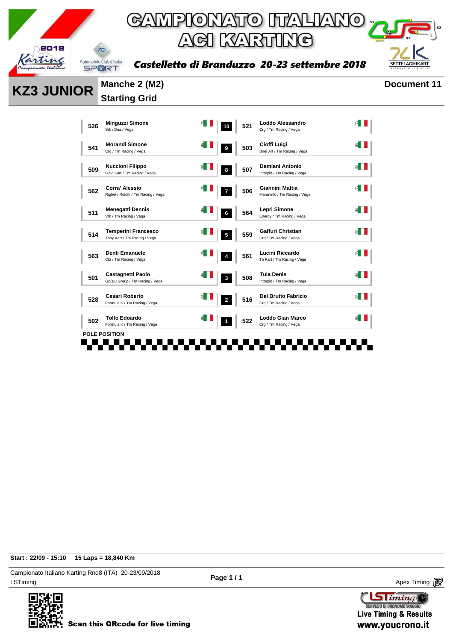

Castelletto di Branduzzo 20-23 settembre 2018



**KZ3 JUNIOR** Manche 2 (M2) Document 11

# **Starting Grid**

| 526 | <b>Minguzzi Simone</b><br>Srk / Dea / Vega                   | 10 | 521 | Loddo Alessandro<br>Crg / Tm Racing / Vega        |  |
|-----|--------------------------------------------------------------|----|-----|---------------------------------------------------|--|
| 541 | <b>Morandi Simone</b><br>Crg / Tm Racing / Vega              | 9  | 503 | Cioffi Luigi<br>Birel Art / Tm Racing / Vega      |  |
| 509 | <b>Nuccioni Filippo</b><br>Gold Kart / Tm Racing / Vega      | 8  | 507 | Damiani Antonio<br>Intrepid / Tm Racing / Vega    |  |
| 562 | <b>Corra' Alessio</b><br>Righetti Ridolfi / Tm Racing / Vega |    | 506 | Giannini Mattia<br>Maranello / Tm Racing / Vega   |  |
| 511 | <b>Menegatti Dennis</b><br>Vrk / Tm Racing / Vega            | 6  | 564 | Lepri Simone<br>Energy / Tm Racing / Vega         |  |
| 514 | <b>Temperini Francesco</b><br>Tony Kart / Tm Racing / Vega   | 5  | 559 | Gaffuri Christian<br>Crg / Tm Racing / Vega       |  |
| 563 | <b>Denti Emanuele</b><br>Ckr / Tm Racing / Vega              | 4  | 561 | Lucini Riccardo<br>Tb Kart / Tm Racing / Vega     |  |
| 501 | Castagnetti Paolo<br>Gp/alu Group / Tm Racing / Vega         | 3  | 508 | <b>Tuia Denis</b><br>Intrepid / Tm Racing / Vega  |  |
| 528 | <b>Cesari Roberto</b><br>Formula K / Tm Racing / Vega        | 2  | 516 | Del Brutto Fabrizio<br>Crg / Tm Racing / Vega     |  |
| 502 | <b>Tolfo Edoardo</b><br>Formula K / Tm Racing / Vega         | 1  | 522 | <b>Loddo Gian Marco</b><br>Crg / Tm Racing / Vega |  |

**Start : 22/09 - 15:10 15 Laps = 18,840 Km**

LSTiming Apex Timing Apex Timing Apex Timing Apex Timing Apex Timing Apex Timing Apex Timing Campionato Italiano Karting Rnd8 (ITA) 20-23/09/2018



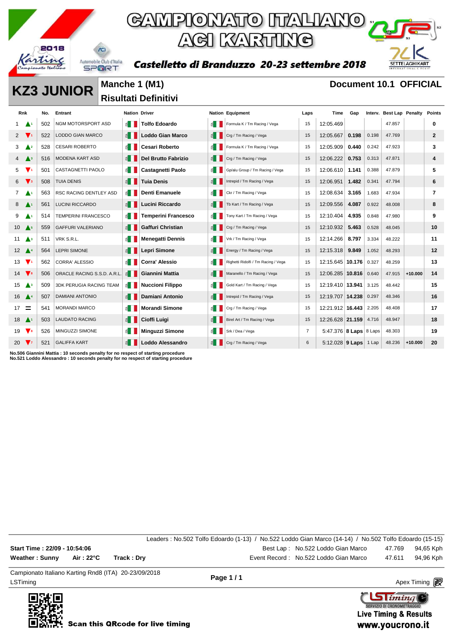

### GAMPIONATO ITALIANO **ACI KARTING**

Castelletto di Branduzzo 20-23 settembre 2018



**KZ3 JUNIOR** Manche 1 (M1) **Document 10.1 OFFICIAL** 

**Risultati Definitivi** 

| Rnk                           |                               | No. | Entrant                        | <b>Nation Driver</b>   |                            |                        | <b>Nation Equipment</b>             | Laps           | Time                       | Gap   |       | Interv. Best Lap Penalty |           | <b>Points</b> |
|-------------------------------|-------------------------------|-----|--------------------------------|------------------------|----------------------------|------------------------|-------------------------------------|----------------|----------------------------|-------|-------|--------------------------|-----------|---------------|
|                               |                               | 502 | <b>NGM MOTORSPORT ASD</b>      | ≝ ∥                    | <b>Tolfo Edoardo</b>       | €                      | Formula K / Tm Racing / Vega        | 15             | 12:05.469                  |       |       | 47.857                   |           | 0             |
| $\mathbf{2}$                  | $\mathbf{v}_1$                | 522 | LODDO GIAN MARCO               | $\leq$ $\blacksquare$  | <b>Loddo Gian Marco</b>    | 11                     | Crg / Tm Racing / Vega              | 15             | 12:05.667                  | 0.198 | 0.198 | 47.769                   |           | $\mathbf{2}$  |
| 3                             | $\triangle^2$                 | 528 | <b>CESARI ROBERTO</b>          | $\leq$ $\blacksquare$  | Cesari Roberto             | 6∎                     | Formula K / Tm Racing / Vega        | 15             | 12:05.909                  | 0.440 | 0.242 | 47.923                   |           | 3             |
|                               | $\mathbf{A}^3$                | 516 | <b>MODENA KART ASD</b>         | $\leq$ $\parallel$     | <b>Del Brutto Fabrizio</b> | 11                     | Crg / Tm Racing / Vega              | 15             | 12:06.222                  | 0.753 | 0.313 | 47.871                   |           | 4             |
| 5                             | $\mathbf{v}$                  | 501 | CASTAGNETTI PAOLO              | $\leq$ $\blacksquare$  | <b>Castagnetti Paolo</b>   | £.                     | Gp/alu Group / Tm Racing / Vega     | 15             | 12:06.610                  | 1.141 | 0.388 | 47.879                   |           | 5             |
| 6                             | $\mathbf{V}$ <sub>3</sub>     | 508 | <b>TUIA DENIS</b>              | $\leq$ $\blacksquare$  | <b>Tuia Denis</b>          | $\mathbb{E}$           | Intrepid / Tm Racing / Vega         | 15             | 12:06.951                  | 1.482 | 0.341 | 47.794                   |           | 6             |
| 7                             |                               | 563 | RSC RACING DENTLEY ASD         | $\leq$ $\blacksquare$  | <b>Denti Emanuele</b>      | $\epsilon$             | Ckr / Tm Racing / Vega              | 15             | 12:08.634                  | 3.165 | 1.683 | 47.934                   |           | 7             |
| 8                             | $\blacktriangle$ <sup>1</sup> | 561 | <b>LUCINI RICCARDO</b>         | E                      | Lucini Riccardo            | $\leq$ $\vert$ $\vert$ | Tb Kart / Tm Racing / Vega          | 15             | 12:09.556                  | 4.087 | 0.922 | 48.008                   |           | 8             |
| 9                             | $\blacktriangle$ 1            | 514 | <b>TEMPERINI FRANCESCO</b>     | $\leq$ $\blacksquare$  | <b>Temperini Francesco</b> | 1≦ 1                   | Tony Kart / Tm Racing / Vega        | 15             | 12:10.404                  | 4.935 | 0.848 | 47.980                   |           | 9             |
| $10$ $\triangle$ <sup>5</sup> |                               | 559 | <b>GAFFURI VALERIANO</b>       | €II                    | <b>Gaffuri Christian</b>   | $\leq$ $\blacksquare$  | Crg / Tm Racing / Vega              | 15             | 12:10.932                  | 5.463 | 0.528 | 48.045                   |           | 10            |
| $11 \triangle 3$              |                               | 511 | VRK S.R.L.                     | $\leq$ $\blacksquare$  | <b>Menegatti Dennis</b>    | 1 ≧                    | Vrk / Tm Racing / Vega              | 15             | 12:14.266                  | 8.797 | 3.334 | 48.222                   |           | 11            |
| $12 \triangle 4$              |                               | 564 | <b>LEPRI SIMONE</b>            | $\leq$ $\blacksquare$  | Lepri Simone               | E                      | Energy / Tm Racing / Vega           | 15             | 12:15.318                  | 9.849 | 1.052 | 48.293                   |           | 12            |
| 13                            | $\mathbf{V}$                  | 562 | <b>CORRA' ALESSIO</b>          | $\leq$ $\blacksquare$  | <b>Corra' Alessio</b>      | $\leq$                 | Righetti Ridolfi / Tm Racing / Vega | 15             | 12:15.645   10.176         |       | 0.327 | 48.259                   |           | 13            |
| $14 \sqrt{s}$                 |                               | 506 | ORACLE RACING S.S.D. A.R.L.    | $\leq$ $\blacksquare$  | Giannini Mattia            | 1≦                     | Maranello / Tm Racing / Vega        | 15             | 12:06.285 10.816           |       | 0.640 | 47.915                   | $+10.000$ | 14            |
| $15$ $\triangle$ <sup>3</sup> |                               | 509 | <b>3DK PERUGIA RACING TEAM</b> | $\leq$ $\blacksquare$  | <b>Nuccioni Filippo</b>    | $\leq$                 | Gold Kart / Tm Racing / Vega        | 15             | 12:19.410 13.941           |       | 3.125 | 48.442                   |           | 15            |
| $16$ $\triangle$ <sup>4</sup> |                               | 507 | <b>DAMIANI ANTONIO</b>         | E                      | Damiani Antonio            | 1≦                     | Intrepid / Tm Racing / Vega         | 15             | 12:19.707 14.238           |       | 0.297 | 48.346                   |           | 16            |
| $17 \equiv$                   |                               | 541 | MORANDI MARCO                  | $\leq$ $\blacksquare$  | <b>Morandi Simone</b>      | 1≦                     | Crg / Tm Racing / Vega              | 15             | 12:21.912 16.443           |       | 2.205 | 48.408                   |           | 17            |
| $18$ $\bigwedge$              |                               | 503 | <b>LAUDATO RACING</b>          | $\leq$ $\vert$ $\vert$ | Cioffi Luigi               | 1≦                     | Birel Art / Tm Racing / Vega        | 15             | 12:26.628 21.159           |       | 4.716 | 48.947                   |           | 18            |
| 19                            | $\mathbf{V}$                  | 526 | MINGUZZI SIMONE                | $\epsilon$ 1           | <b>Minguzzi Simone</b>     | ≝ ∣                    | Srk / Dea / Vega                    | $\overline{7}$ | 5:47.376   8 Laps   8 Laps |       |       | 48.303                   |           | 19            |
| 20 $V_7$                      |                               | 521 | <b>GALIFFA KART</b>            | E                      | Loddo Alessandro           | 图                      | Crg / Tm Racing / Vega              | 6              | 5:12.028 9 Laps 1 Lap      |       |       | 48.236                   | $+10.000$ | 20            |

**No.506 Giannini Mattia : 10 seconds penalty for no respect of starting procedure No.521 Loddo Alessandro : 10 seconds penalty for no respect of starting procedure**

|                                                       |            |             | Leaders: No.502 Tolfo Edoardo (1-13) / No.522 Loddo Gian Marco (14-14) / No.502 Tolfo Edoardo (15-15) |                                       |        |                  |
|-------------------------------------------------------|------------|-------------|-------------------------------------------------------------------------------------------------------|---------------------------------------|--------|------------------|
| Start Time: 22/09 - 10:54:06                          |            |             |                                                                                                       | Best Lap: No.522 Loddo Gian Marco     |        | 47.769 94,65 Kph |
| Weather : Sunny                                       | Air : 22°C | Track : Dry |                                                                                                       | Event Record: No.522 Loddo Gian Marco | 47.611 | 94,96 Kph        |
| Compionate Italiano Karting Bada (ITA), 20,22/00/2019 |            |             |                                                                                                       |                                       |        |                  |

LSTiming Apex Timing Apex Timing Apex Timing Apex Timing Apex Timing Apex Timing Apex Timing Campionato Italiano Karting Rnd8 (ITA) 20-23/09/2018

**Page 1 / 1**

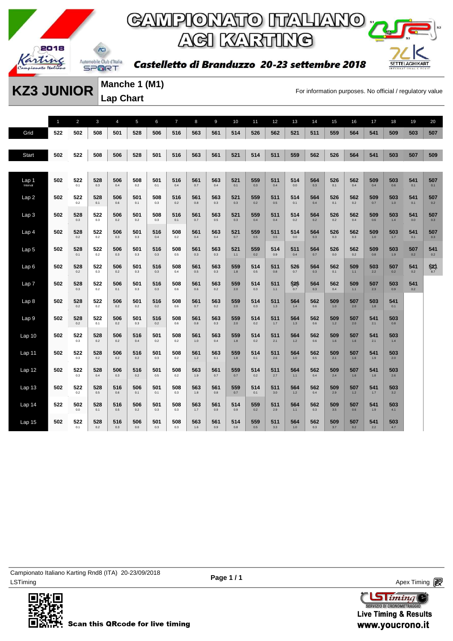

# GAMPIONATO ITALIANO DE ACI KARTING

Castelletto di Branduzzo 20-23 settembre 2018



**Manche 1 (M1) Lap Chart** 

**KZ3 JUNIOR** Matriche I (MII)<br>For information purposes. No official / regulatory value

1 2 3 4 5 6 7 8 9 10 11 12 13 14 15 16 17 18 19 20 Grid **522 502 508 501 528 506 516 563 561 514 526 562 521 511 559 564 541 509 503 507** Start 502 522 508 506 528 501 516 563 561 521 514 511 559 562 526 564 541 503 507 509 Lap 1 Interval **502 522** 0.1 **528** 0.3 **506** 0.4 **508** 0.2 **501** 0.1 **516** 0.4 **561** 0.7 **563** 0.4 **521** 0.1 **559** 0.3 **511** 0.4 **514** 0.0 **564** 0.3 **526** 0.1 **562** 0.4 **509** 0.4 **503** 0.6 **541 507** Lap 2 **502 522** 0.2 **528** 0.1 **506** 0.6 **501** 0.1 **508** 0.3 **516** 0.2 **561** 0.8 **563** 0.3 **521** 0.3 **559** 0.2 **511** 0.5 **514** 0.1 **564** 0.4 **526** 0.1 **562** 0.2 **509** 0.7 **503** 1.0 **541 507** Lap 3 **502 528** 0.3 **522** 0.3 **506** 0.2 **501** 0.2 **508** 0.3 **516** 0.1 **561** 0.7 **563** 0.5 **521** 0.3 **559** 0.4 **511** 0.4 **514** 0.2 **564 526** 0.2 **562** 0.4 **509** 0.6 **503** 1.4 **541 507** 0.3 Lap 4 **502 528** 0.2 **522** 0.2 **506** 0.3 **501** 0.3 **516** 0.4 **508** 0.2 **561** 0.4 **563** 0.4 **521** 0.7 **559** 0.5 **511** 0.5 **514** 0.0 **564** 0.3 **526** 0.3 **562** 0.3 **509** 1.0 **503** 1.7 **541** 0.1 **507** 0.3 Lap 5 **502 528** 0.1 **522** 0.2 **506** 0.3 **501** 0.3 **516** 0.3 **508** 0.5 **561** 0.3 **563** 0.3 **521** 1.1 **559** 0.2 **514** 0.9 **511** 0.4 **564** 0.7 **526 562** 0.2 **509** 0.8 **503** 1.9 **507 541** 0.2 Lap 6 **502 528** 0.2 **522** 0.3 **506** 0.2 **501** 0.3 **516** 0.3 **508** 0.4 **561** 0.5 **563** 0.3 **559** 1.8 **514** 0.5 **511** 0.8 **526** 0.7 **564** 0.3 **562** 0.1 **509** 1.1 **503** 2.2 **507** 0.2 **541 521** 8.7 Lap 7 **502 528** 0.3 **522** 0.2 **506** 0.1 **501** 0.3 **516** 0.3 **508** 0.6 **561** 0.6 **563** 0.2 **559** 2.0 **514** 0.3 **511** 1.1 **526** 0.7 **564** 0.3 **562** 0.4 **509** 1.1 **507** 2.3 **503** 0.9 **541** Lap 8 **502 528** 0.2 **522** 0.2 **506** 0.2 **501** 0.2 **516** 0.2 **508** 0.6 **561** 0.7 **563** 0.2 **559** 2.0 **514** 0.3 **511** 1.3 **564** 1.4 **562** 0.6 **509** 1.0 **507** 2.0 **503** 1.8 **541** 0.1 Lap 9 **502 528** 0.2 **522** 0.1 **506** 0.2 **501** 0.3 **516** 0.2 **508** 0.6 **561** 0.8 **563** 0.3 **559** 2.0 **514** 0.2 **511** 1.7 **564** 1.3 **562** 0.6 **509** 1.2 **507** 2.0 **541** 2.1 **503** 0.8 Lap 10 **502 522** 0.3 **528** 0.2 **506** 0.2 **516** 0.4 **501** 0.2 **508** 0.2 **561** 1.0 **563** 0.4 **559** 1.8 **514** 0.2 **511** 2.1 **564** 1.2 **562** 0.6 **509** 1.6 **507** 1.6 **541** 2.1 **503** 1.4 Lap 11 **502 522** 0.3 **528** 0.2 **506** 0.2 **516** 0.2 **501** 0.3 **508** 0.2 **561** 1.2 **563** 0.1 **559** 1.8 **514** 0.1 **511** 2.6 **564** 1.0 **562** 0.5 **509** 2.1 **507** 1.6 **541** 1.9 **503** 2.0 Lap 12 **502 522** 0.3 **528** 0.4 **506** 0.3 **516** 0.2 **501** 0.5 **508** 0.2 **563** 1.9 **561** 0.7 **559** 0.7 **514** 0.2 **511** 2.7 **564** 1.1 **562** 0.4 **509** 2.4 **507** 1.6 **541** 1.8 **503** 2.6 Lap 13 **502 522** 0.2 **528** 0.5 **516** 0.6 **506** 0.1 **501** 0.1 **508** 0.3 **563** 1.8 **561** 0.8 **559** 0.7 **514** 0.1 **511 564** 1.2 **562** 0.4 **509** 2.9 **507** 1.2 **541** 1.7 **503** 3.2 Lap 14 **522 502** 0.0 **528** 0.1 **516** 0.5 **506** 0.2 **501** 0.3 **508** 0.3 **563** 1.7 **561** 0.9 **514** 0.9 **559** 0.2 **511** 2.9 **564** 1.1 **562** 0.3 **509** 3.5 **507** 0.6 **541** 1.9 **503** 4.1 Lap 15 **502 522** 0.1 **528** 0.2 **516** 0.3 **506 501** 0.3 **508** 0.3 **563** 1.6 **561** 0.9 **514** 0.8 **559** 0.5 **511** 3.3 **564** 1.0 **562** 0.3 **509** 3.7 **507 541** 2.2 **503** 4.7

LSTiming Apex Timing Apex Timing Apex Timing Apex Timing Apex Timing Apex Timing Apex Timing Campionato Italiano Karting Rnd8 (ITA) 20-23/09/2018



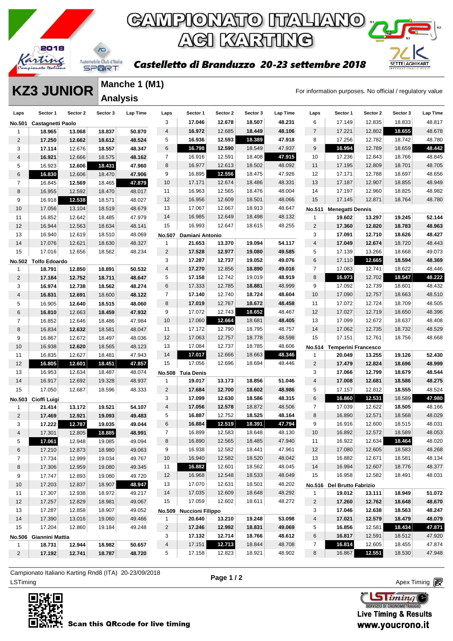

**SETTELAGHIKART** 

#### Castelletto di Branduzzo 20-23 settembre 2018

#### **KZ3 JUNIOR** Manche 1 (M1)<br>For information purposes. No official / regulatory value **Manche 1 (M1) Analysis**

| Laps           | Sector 1                       | Sector 2 | Sector 3 | Lap Time | Laps           | Sector 1                | Sector 2 | Sector 3 | Lap Time | Laps           | Sector 1                   | Sector 2 | Sector 3 | Lap Time |
|----------------|--------------------------------|----------|----------|----------|----------------|-------------------------|----------|----------|----------|----------------|----------------------------|----------|----------|----------|
| No.501         | <b>Castagnetti Paolo</b>       |          |          |          | 3              | 17.046                  | 12.678   | 18.507   | 48.231   | 6              | 17.149                     | 12.835   | 18.833   | 48.817   |
| $\mathbf{1}$   | 18.965                         | 13.068   | 18.837   | 50.870   | 4              | 16.972                  | 12.685   | 18.449   | 48.106   | 7              | 17.221                     | 12.802   | 18.655   | 48.678   |
| $\overline{c}$ | 17.250                         | 12.662   | 18.612   | 48.524   | 5              | 16.936                  | 12.593   | 18.389   | 47.918   | 8              | 17.256                     | 12.782   | 18.742   | 48.780   |
| 3              | 17.114                         | 12.676   | 18.557   | 48.347   | 6              | 16.798                  | 12.590   | 18.549   | 47.937   | 9              | 16.994                     | 12.789   | 18.659   | 48.442   |
| 4              | 16.921                         | 12.666   | 18.575   | 48.162   | $\overline{7}$ | 16.916                  | 12.591   | 18.408   | 47.915   | 10             | 17.236                     | 12.843   | 18.766   | 48.845   |
| 5              | 16.923                         | 12.606   | 18.431   | 47.960   | 8              | 16.977                  | 12.613   | 18.502   | 48.092   | 11             | 17.195                     | 12.809   | 18.701   | 48.705   |
| $\,6$          | 16.830                         | 12.606   | 18.470   | 47.906   | 9              | 16.895                  | 12.556   | 18.475   | 47.926   | 12             | 17.171                     | 12.788   | 18.697   | 48.656   |
| $\overline{7}$ | 16.845                         | 12.569   | 18.465   | 47.879   | 10             | 17.171                  | 12.674   | 18.486   | 48.331   | 13             | 17.187                     | 12.907   | 18.855   | 48.949   |
| 8              | 16.955                         | 12.592   | 18.470   | 48.017   | 11             | 16.963                  | 12.565   | 18.476   | 48.004   | 14             | 17.197                     | 12.960   | 18.825   | 48.982   |
| 9              | 16.918                         | 12.538   | 18.571   | 48.027   | 12             | 16.956                  | 12.609   | 18.501   | 48.066   | 15             | 17.145                     | 12.871   | 18.764   | 48.780   |
| 10             | 17.056                         | 13.104   | 18.519   | 48.679   | 13             | 17.067                  | 12.667   | 18.913   | 48.647   | No.511         | <b>Menegatti Dennis</b>    |          |          |          |
| 11             | 16.852                         | 12.642   | 18.485   | 47.979   | 14             | 16.985                  | 12.649   | 18.498   | 48.132   | 1              | 19.602                     | 13.297   | 19.245   | 52.144   |
| 12             | 16.944                         | 12.563   | 18.634   | 48.141   | 15             | 16.993                  | 12.647   | 18.615   | 48.255   | $\sqrt{2}$     | 17.360                     | 12.820   | 18.783   | 48.963   |
| 13             | 16.940                         | 12.619   | 18.510   | 48.069   | No.507         | Damiani Antonio         |          |          |          | 3              | 17.091                     | 12.710   | 18.626   | 48.427   |
| 14             | 17.076                         | 12.621   | 18.630   | 48.327   | 1              | 21.653                  | 13.370   | 19.094   | 54.117   | $\overline{4}$ | 17.049                     | 12.674   | 18.720   | 48.443   |
| 15             | 17.016                         | 12.656   | 18.562   | 48.234   | $\overline{2}$ | 17.528                  | 12.977   | 19.080   | 49.585   | 5              | 17.139                     | 13.266   | 18.668   | 49.073   |
|                |                                |          |          |          | 3              | 17.287                  | 12.737   | 19.052   | 49.076   | 6              | 17.110                     | 12.665   | 18.594   | 48.369   |
| 1              | No.502 Tolfo Edoardo<br>18.791 | 12.850   | 18.891   | 50.532   | $\overline{4}$ | 17.270                  | 12.856   | 18.890   | 49.016   | $\overline{7}$ | 17.083                     | 12.741   | 18.622   | 48.446   |
| $\overline{2}$ | 17.184                         | 12.752   | 18.711   | 48.647   | 5              | 17.158                  | 12.742   | 19.019   | 48.919   | 8              | 16.973                     | 12.702   | 18.547   | 48.222   |
| 3              | 16.974                         |          | 18.562   | 48.274   | 6              | 17.333                  | 12.785   | 18.881   | 48.999   | 9              | 17.092                     | 12.739   | 18.601   | 48.432   |
|                |                                | 12.738   |          |          | $\overline{7}$ | 17.140                  | 12.740   | 18.724   | 48.604   | 10             | 17.090                     | 12.757   | 18.663   | 48.510   |
| 4              | 16.831                         | 12.691   | 18.600   | 48.122   | 8              | 17.019                  | 12.767   | 18.672   | 48.458   | 11             | 17.072                     | 12.724   | 18.709   | 48.505   |
| 5              | 16.905                         | 12.640   | 18.515   | 48.060   | 9              | 17.072                  | 12.743   | 18.652   | 48.467   | 12             | 17.027                     | 12.719   | 18.650   | 48.396   |
| 6              | 16.810                         | 12.663   | 18.459   | 47.932   | 10             | 17.060                  | 12.664   | 18.681   | 48.405   | 13             | 17.099                     | 12.672   | 18.637   | 48.408   |
| $\overline{7}$ | 16.852                         | 12.646   | 18.486   | 47.984   | 11             | 17.172                  | 12.790   | 18.795   | 48.757   | 14             | 17.062                     | 12.735   | 18.732   | 48.529   |
| 8              | 16.834                         | 12.632   | 18.581   | 48.047   |                |                         |          |          |          |                |                            |          |          | 48.668   |
| 9              | 16.867                         | 12.672   | 18.497   | 48.036   | 12             | 17.063                  | 12.757   | 18.778   | 48.598   | 15             | 17.151                     | 12.761   | 18.756   |          |
| 10             | 16.938                         | 12.620   | 18.565   | 48.123   | 13             | 17.084                  | 12.737   | 18.785   | 48.606   |                | No.514 Temperini Francesco |          |          |          |
| 11             | 16.835                         | 12.627   | 18.481   | 47.943   | 14             | 17.017                  | 12.666   | 18.663   | 48.346   | 1              | 20.049                     | 13.255   | 19.126   | 52.430   |
| 12             | 16.805                         | 12.601   | 18.451   | 47.857   | 15             | 17.056                  | 12.696   | 18.694   | 48.446   | $\sqrt{2}$     | 17.479                     | 12.824   | 18.696   | 48.999   |
| 13             | 16.953                         | 12.634   | 18.487   | 48.074   | <b>No.508</b>  | <b>Tuia Denis</b>       |          |          |          | 3              | 17.066                     | 12.799   | 18.679   | 48.544   |
| 14             | 16.917                         | 12.692   | 19.328   | 48.937   | 1              | 19.017                  | 13.173   | 18.856   | 51.046   | 4              | 17.008                     | 12.681   | 18.586   | 48.275   |
| 15             | 17.050                         | 12.687   | 18.596   | 48.333   | $\overline{2}$ | 17.684                  | 12.700   | 18.602   | 48.986   | 5              | 17.157                     | 12.812   | 18.555   | 48.524   |
| No.503         | Cioffi Luigi                   |          |          |          | 3              | 17.099                  | 12.630   | 18.586   | 48.315   | 6              | 16.860                     | 12.531   | 18.589   | 47.980   |
| $\mathbf{1}$   | 21.414                         | 13.172   | 19.521   | 54.107   | $\overline{4}$ | 17.056                  | 12.578   | 18.872   | 48.506   | 7              | 17.039                     | 12.622   | 18.505   | 48.166   |
| 2              | 17.469                         | 12.921   | 19.093   | 49.483   | 5              | 16.887                  | 12.752   | 18.525   | 48.164   | 8              | 16.890                     | 12.571   | 18.568   | 48.029   |
| 3              | 17.222                         | 12.787   | 19.035   | 49.044   | 6              | 16.884                  | 12.519   | 18.391   | 47.794   | 9              | 16.916                     | 12.600   | 18.515   | 48.031   |
| 4              | 17.301                         | 12.805   | 18.885   | 48.991   | $\overline{7}$ | 16.899                  | 12.583   | 18.648   | 48.130   | 10             | 16.892                     | 12.572   | 18.589   | 48.053   |
| 5              | 17.061                         | 12.948   | 19.085   | 49.094   | 8              | 16.890                  | 12.565   | 18.485   | 47.940   | 11             | 16.922                     | 12.634   | 18.464   | 48.020   |
| 6              | 17.210                         | 12.873   | 18.980   | 49.063   | 9              | 16.938                  | 12.582   | 18.441   | 47.961   | 12             | 17.080                     | 12.605   | 18.583   | 48.268   |
| $\overline{7}$ | 17.734                         | 12.999   | 19.034   | 49.767   | 10             | 16.940                  | 12.582   | 18.520   | 48.042   | 13             | 16.882                     | 12.671   | 18.581   | 48.134   |
| 8              | 17.306                         | 12.959   | 19.080   | 49.345   | 11             | 16.882                  | 12.601   | 18.562   | 48.045   | 14             | 16.994                     | 12.607   | 18.776   | 48.377   |
| 9              | 17.747                         | 12.893   | 19.080   | 49.720   | 12             | 16.968                  | 12.548   | 18.533   | 48.049   | 15             | 16.958                     | 12.582   | 18.491   | 48.031   |
| 10             | 17.203                         | 12.837   | 18.907   | 48.947   | 13             | 17.070                  | 12.631   | 18.501   | 48.202   |                | No.516 Del Brutto Fabrizio |          |          |          |
| 11             | 17.307                         | 12.938   | 18.972   | 49.217   | 14             | 17.035                  | 12.609   | 18.648   | 48.292   | 1              | 19.012                     | 13.111   | 18.949   | 51.072   |
| 12             | 17.257                         | 12.829   | 18.981   | 49.067   | 15             | 17.059                  | 12.602   | 18.611   | 48.272   | $\overline{c}$ | 17.260                     | 12.762   | 18.648   | 48.670   |
| 13             | 17.287                         | 12.858   | 18.907   | 49.052   |                | No.509 Nuccioni Filippo |          |          |          | 3              | 17.046                     | 12.638   | 18.563   | 48.247   |
| 14             | 17.390                         | 13.016   | 19.060   | 49.466   | $\mathbf{1}$   | 20.640                  | 13.210   | 19.248   | 53.098   | 4              | 17.021                     | 12.579   | 18.479   | 48.079   |
| 15             | 17.204                         | 12.860   | 19.184   | 49.248   | $\overline{2}$ | 17.246                  | 12.992   | 18.831   | 49.069   | 5              | 16.856                     | 12.581   | 18.434   | 47.871   |
|                | No.506 Giannini Mattia         |          |          |          | 3              | 17.132                  | 12.714   | 18.766   | 48.612   | 6              | 16.817                     | 12.591   | 18.512   | 47.920   |
| 1              | 18.731                         | 12.944   | 18.982   | 50.657   | $\overline{4}$ | 17.151                  | 12.713   | 18.844   | 48.708   | $\overline{7}$ | 16.814                     | 12.605   | 18.455   | 47.874   |
| $\overline{2}$ | 17.192                         | 12.741   | 18.787   | 48.720   | 5              | 17.158                  | 12.823   | 18.921   | 48.902   | 8              | 16.867                     | 12.551   | 18.530   | 47.948   |

ex Timing and the Company of the Company of the Company of the Company of the Company of the Apex Timing Apex Timing Campionato Italiano Karting Rnd8 (ITA) 20-23/09/2018



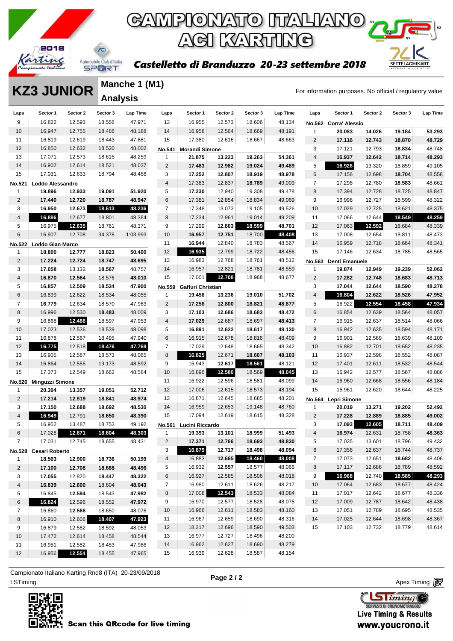

#### Castelletto di Branduzzo 20-23 settembre 2018



#### **KZ3 JUNIOR** Manche 1 (M1)<br>For information purposes. No official / regulatory value **Manche 1 (M1) Analysis**

| Laps           | Sector 1                | Sector 2 | Sector 3 | Lap Time | Laps           | Sector 1                 | Sector 2 | Sector 3 | Lap Time | Laps                    | Sector 1              | Sector 2         | Sector 3 | <b>Lap Time</b> |
|----------------|-------------------------|----------|----------|----------|----------------|--------------------------|----------|----------|----------|-------------------------|-----------------------|------------------|----------|-----------------|
| 9              | 16.822                  | 12.593   | 18.556   | 47.971   | 13             | 16.955                   | 12.573   | 18.606   | 48.134   |                         | No.562 Corra' Alessio |                  |          |                 |
| 10             | 16.947                  | 12.755   | 18.486   | 48.188   | 14             | 16.958                   | 12.564   | 18.669   | 48.191   | 1                       | 20.083                | 14.026           | 19.184   | 53.293          |
| 11             | 16.819                  | 12.619   | 18.443   | 47.881   | 15             | 17.380                   | 12.616   | 18.667   | 48.663   | $\overline{\mathbf{c}}$ | 17.116                | 12.743           | 18.870   | 48.729          |
| 12             | 16.850                  | 12.632   | 18.520   | 48.002   | No.541         | <b>Morandi Simone</b>    |          |          |          | 3                       | 17.121                | 12.793           | 18.834   | 48.748          |
| 13             | 17.071                  | 12.573   | 18.615   | 48.259   | 1              | 21.875                   | 13.223   | 19.263   | 54.361   | 4                       | 16.937                | 12.642           | 18.714   | 48.293          |
| 14             | 16.902                  | 12.614   | 18.521   | 48.037   | $\overline{2}$ | 17.483                   | 12.982   | 19.024   | 49.489   | 5                       | 16.926                | 13.320           | 18.859   | 49.105          |
| 15             | 17.031                  | 12.633   | 18.794   | 48.458   | 3              | 17.252                   | 12.807   | 18.919   | 48.978   | 6                       | 17.156                | 12.698           | 18.704   | 48.558          |
| No.521         | Loddo Alessandro        |          |          |          | $\overline{4}$ | 17.383                   | 12.837   | 18.789   | 49.009   | $\overline{7}$          | 17.298                | 12.780           | 18.583   | 48.661          |
| 1              | 19.896                  | 12.933   | 19.091   | 51.920   | 5              | 17.230                   | 12.940   | 19.308   | 49.478   | 8                       | 17.394                | 12.728           | 18.725   | 48.847          |
| $\overline{c}$ | 17.440                  | 12.720   | 18.787   | 48.947   | 6              | 17.381                   | 12.854   | 18.834   | 49.069   | 9                       | 16.996                | 12.727           | 18.599   | 48.322          |
| 3              | 16.950                  | 12.673   | 18.613   | 48.236   | $\overline{7}$ | 17.348                   | 13.073   | 19.105   | 49.526   | 10                      | 17.029                | 12.725           | 18.621   | 48.375          |
| 4              | 16.886                  | 12.677   | 18.801   | 48.364   | 8              | 17.234                   | 12.961   | 19.014   | 49.209   | 11                      | 17.066                | 12.644           | 18.549   | 48.259          |
| 5              | 16.975                  | 12.635   | 18.761   | 48.371   | 9              | 17.299                   | 12.803   | 18.599   | 48.701   | 12                      | 17.063                | 12.592           | 18.684   | 48.339          |
| 6              | 16.907                  | 12.708   | 34.378   | 1:03.993 | 10             | 16.957                   | 12.751   | 18.700   | 48.408   | 13                      | 17.008                | 12.654           | 18.811   | 48.473          |
| <b>No.522</b>  | <b>Loddo Gian Marco</b> |          |          |          | 11             | 16.944                   | 12.840   | 18.783   | 48.567   | 14                      | 16.959                | 12.718           | 18.664   | 48.341          |
| 1              | 18.800                  | 12.777   | 18.823   | 50.400   | 12             | 16.935                   | 12.799   | 18.722   | 48.456   | 15                      | 17.146                | 12.634           | 18.785   | 48.565          |
| 2              | 17.224                  | 12.724   | 18.747   | 48.695   | 13             | 16.983                   | 12.768   | 18.761   | 48.512   | <b>No.563</b>           | Denti Emanuele        |                  |          |                 |
| 3              | 17.058                  | 13.132   | 18.567   | 48.757   | 14             | 16.957                   | 12.821   | 18.781   | 48.559   | 1                       | 19.874                | 12.949           | 19.239   | 52.062          |
| 4              | 16.870                  | 12.564   | 18.576   | 48.010   | 15             | 17.001                   | 12.708   | 18.968   | 48.677   | $\sqrt{2}$              | 17.282                | 12.748           | 18.683   | 48.713          |
| 5              | 16.857                  | 12.509   | 18.534   | 47.900   |                | No.559 Gaffuri Christian |          |          |          | 3                       | 17.044                | 12.644           | 18.590   | 48.278          |
| 6              | 16.899                  | 12.622   | 18.534   | 48.055   | 1              | 19.456                   | 13.236   | 19.010   | 51.702   | 4                       | 16.804                | 12.622           | 18.526   | 47.952          |
| $\overline{7}$ | 16.779                  | 12.634   | 18.570   | 47.983   | $\overline{2}$ | 17.256                   | 12.800   | 18.821   | 48.877   | 5                       | 16.922                | 12.554           | 18.458   | 47.934          |
| 8              | 16.996                  | 12.530   | 18.483   | 48.009   | 3              | 17.103                   | 12.686   | 18.683   | 48.472   | 6                       | 16.854                | 12.639           | 18.564   | 48.057          |
| 9              | 16.868                  | 12.488   | 18.597   | 47.953   | $\overline{4}$ | 17.029                   | 12.687   | 18.697   | 48.413   | $\overline{7}$          | 16.915                | 12.637           | 18.514   | 48.066          |
| 10             | 17.023                  | 12.536   | 18.539   | 48.098   | 5              | 16.891                   | 12.622   | 18.617   | 48.130   | 8                       | 16.942                | 12.635           | 18.594   | 48.171          |
| 11             | 16.878                  | 12.567   | 18.495   | 47.940   | 6              | 16.915                   | 12.678   | 18.816   | 48.409   | 9                       | 16.901                | 12.569           | 18.639   | 48.109          |
| 12             | 16.775                  | 12.518   | 18.476   | 47.769   | $\overline{7}$ | 17.029                   | 12.648   | 18.665   | 48.342   | 10                      | 16.882                | 12.701           | 18.652   | 48.235          |
| 13             | 16.905                  | 12.587   | 18.573   | 48.065   | 8              | 16.825                   | 12.671   | 18.607   | 48.103   | 11                      | 16.937                | 12.598           | 18.552   | 48.087          |
| 14             | 16.864                  | 12.555   | 19.173   | 48.592   | 9              | 16.943                   | 12.617   | 18.561   | 48.121   | 12                      | 17.401                |                  | 18.532   | 48.544          |
| 15             |                         |          |          |          | 10             |                          | 12.580   | 18.569   | 48.045   | 13                      | 16.942                | 12.611<br>12.577 | 18.567   | 48.086          |
|                | 17.373                  | 12.549   | 18.662   | 48.584   |                | 16.896                   |          |          |          |                         |                       |                  |          |                 |
|                | No.526 Minguzzi Simone  |          |          |          | 11             | 16.922                   | 12.596   | 18.581   | 48.099   | 14                      | 16.960                | 12.668           | 18.556   | 48.184          |
| 1              | 20.304                  | 13.357   | 19.051   | 52.712   | 12             | 17.006                   | 12.615   | 18.573   | 48.194   | 15                      | 16.961                | 12.620           | 18.644   | 48.225          |
| $\overline{c}$ | 17.214                  | 12.919   | 18.841   | 48.974   | 13             | 16.871                   | 12.645   | 18.685   | 48.201   | No.564                  | Lepri Simone          |                  |          |                 |
| 3              | 17.150                  | 12.688   | 18.692   | 48.530   | 14             | 16.959                   | 12.653   | 19.148   | 48.760   | $\mathbf{1}$            | 20.019                | 13.271           | 19.202   | 52.492          |
| $\overline{4}$ | 16.949                  | 12.791   | 18.650   | 48.390   | 15             | 17.094                   | 12.619   | 18.615   | 48.328   | 2                       | 17.228                | 12.889           | 18.885   | 49.002          |
| 5              | 16.952                  | 13.487   | 18.753   | 49.192   |                | No.561 Lucini Riccardo   |          |          |          | 3                       | 17.093                | 12.605           | 18.711   | 48.409          |
| 6              | 17.028                  | 12.671   | 18.604   | 48.303   | 1              | 19.393                   | 13.101   | 18.999   | 51.493   | 4                       | 16.974                | 12.631           | 18.758   | 48.363          |
| $\overline{7}$ | 17.031                  | 12.745   | 18.655   | 48.431   | $\overline{2}$ | 17.371                   | 12.766   | 18.693   | 48.830   | 5                       | 17.035                | 13.601           | 18.796   | 49.432          |
|                | No.528 Cesari Roberto   |          |          |          | 3              | 16.879                   | 12.717   | 18.498   | 48.094   | 6                       | 17.356                | 12.637           | 18.744   | 48.737          |
| $\mathbf{1}$   | 18.563                  | 12.900   | 18.736   | 50.199   | 4              | 16.883                   | 12.665   | 18.460   | 48.008   | $\overline{7}$          | 17.073                | 12.651           | 18.682   | 48.406          |
| $\overline{2}$ | 17.100                  | 12.708   | 18.688   | 48.496   | 5              | 16.932                   | 12.557   | 18.577   | 48.066   | 8                       | 17.117                | 12.686           | 18.789   | 48.592          |
| 3              | 17.055                  | 12.820   | 18.447   | 48.322   | 6              | 16.927                   | 12.585   | 18.506   | 48.018   | 9                       | 16.968                | 12.740           | 18.585   | 48.293          |
| 4              | 16.839                  | 12.600   | 18.604   | 48.043   | 7              | 16.980                   | 12.611   | 18.626   | 48.217   | 10                      | 17.064                | 12.683           | 18.677   | 48.424          |
| 5              | 16.845                  | 12.594   | 18.543   | 47.982   | 8              | 17.008                   | 12.543   | 18.533   | 48.084   | 11                      | 17.017                | 12.642           | 18.677   | 48.336          |
| 6              | 16.824                  | 12.596   | 18.552   | 47.972   | 9              | 16.970                   | 12.577   | 18.528   | 48.075   | 12                      | 17.009                | 12.787           | 18.642   | 48.438          |
| $\overline{7}$ | 16.860                  | 12.566   | 18.650   | 48.076   | 10             | 16.966                   | 12.611   | 18.583   | 48.160   | 13                      | 17.051                | 12.789           | 18.695   | 48.535          |
| 8              | 16.910                  | 12.606   | 18.407   | 47.923   | 11             | 16.967                   | 12.659   | 18.690   | 48.316   | 14                      | 17.025                | 12.644           | 18.698   | 48.367          |
| 9              | 16.879                  | 12.582   | 18.592   | 48.053   | 12             | 18.217                   | 12.696   | 18.590   | 49.503   | 15                      | 17.103                | 12.732           | 18.779   | 48.614          |
| 10             | 17.472                  | 12.614   | 18.458   | 48.544   | 13             | 16.977                   | 12.727   | 18.496   | 48.200   |                         |                       |                  |          |                 |
| 11             | 16.951                  | 12.582   | 18.453   | 47.986   | 14             | 16.962                   | 12.627   | 18.690   | 48.279   |                         |                       |                  |          |                 |
| 12             | 16.956                  | 12.554   | 18.455   | 47.965   | 15             | 16.939                   | 12.628   | 18.587   | 48.154   |                         |                       |                  |          |                 |

ex Timing and the Company of the Company of the Company of the Company of the Company of the Apex Timing (1990) and the Company of the Company of the Company of the Company of the Company of the Company of the Company of t Campionato Italiano Karting Rnd8 (ITA) 20-23/09/2018



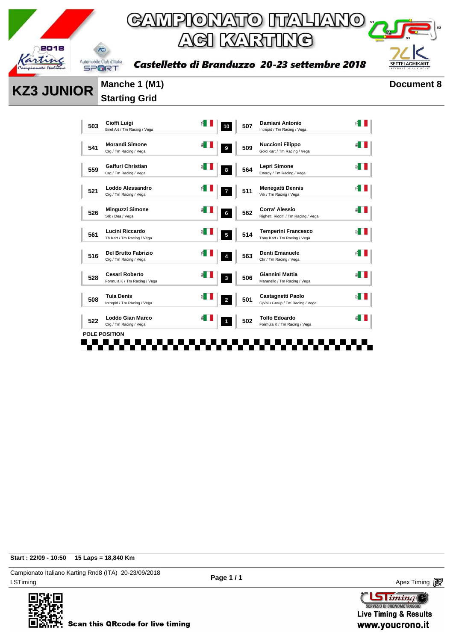

Castelletto di Branduzzo 20-23 settembre 2018



**KZ3 JUNIOR** Manche 1 (M1) Document 8

# **Starting Grid**

| 503 | Cioffi Luigi<br>Birel Art / Tm Racing / Vega          |     | 10             | 507 | Damiani Antonio<br>Intrepid / Tm Racing / Vega              |  |
|-----|-------------------------------------------------------|-----|----------------|-----|-------------------------------------------------------------|--|
| 541 | <b>Morandi Simone</b><br>Crg / Tm Racing / Vega       | é I | 9              | 509 | <b>Nuccioni Filippo</b><br>Gold Kart / Tm Racing / Vega     |  |
| 559 | Gaffuri Christian<br>Crg / Tm Racing / Vega           |     | 8              | 564 | Lepri Simone<br>Energy / Tm Racing / Vega                   |  |
| 521 | Loddo Alessandro<br>Crg / Tm Racing / Vega            |     | $\overline{ }$ | 511 | <b>Menegatti Dennis</b><br>Vrk / Tm Racing / Vega           |  |
| 526 | <b>Minguzzi Simone</b><br>Srk / Dea / Vega            |     | 6              | 562 | Corra' Alessio<br>Righetti Ridolfi / Tm Racing / Vega       |  |
| 561 | <b>Lucini Riccardo</b><br>Tb Kart / Tm Racing / Vega  |     | 5              | 514 | <b>Temperini Francesco</b><br>Tony Kart / Tm Racing / Vega  |  |
| 516 | Del Brutto Fabrizio<br>Crg / Tm Racing / Vega         |     | 4              | 563 | <b>Denti Emanuele</b><br>Ckr / Tm Racing / Vega             |  |
| 528 | <b>Cesari Roberto</b><br>Formula K / Tm Racing / Vega |     | $\mathbf{3}$   | 506 | Giannini Mattia<br>Maranello / Tm Racing / Vega             |  |
| 508 | <b>Tuia Denis</b><br>Intrepid / Tm Racing / Vega      |     | $\overline{a}$ | 501 | <b>Castagnetti Paolo</b><br>Gp/alu Group / Tm Racing / Vega |  |
| 522 | Loddo Gian Marco<br>Crg / Tm Racing / Vega            |     | 1              | 502 | <b>Tolfo Edoardo</b><br>Formula K / Tm Racing / Vega        |  |
|     | <b>POLE POSITION</b>                                  |     |                |     |                                                             |  |

**Start : 22/09 - 10:50 15 Laps = 18,840 Km**

LSTiming Apex Timing Apex Timing Apex Timing Apex Timing Apex Timing Apex Timing Apex Timing Campionato Italiano Karting Rnd8 (ITA) 20-23/09/2018



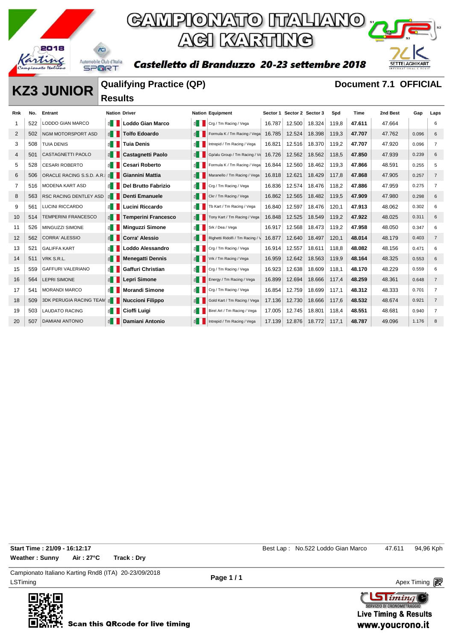

### GAMPIONATO ITALIANO ; ACI KARTING

Castelletto di Branduzzo 20-23 settembre 2018



#### **KZ3 JUNIOR Qualifying Practice (QP) Document 7.1 OFFICIAL Results**

| Rnk            | No. | <b>Entrant</b>                 | <b>Nation Driver</b>   |                            |                       | <b>Nation Equipment</b>          |        | Sector 1 Sector 2 Sector 3 |        | Spd   | Time   | 2nd Best | Gap   | Laps           |
|----------------|-----|--------------------------------|------------------------|----------------------------|-----------------------|----------------------------------|--------|----------------------------|--------|-------|--------|----------|-------|----------------|
|                | 522 | LODDO GIAN MARCO               | E I                    | <b>Loddo Gian Marco</b>    | ≦ II                  | Crg / Tm Racing / Vega           | 16.787 | 12.500                     | 18.324 | 119.8 | 47.611 | 47.664   |       | 6              |
| $\overline{2}$ | 502 | <b>NGM MOTORSPORT ASD</b>      | $\leq$ $\blacksquare$  | <b>Tolfo Edoardo</b>       |                       | Formula K / Tm Racing / Vega     | 16.785 | 12.524                     | 18.398 | 119,3 | 47.707 | 47.762   | 0.096 | 6              |
| 3              | 508 | <b>TUIA DENIS</b>              | 6∎                     | <b>Tuia Denis</b>          | $\leq$ 1              | Intrepid / Tm Racing / Vega      | 16.821 | 12.516                     | 18.370 | 119.2 | 47.707 | 47.920   | 0.096 | $\overline{7}$ |
| $\overline{4}$ | 501 | <b>CASTAGNETTI PAOLO</b>       | $\leq$ $\blacksquare$  | Castagnetti Paolo          | $\leq$ $\blacksquare$ | Gp/alu Group / Tm Racing / Ve    | 16.726 | 12.562                     | 18.562 | 118.5 | 47.850 | 47.939   | 0.239 | 6              |
| 5              | 528 | <b>CESARI ROBERTO</b>          | 1≦ 1                   | <b>Cesari Roberto</b>      | ≝ ∐                   | Formula K / Tm Racing / Vega     | 16.844 | 12.560                     | 18.462 | 119.3 | 47.866 | 48.591   | 0.255 | 5              |
| 6              | 506 | ORACLE RACING S.S.D. A.R.      | $\leq$ $\blacksquare$  | Giannini Mattia            |                       | Maranello / Tm Racing / Vega     | 16.818 | 12.621                     | 18.429 | 117,8 | 47.868 | 47.905   | 0.257 | $\overline{7}$ |
| 7              | 516 | <b>MODENA KART ASD</b>         | £.                     | <b>Del Brutto Fabrizio</b> | ≝ ∐                   | Crg / Tm Racing / Vega           | 16.836 | 12.574                     | 18.476 | 118.2 | 47.886 | 47.959   | 0.275 | $\overline{7}$ |
| 8              | 563 | <b>RSC RACING DENTLEY ASD</b>  | $\leq$ $\blacksquare$  | <b>Denti Emanuele</b>      |                       | Ckr / Tm Racing / Vega           | 16.862 | 12.565                     | 18.482 | 119,5 | 47.909 | 47.980   | 0.298 | 6              |
| 9              | 561 | <b>LUCINI RICCARDO</b>         | 11                     | Lucini Riccardo            | ≝ ∐                   | Tb Kart / Tm Racing / Vega       | 16.840 | 12.597                     | 18.476 | 120,1 | 47.913 | 48.062   | 0.302 | 6              |
| 10             | 514 | <b>TEMPERINI FRANCESCO</b>     | $\leq$ $\vert$ $\vert$ | <b>Temperini Francesco</b> |                       | Tony Kart / Tm Racing / Vega     | 16.848 | 12.525                     | 18.549 | 119.2 | 47.922 | 48.025   | 0.311 | 6              |
| 11             | 526 | MINGUZZI SIMONE                | $\epsilon$             | <b>Minguzzi Simone</b>     | ≝ ∐                   | Srk / Dea / Vega                 | 16.917 | 12.568                     | 18.473 | 119,2 | 47.958 | 48.050   | 0.347 | 6              |
| 12             | 562 | <b>CORRA' ALESSIO</b>          | 图                      | <b>Corra' Alessio</b>      |                       | Righetti Ridolfi / Tm Racing / V | 16.877 | 12.640                     | 18.497 | 120,1 | 48.014 | 48.179   | 0.403 | $\overline{7}$ |
| 13             | 521 | <b>GALIFFA KART</b>            | $\epsilon$             | Loddo Alessandro           | $\leq$ 1              | Crg / Tm Racing / Vega           | 16.914 | 12.557                     | 18.611 | 118.8 | 48.082 | 48.156   | 0.471 | 6              |
| 14             | 511 | VRK S.R.L.                     |                        | <b>Menegatti Dennis</b>    | $\leq$ $\blacksquare$ | Vrk / Tm Racing / Vega           | 16.959 | 12.642                     | 18.563 | 119.9 | 48.164 | 48.325   | 0.553 | 6              |
| 15             | 559 | <b>GAFFURI VALERIANO</b>       | EII                    | <b>Gaffuri Christian</b>   | $\leq$ $\blacksquare$ | Crg / Tm Racing / Vega           | 16.923 | 12.638                     | 18.609 | 118.1 | 48.170 | 48.229   | 0.559 | 6              |
| 16             | 564 | <b>LEPRI SIMONE</b>            | E                      | Lepri Simone               |                       | Energy / Tm Racing / Vega        | 16.899 | 12.694                     | 18.666 | 117,4 | 48.259 | 48.361   | 0.648 | $\overline{7}$ |
| 17             | 541 | <b>MORANDI MARCO</b>           | £.                     | <b>Morandi Simone</b>      | $\leq$ 1              | Crg / Tm Racing / Vega           | 16.854 | 12.759                     | 18.699 | 117.1 | 48.312 | 48.333   | 0.701 | $\overline{7}$ |
| 18             | 509 | <b>3DK PERUGIA RACING TEAM</b> | 舌                      | <b>Nuccioni Filippo</b>    |                       | Gold Kart / Tm Racing / Vega     | 17.136 | 12.730                     | 18.666 | 117.6 | 48.532 | 48.674   | 0.921 | $\overline{7}$ |
| 19             | 503 | <b>LAUDATO RACING</b>          | 11 13                  | Cioffi Luigi               | ≝ ∐                   | Birel Art / Tm Racing / Vega     | 17.005 | 12.745                     | 18.801 | 118.4 | 48.551 | 48.681   | 0.940 | 7              |
| 20             | 507 | <b>DAMIANI ANTONIO</b>         | 집                      | Damiani Antonio            |                       | Intrepid / Tm Racing / Vega      | 17.139 | 12.876                     | 18.772 | 117.1 | 48.787 | 49.096   | 1.176 | 8              |

**Weather : Sunny Air : 27°C Track : Dry**

**Start Time : 21/09 - 16:12:17 Start Time : 21/09 - 16:12:17 Best Lap : No.522 Loddo Gian Marco** 47.611 94,96 Kph

LSTiming Apex Timing Apex Timing Apex Timing Apex Timing Apex Timing Apex Timing Apex Timing Campionato Italiano Karting Rnd8 (ITA) 20-23/09/2018

**Page 1 / 1**

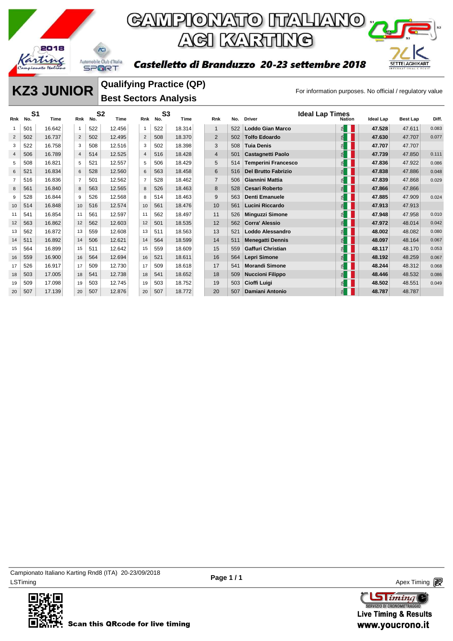

## **GAMPIONATO ITALIANO** y ACI KARTING

Castelletto di Branduzzo 20-23 settembre 2018



#### **KZ3 JUNIOR** Qualitying Practice (QP) For information purposes. No official / regulatory value **Qualifying Practice (QP) Best Sectors Analysis**

| Rnk            | S <sub>1</sub><br>No. | Time   | <b>Rnk</b>     | S <sub>2</sub><br>No. | Time   | <b>Rnk</b>     | S <sub>3</sub><br>No. | Time   | Rnk            | No. | <b>Driver</b>              | <b>Ideal Lap Times</b><br><b>Nation</b> | <b>Ideal Lap</b> | <b>Best Lap</b> | Diff. |
|----------------|-----------------------|--------|----------------|-----------------------|--------|----------------|-----------------------|--------|----------------|-----|----------------------------|-----------------------------------------|------------------|-----------------|-------|
|                |                       |        |                |                       |        |                |                       |        |                |     |                            |                                         |                  |                 |       |
| 1              | 501                   | 16.642 | 1              | 522                   | 12.456 | $\mathbf{1}$   | 522                   | 18.314 | $\mathbf{1}$   | 522 | <b>Loddo Gian Marco</b>    | E                                       | 47.528           | 47.611          | 0.083 |
| 2              | 502                   | 16.737 | 2              | 502                   | 12.495 | 2              | 508                   | 18.370 | $\overline{2}$ | 502 | <b>Tolfo Edoardo</b>       | E                                       | 47.630           | 47.707          | 0.077 |
| 3              | 522                   | 16.758 | 3              | 508                   | 12.516 | 3              | 502                   | 18.398 | 3              | 508 | <b>Tuia Denis</b>          | 된                                       | 47.707           | 47.707          |       |
| $\overline{4}$ | 506                   | 16.789 | $\overline{4}$ | 514                   | 12.525 | $\overline{4}$ | 516                   | 18.428 | $\overline{4}$ | 501 | <b>Castagnetti Paolo</b>   | 뙵                                       | 47.739           | 47.850          | 0.111 |
| 5              | 508                   | 16.821 | 5              | 521                   | 12.557 | 5              | 506                   | 18.429 | 5              | 514 | <b>Temperini Francesco</b> | E                                       | 47.836           | 47.922          | 0.086 |
| 6              | 521                   | 16.834 | 6              | 528                   | 12.560 | 6              | 563                   | 18.458 | 6              | 516 | <b>Del Brutto Fabrizio</b> | 뙵.                                      | 47.838           | 47.886          | 0.048 |
| $\overline{7}$ | 516                   | 16.836 | $\overline{7}$ | 501                   | 12.562 | $\overline{7}$ | 528                   | 18.462 | $\overline{7}$ | 506 | <b>Giannini Mattia</b>     | 斗                                       | 47.839           | 47.868          | 0.029 |
| 8              | 561                   | 16.840 | 8              | 563                   | 12.565 | 8              | 526                   | 18.463 | 8              | 528 | <b>Cesari Roberto</b>      | 뙵.                                      | 47.866           | 47.866          |       |
| 9              | 528                   | 16.844 | 9              | 526                   | 12.568 | 8              | 514                   | 18.463 | 9              | 563 | <b>Denti Emanuele</b>      | ₫                                       | 47.885           | 47.909          | 0.024 |
| 10             | 514                   | 16.848 | 10             | 516                   | 12.574 | 10             | 561                   | 18.476 | 10             | 561 | Lucini Riccardo            | 뙵.                                      | 47.913           | 47.913          |       |
| 11             | 541                   | 16.854 | 11             | 561                   | 12.597 | 11             | 562                   | 18.497 | 11             | 526 | <b>Minguzzi Simone</b>     | E                                       | 47.948           | 47.958          | 0.010 |
| 12             | 563                   | 16.862 | 12             | 562                   | 12.603 | 12             | 501                   | 18.535 | 12             | 562 | Corra' Alessio             | 뙵.                                      | 47.972           | 48.014          | 0.042 |
| 13             | 562                   | 16.872 | 13             | 559                   | 12.608 | 13             | 511                   | 18.563 | 13             | 521 | Loddo Alessandro           | 된                                       | 48.002           | 48.082          | 0.080 |
| 14             | 511                   | 16.892 | 14             | 506                   | 12.621 | 14             | 564                   | 18.599 | 14             | 511 | <b>Menegatti Dennis</b>    | 죕                                       | 48.097           | 48.164          | 0.067 |
| 15             | 564                   | 16.899 | 15             | 511                   | 12.642 | 15             | 559                   | 18.609 | 15             | 559 | <b>Gaffuri Christian</b>   | E                                       | 48.117           | 48.170          | 0.053 |
| 16             | 559                   | 16.900 | 16             | 564                   | 12.694 | 16             | 521                   | 18.611 | 16             | 564 | <b>Lepri Simone</b>        | E                                       | 48.192           | 48.259          | 0.067 |
| 17             | 526                   | 16.917 | 17             | 509                   | 12.730 | 17             | 509                   | 18.618 | 17             | 541 | <b>Morandi Simone</b>      | 된                                       | 48.244           | 48.312          | 0.068 |
| 18             | 503                   | 17.005 | 18             | 541                   | 12.738 | 18             | 541                   | 18.652 | 18             | 509 | <b>Nuccioni Filippo</b>    | 죕                                       | 48.446           | 48.532          | 0.086 |
| 19             | 509                   | 17.098 | 19             | 503                   | 12.745 | 19             | 503                   | 18.752 | 19             | 503 | Cioffi Luigi               | ₫                                       | 48.502           | 48.551          | 0.049 |
| 20             | 507                   | 17.139 | 20             | 507                   | 12.876 | 20             | 507                   | 18.772 | 20             | 507 | <b>Damiani Antonio</b>     |                                         | 48.787           | 48.787          |       |

LSTiming Apex Timing Apex Timing Apex Timing Apex Timing Apex Timing Apex Timing Apex Timing Campionato Italiano Karting Rnd8 (ITA) 20-23/09/2018



**Sliming** SERVIZIO DI CRONOMETRAGG **Live Timing & Results** www.youcrono.it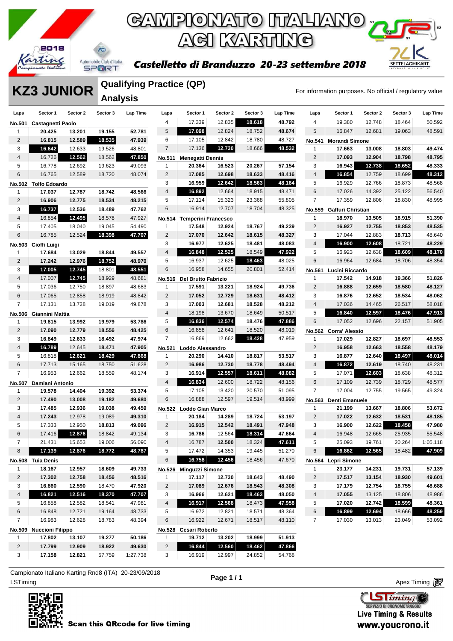

## **GAMPIONATO ITALIANO** ACI KARTING

#### Castelletto di Branduzzo 20-23 settembre 2018



**KZ3 JUNIOR** WILLIANS PLACTIC (WP) For information purposes. No official / regulatory value **Qualifying Practice (QP) Analysis** 

|                |                                   |          | Analysis |          |                         |                                 |          |          |          |                |                          |          |          |                 |
|----------------|-----------------------------------|----------|----------|----------|-------------------------|---------------------------------|----------|----------|----------|----------------|--------------------------|----------|----------|-----------------|
| Laps           | Sector 1                          | Sector 2 | Sector 3 | Lap Time | Laps                    | Sector 1                        | Sector 2 | Sector 3 | Lap Time | Laps           | Sector 1                 | Sector 2 | Sector 3 | <b>Lap Time</b> |
|                | No.501 Castagnetti Paolo          |          |          |          | 4                       | 17.339                          | 12.835   | 18.618   | 48.792   | 4              | 19.380                   | 12.748   | 18.464   | 50.592          |
| 1              | 20.425                            | 13.201   | 19.155   | 52.781   | 5                       | 17.098                          | 12.824   | 18.752   | 48.674   | 5              | 16.847                   | 12.681   | 19.063   | 48.591          |
| $\overline{2}$ | 16.815                            | 12.589   | 18.535   | 47.939   | 6                       | 17.105                          | 12.842   | 18.780   | 48.727   | <b>No.541</b>  | <b>Morandi Simone</b>    |          |          |                 |
| 3              | 16.642                            | 12.633   | 19.526   | 48.801   | $\overline{7}$          | 17.136                          | 12.730   | 18.666   | 48.532   | 1              | 17.663                   | 13.008   | 18.803   | 49.474          |
| 4              | 16.726                            | 12.562   | 18.562   | 47.850   | No.511                  | <b>Menegatti Dennis</b>         |          |          |          | $\overline{2}$ | 17.093                   | 12.904   | 18.798   | 48.795          |
| 5              | 16.778                            | 12.692   | 19.623   | 49.093   | $\mathbf{1}$            | 20.364                          | 16.523   | 20.267   | 57.154   | 3              | 16.943                   | 12.738   | 18.652   | 48.333          |
| 6              | 16.765                            | 12.589   | 18.720   | 48.074   | $\overline{2}$          | 17.085                          | 12.698   | 18.633   | 48.416   | $\overline{4}$ | 16.854                   | 12.759   | 18.699   | 48.312          |
|                | No.502 Tolfo Edoardo              |          |          |          | 3                       | 16.959                          | 12.642   | 18.563   | 48.164   | 5              | 16.929                   | 12.766   | 18.873   | 48.568          |
| 1              | 17.037                            | 12.787   | 18.742   | 48.566   | $\overline{\mathbf{4}}$ | 16.892                          | 12.664   | 18.915   | 48.471   | 6              | 17.026                   | 14.392   | 25.122   | 56.540          |
| $\overline{c}$ | 16.906                            | 12.775   | 18.534   | 48.215   | 5                       | 17.114                          | 15.323   | 23.368   | 55.805   | $\overline{7}$ | 17.359                   | 12.806   | 18.830   | 48.995          |
| 3              | 16.737                            | 12.536   | 18.489   | 47.762   | 6                       | 16.914                          | 12.707   | 18.704   | 48.325   |                | No.559 Gaffuri Christian |          |          |                 |
| 4              | 16.854                            | 12.495   | 18.578   | 47.927   |                         | No.514 Temperini Francesco      |          |          |          | 1              | 18.970                   | 13.505   | 18.915   | 51.390          |
| 5              | 17.405                            | 18.040   | 19.045   | 54.490   | $\mathbf{1}$            | 17.548                          | 12.924   | 18.767   | 49.239   | $\overline{2}$ | 16.927                   | 12.755   | 18.853   | 48.535          |
| 6              | 16.785                            | 12.524   | 18.398   | 47.707   | $\overline{c}$          | 17.070                          | 12.642   | 18.615   | 48.327   | 3              | 17.044                   | 12.883   | 18.713   | 48.640          |
| <b>No.503</b>  | Cioffi Luigi                      |          |          |          | 3                       | 16.977                          | 12.625   | 18.481   | 48.083   | $\overline{4}$ | 16.900                   | 12.608   | 18.721   | 48.229          |
| 1              | 17.684                            | 13.029   | 18.844   | 49.557   | $\overline{4}$          | 16.848                          | 12.525   | 18.549   | 47.922   | 5              | 16.923                   | 12.638   | 18.609   | 48.170          |
| $\overline{c}$ | 17.242                            | 12.976   | 18.752   | 48.970   | 5                       | 16.937                          | 12.625   | 18.463   | 48.025   | 6              | 16.964                   | 12.684   | 18.706   | 48.354          |
| 3              | 17.005                            | 12.745   | 18.801   | 48.551   | 6                       | 16.958                          | 14.655   | 20.801   | 52.414   | <b>No.561</b>  | Lucini Riccardo          |          |          |                 |
| 4              | 17.007                            | 12.745   | 18.929   | 48.681   |                         | No.516 Del Brutto Fabrizio      |          |          |          | 1              | 17.542                   | 14.918   | 19.366   | 51.826          |
| 5              | 17.036                            | 12.750   | 18.897   | 48.683   | $\mathbf{1}$            | 17.591                          | 13.221   | 18.924   | 49.736   | $\overline{2}$ | 16.888                   | 12.659   | 18.580   | 48.127          |
| 6              | 17.065                            | 12.858   | 18.919   | 48.842   | $\overline{2}$          | 17.052                          | 12.729   | 18.631   | 48.412   | 3              | 16.876                   | 12.652   | 18.534   | 48.062          |
| $\overline{7}$ | 17.131                            | 13.728   | 19.019   | 49.878   | 3                       | 17.003                          | 12.681   | 18.528   | 48.212   | $\overline{4}$ | 17.036                   | 14.465   | 26.517   | 58.018          |
|                | No.506 Giannini Mattia            |          |          |          | 4                       | 18.198                          | 13.670   | 18.649   | 50.517   | 5              | 16.840                   | 12.597   | 18.476   | 47.913          |
| 1              | 19.815                            | 13.992   | 19.979   | 53.786   | 5                       | 16.836                          | 12.574   | 18.476   | 47.886   | 6              | 17.052                   | 12.696   | 22.157   | 51.905          |
| $\overline{2}$ | 17.090                            | 12.779   | 18.556   | 48.425   | 6                       | 16.858                          | 12.641   | 18.520   | 48.019   |                | No.562 Corra' Alessio    |          |          |                 |
| 3              | 16.849                            | 12.633   | 18.492   | 47.974   | $\overline{7}$          | 16.869                          | 12.662   | 18.428   | 47.959   | 1              | 17.029                   | 12.827   | 18.697   | 48.553          |
| $\overline{4}$ | 16.789                            | 12.645   | 18.471   | 47.905   |                         | No.521 Loddo Alessandro         |          |          |          | $\overline{2}$ | 16.958                   | 12.663   | 18.558   | 48.179          |
| 5              | 16.818                            | 12.621   | 18.429   | 47.868   | 1                       | 20.290                          | 14.410   | 18.817   | 53.517   | 3              | 16.877                   | 12.640   | 18.497   | 48.014          |
| 6              | 17.713                            | 15.165   | 18.750   | 51.628   | $\overline{2}$          | 16.986                          | 12.730   | 18.778   | 48.494   | 4              | 16.872                   | 12.619   | 18.740   | 48.231          |
| $\overline{7}$ | 16.953                            | 12.662   | 18.559   | 48.174   | 3                       | 16.914                          | 12.557   | 18.611   | 48.082   | 5              | 17.071                   | 12.603   | 18.638   | 48.312          |
| <b>No.507</b>  | Damiani Antonio                   |          |          |          | $\overline{4}$          | 16.834                          | 12.600   | 18.722   | 48.156   | 6              | 17.109                   | 12.739   | 18.729   | 48.577          |
| $\mathbf{1}$   | 19.578                            | 14.404   | 19.392   | 53.374   | 5                       | 17.105                          | 13.420   | 20.570   | 51.095   | $\overline{7}$ | 17.004                   | 12.755   | 19.565   | 49.324          |
| $\overline{c}$ | 17.490                            | 13.008   | 19.182   | 49.680   | 6                       | 16.888                          | 12.597   | 19.514   | 48.999   | <b>No.563</b>  | Denti Emanuele           |          |          |                 |
| 3              | 17.485                            | 12.936   | 19.038   | 49.459   |                         | No.522 Loddo Gian Marco         |          |          |          | $\mathbf{1}$   | 21.199                   | 13.667   | 18.806   | 53.672          |
| 4              | 17.243                            | 12.978   | 19.089   | 49.310   | $\mathbf{1}$            | 20.184                          | 14.289   | 18.724   | 53.197   | $\overline{2}$ | 17.022                   | 12.632   | 18.531   | 48.185          |
| 5              | 17.333                            | 12.950   | 18.813   | 49.096   | $\overline{2}$          | 16.915                          | 12.542   | 18.491   | 47.948   | 3              | 16.900                   | 12.622   | 18.458   | 47.980          |
| 6              | 17.416                            | 12.876   | 18.842   | 49.134   | 3                       | 16.786                          | 12.564   | 18.314   | 47.664   | 4              | 16.948                   | 12.665   | 25.935   | 55.548          |
| 7              | 21.431                            | 15.653   | 19.006   | 56.090   | 4                       | 16.787                          | 12.500   | 18.324   | 47.611   | 5              | 25.093                   | 19.761   | 20.264   | 1:05.118        |
| 8              | 17.139                            | 12.876   | 18.772   | 48.787   | 5                       | 17.472                          | 14.353   | 19.445   | 51.270   | 6              | 16.862                   | 12.565   | 18.482   | 47.909          |
|                | No.508 Tuia Denis                 |          |          |          | 6                       | 16.758                          | 12.456   | 18.456   | 47.670   |                | No.564 Lepri Simone      |          |          |                 |
| 1              | 18.167                            | 12.957   | 18.609   | 49.733   |                         | No.526 Minguzzi Simone          |          |          |          | 1              | 23.177                   | 14.231   | 19.731   | 57.139          |
| 2              | 17.302                            | 12.758   | 18.456   | 48.516   | $\mathbf{1}$            | 17.117                          | 12.730   | 18.643   | 48.490   | 2              | 17.517                   | 13.154   | 18.930   | 49.601          |
| 3              | 16.860                            | 12.590   | 18.470   | 47.920   | $\overline{2}$          | 17.089                          | 12.676   | 18.543   | 48.308   | 3              | 17.179                   | 12.754   | 18.755   | 48.688          |
| 4              | 16.821                            | 12.516   | 18.370   | 47.707   | 3                       | 16.966                          | 12.621   | 18.463   | 48.050   | $\overline{4}$ | 17.055                   | 13.125   | 18.806   | 48.986          |
| 5              | 16.858                            | 12.582   | 18.541   | 47.981   | 4                       | 16.917                          | 12.568   | 18.473   | 47.958   | 5              | 17.020                   | 12.742   | 18.599   | 48.361          |
| 6              | 16.848                            | 12.721   | 19.164   | 48.733   | 5                       | 16.972                          | 12.821   | 18.571   | 48.364   | 6              | 16.899                   | 12.694   | 18.666   | 48.259          |
| $\overline{7}$ | 16.983                            | 12.628   | 18.783   | 48.394   | 6                       | 16.922                          | 12.671   | 18.517   | 48.110   | $\overline{7}$ | 17.030                   | 13.013   | 23.049   | 53.092          |
|                |                                   |          |          |          |                         |                                 |          |          |          |                |                          |          |          |                 |
| 1              | No.509 Nuccioni Filippo<br>17.802 | 13.107   | 19.277   | 50.186   | 1                       | No.528 Cesari Roberto<br>19.712 | 13.202   | 18.999   | 51.913   |                |                          |          |          |                 |
| $\overline{2}$ | 17.799                            | 12.909   | 18.922   | 49.630   | $\overline{2}$          | 16.844                          | 12.560   | 18.462   | 47.866   |                |                          |          |          |                 |
| 3              | 17.158                            | 12.821   |          |          | 3                       |                                 | 12.997   |          | 54.768   |                |                          |          |          |                 |
|                |                                   |          | 57.759   | 1:27.738 |                         | 16.919                          |          | 24.852   |          |                |                          |          |          |                 |

LSTiming Apex Timing Apex Timing Apex Timing Apex Timing Apex Timing Apex Timing Apex Timing Campionato Italiano Karting Rnd8 (ITA) 20-23/09/2018

**Page 1 / 1**



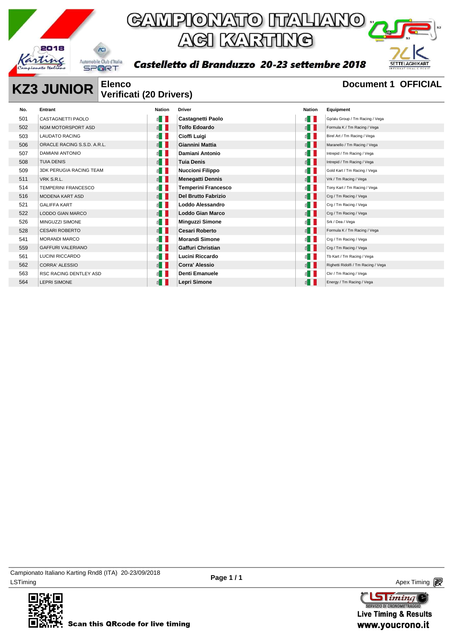

Castelletto di Branduzzo 20-23 settembre 2018



#### **KZ3 JUNIOR** Elenco Document 1 OFFICIAL **Verificati (20 Drivers)**

| No. | Entrant                        | Nation                | <b>Driver</b>              | Nation                | Equipment                           |
|-----|--------------------------------|-----------------------|----------------------------|-----------------------|-------------------------------------|
| 501 | CASTAGNETTI PAOLO              | $\leq$ $\blacksquare$ | Castagnetti Paolo          | $\leq$ $\blacksquare$ | Gp/alu Group / Tm Racing / Vega     |
| 502 | NGM MOTORSPORT ASD             | $\leq$ $\blacksquare$ | <b>Tolfo Edoardo</b>       | $\leq$ $\blacksquare$ | Formula K / Tm Racing / Vega        |
| 503 | <b>LAUDATO RACING</b>          | ⋹┃┃                   | Cioffi Luigi               | $\leq$ $\blacksquare$ | Birel Art / Tm Racing / Vega        |
| 506 | ORACLE RACING S.S.D. A.R.L.    | $\leq$ $\blacksquare$ | Giannini Mattia            | E                     | Maranello / Tm Racing / Vega        |
| 507 | <b>DAMIANI ANTONIO</b>         | ≦ ∐                   | Damiani Antonio            | ≦ II                  | Intrepid / Tm Racing / Vega         |
| 508 | <b>TUIA DENIS</b>              | ≦ ∐                   | <b>Tuia Denis</b>          | $\leq$ $\parallel$    | Intrepid / Tm Racing / Vega         |
| 509 | <b>3DK PERUGIA RACING TEAM</b> | ≝ ∐                   | <b>Nuccioni Filippo</b>    | $\leq$ $\blacksquare$ | Gold Kart / Tm Racing / Vega        |
| 511 | VRK S.R.L.                     | $\leq$ $\blacksquare$ | <b>Menegatti Dennis</b>    | $\leq$ $\blacksquare$ | Vrk / Tm Racing / Vega              |
| 514 | <b>TEMPERINI FRANCESCO</b>     | ⋹ा∥                   | <b>Temperini Francesco</b> | ≝ ∣                   | Tony Kart / Tm Racing / Vega        |
| 516 | <b>MODENA KART ASD</b>         | $\leq$ $\blacksquare$ | <b>Del Brutto Fabrizio</b> | $\leq$ $\blacksquare$ | Crg / Tm Racing / Vega              |
| 521 | <b>GALIFFA KART</b>            | ⋹▌▌                   | Loddo Alessandro           | $\leq$ $\blacksquare$ | Crg / Tm Racing / Vega              |
| 522 | <b>LODDO GIAN MARCO</b>        | $\leq$ $\blacksquare$ | <b>Loddo Gian Marco</b>    | $\leq$ $\blacksquare$ | Crg / Tm Racing / Vega              |
| 526 | MINGUZZI SIMONE                | ⋹┃┃                   | <b>Minguzzi Simone</b>     | ⋹∎                    | Srk / Dea / Vega                    |
| 528 | <b>CESARI ROBERTO</b>          | $\leq$ $\blacksquare$ | <b>Cesari Roberto</b>      | E                     | Formula K / Tm Racing / Vega        |
| 541 | <b>MORANDI MARCO</b>           | ≝∐                    | <b>Morandi Simone</b>      | $\leq$ $\blacksquare$ | Crg / Tm Racing / Vega              |
| 559 | <b>GAFFURI VALERIANO</b>       | ≝ ∐                   | Gaffuri Christian          | $\leq$ $\blacksquare$ | Crg / Tm Racing / Vega              |
| 561 | LUCINI RICCARDO                | $\leq$ $\blacksquare$ | Lucini Riccardo            | $\leq$ $\blacksquare$ | Tb Kart / Tm Racing / Vega          |
| 562 | <b>CORRA' ALESSIO</b>          | $\leq$ $\blacksquare$ | <b>Corra' Alessio</b>      | E                     | Righetti Ridolfi / Tm Racing / Vega |
| 563 | RSC RACING DENTLEY ASD         | ⋹▏▌                   | Denti Emanuele             | $\leq$ $\blacksquare$ | Ckr / Tm Racing / Vega              |
| 564 | <b>LEPRI SIMONE</b>            | ≝ ∐                   | Lepri Simone               | E                     | Energy / Tm Racing / Vega           |

LSTiming Apex Timing Apex Timing Apex Timing Apex Timing Apex Timing Apex Timing Apex Timing Campionato Italiano Karting Rnd8 (ITA) 20-23/09/2018